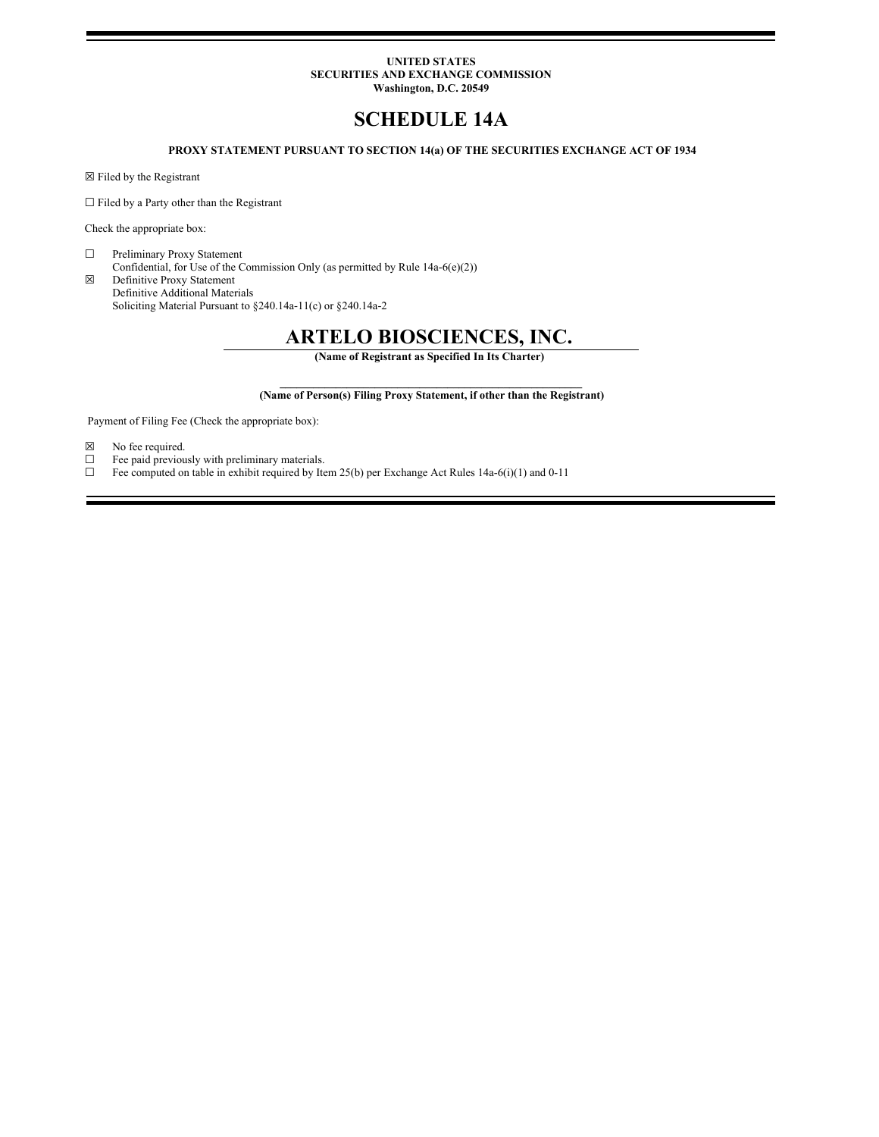# **UNITED STATES SECURITIES AND EXCHANGE COMMISSION Washington, D.C. 20549**

# **SCHEDULE 14A**

# **PROXY STATEMENT PURSUANT TO SECTION 14(a) OF THE SECURITIES EXCHANGE ACT OF 1934**

☒ Filed by the Registrant

 $\Box$  Filed by a Party other than the Registrant

Check the appropriate box:

☐ Preliminary Proxy Statement Confidential, for Use of the Commission Only (as permitted by Rule 14a-6(e)(2))

☒ Definitive Proxy Statement Definitive Additional Materials Soliciting Material Pursuant to §240.14a‑11(c) or §240.14a‑2

# **ARTELO BIOSCIENCES, INC.**

**(Name of Registrant as Specified In Its Charter)**

### $\mathcal{L}_\mathcal{L} = \{ \mathcal{L}_\mathcal{L} = \{ \mathcal{L}_\mathcal{L} \}$ **(Name of Person(s) Filing Proxy Statement, if other than the Registrant)**

Payment of Filing Fee (Check the appropriate box):

- $\boxtimes$  No fee required.<br>  $\Box$  Fee paid previou
- Fee paid previously with preliminary materials.
- $\Box$  Fee computed on table in exhibit required by Item 25(b) per Exchange Act Rules 14a-6(i)(1) and 0-11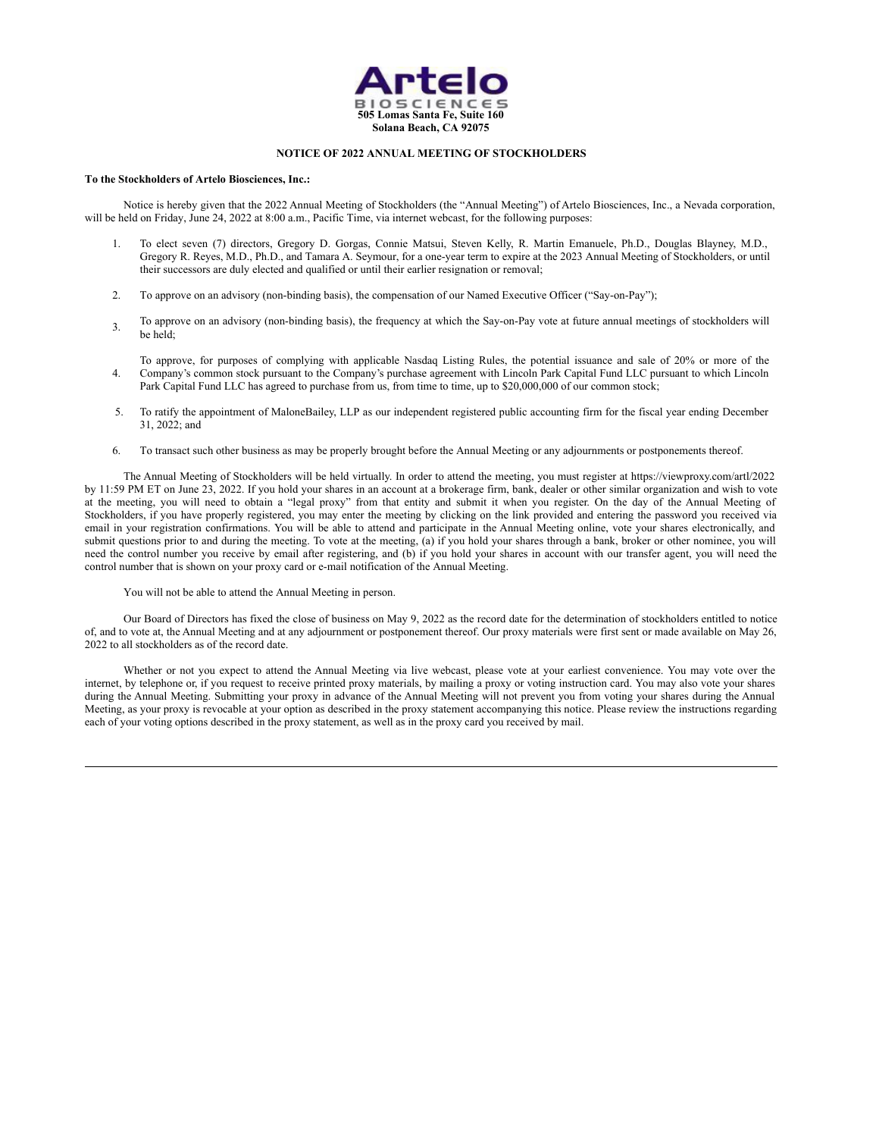

# **NOTICE OF 2022 ANNUAL MEETING OF STOCKHOLDERS**

#### **To the Stockholders of Artelo Biosciences, Inc.:**

Notice is hereby given that the 2022 Annual Meeting of Stockholders (the "Annual Meeting") of Artelo Biosciences, Inc., a Nevada corporation, will be held on Friday, June 24, 2022 at 8:00 a.m., Pacific Time, via internet webcast, for the following purposes:

- 1. To elect seven (7) directors, Gregory D. Gorgas, Connie Matsui, Steven Kelly, R. Martin Emanuele, Ph.D., Douglas Blayney, M.D., Gregory R. Reyes, M.D., Ph.D., and Tamara A. Seymour, for a one-year term to expire at the 2023 Annual Meeting of Stockholders, or until their successors are duly elected and qualified or until their earlier resignation or removal;
- 2. To approve on an advisory (non-binding basis), the compensation of our Named Executive Officer ("Say-on-Pay");
- 3. To approve on an advisory (non-binding basis), the frequency at which the Say-on-Pay vote at future annual meetings of stockholders will be held;
- 4. To approve, for purposes of complying with applicable Nasdaq Listing Rules, the potential issuance and sale of 20% or more of the Company's common stock pursuant to the Company's purchase agreement with Lincoln Park Capital Fund LLC pursuant to which Lincoln Park Capital Fund LLC has agreed to purchase from us, from time to time, up to \$20,000,000 of our common stock;
- 5. To ratify the appointment of MaloneBailey, LLP as our independent registered public accounting firm for the fiscal year ending December 31, 2022; and
- 6. To transact such other business as may be properly brought before the Annual Meeting or any adjournments or postponements thereof.

The Annual Meeting of Stockholders will be held virtually. In order to attend the meeting, you must register at https://viewproxy.com/artl/2022 by 11:59 PM ET on June 23, 2022. If you hold your shares in an account at a brokerage firm, bank, dealer or other similar organization and wish to vote at the meeting, you will need to obtain a "legal proxy" from that entity and submit it when you register. On the day of the Annual Meeting of Stockholders, if you have properly registered, you may enter the meeting by clicking on the link provided and entering the password you received via email in your registration confirmations. You will be able to attend and participate in the Annual Meeting online, vote your shares electronically, and submit questions prior to and during the meeting. To vote at the meeting, (a) if you hold your shares through a bank, broker or other nominee, you will need the control number you receive by email after registering, and (b) if you hold your shares in account with our transfer agent, you will need the control number that is shown on your proxy card or e-mail notification of the Annual Meeting.

# You will not be able to attend the Annual Meeting in person.

Our Board of Directors has fixed the close of business on May 9, 2022 as the record date for the determination of stockholders entitled to notice of, and to vote at, the Annual Meeting and at any adjournment or postponement thereof. Our proxy materials were first sent or made available on May 26, 2022 to all stockholders as of the record date.

Whether or not you expect to attend the Annual Meeting via live webcast, please vote at your earliest convenience. You may vote over the internet, by telephone or, if you request to receive printed proxy materials, by mailing a proxy or voting instruction card. You may also vote your shares during the Annual Meeting. Submitting your proxy in advance of the Annual Meeting will not prevent you from voting your shares during the Annual Meeting, as your proxy is revocable at your option as described in the proxy statement accompanying this notice. Please review the instructions regarding each of your voting options described in the proxy statement, as well as in the proxy card you received by mail.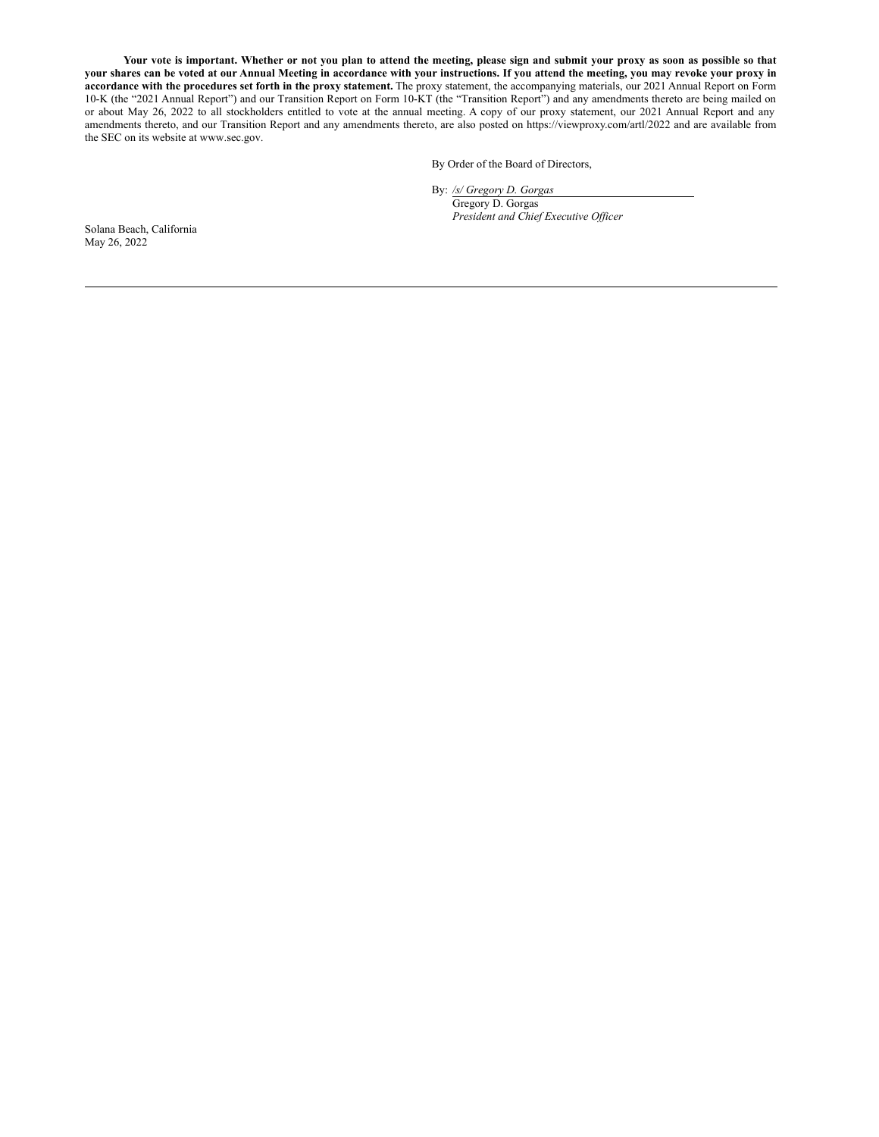Your vote is important. Whether or not you plan to attend the meeting, please sign and submit your proxy as soon as possible so that your shares can be voted at our Annual Meeting in accordance with your instructions. If you attend the meeting, you may revoke your proxy in **accordance with the procedures set forth in the proxy statement.** The proxy statement, the accompanying materials, our 2021 Annual Report on Form 10-K (the "2021 Annual Report") and our Transition Report on Form 10-KT (the "Transition Report") and any amendments thereto are being mailed on or about May 26, 2022 to all stockholders entitled to vote at the annual meeting. A copy of our proxy statement, our 2021 Annual Report and any amendments thereto, and our Transition Report and any amendments thereto, are also posted on https://viewproxy.com/artl/2022 and are available from the SEC on its website at www.sec.gov.

By Order of the Board of Directors,

By: */s/ Gregory D. Gorgas* Gregory D. Gorgas *President and Chief Executive Of icer*

Solana Beach, California May 26, 2022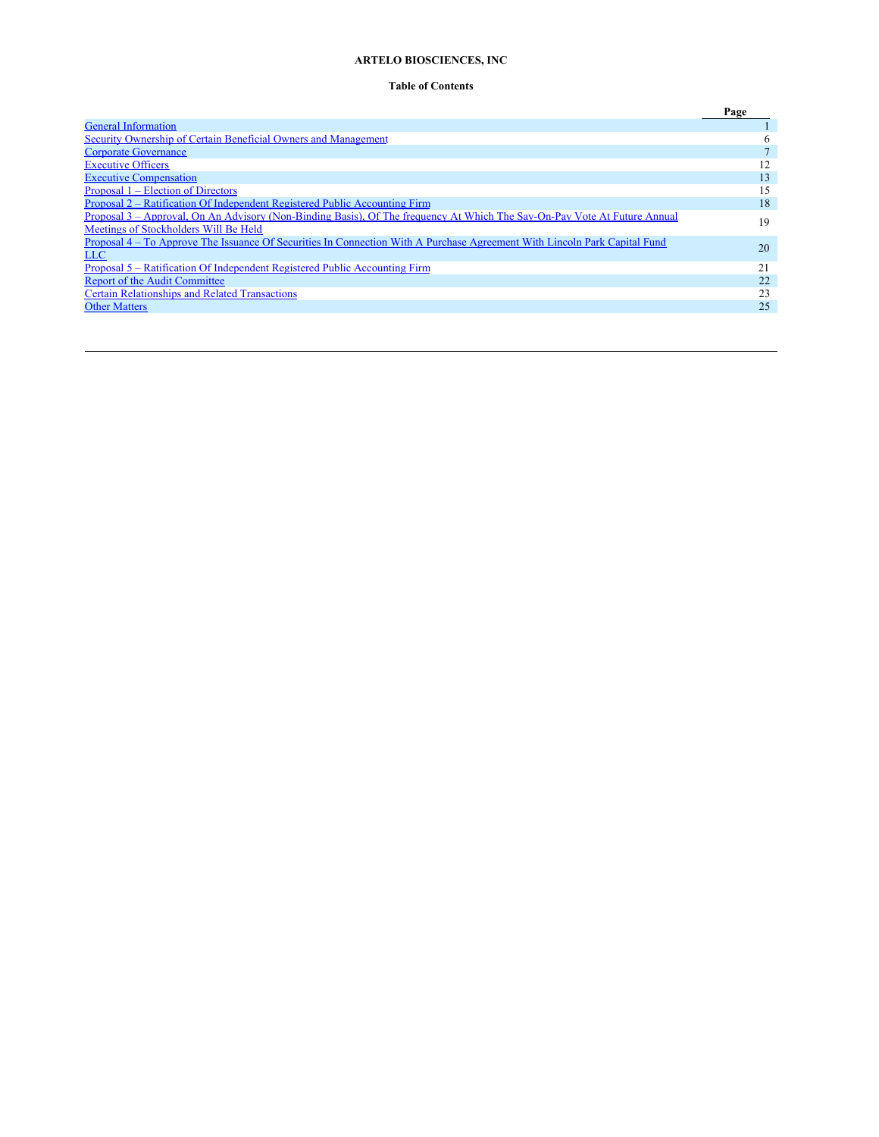# **ARTELO BIOSCIENCES, INC**

# <span id="page-3-0"></span>**Table of Contents**

|                                                                                                                           | Page |
|---------------------------------------------------------------------------------------------------------------------------|------|
| <b>General Information</b>                                                                                                |      |
| Security Ownership of Certain Beneficial Owners and Management                                                            | 6    |
| <b>Corporate Governance</b>                                                                                               |      |
| <b>Executive Officers</b>                                                                                                 | 12   |
| <b>Executive Compensation</b>                                                                                             | 13   |
| Proposal 1 – Election of Directors                                                                                        | 15   |
| Proposal 2 – Ratification Of Independent Registered Public Accounting Firm                                                | 18   |
| Proposal 3 – Approval, On An Advisory (Non-Binding Basis), Of The frequency At Which The Say-On-Pay Vote At Future Annual | 19   |
| Meetings of Stockholders Will Be Held                                                                                     |      |
| Proposal 4 – To Approve The Issuance Of Securities In Connection With A Purchase Agreement With Lincoln Park Capital Fund | 20   |
| LLC                                                                                                                       |      |
| Proposal 5 – Ratification Of Independent Registered Public Accounting Firm                                                | 21   |
| Report of the Audit Committee                                                                                             | 22   |
| <b>Certain Relationships and Related Transactions</b>                                                                     | 23   |
| <b>Other Matters</b>                                                                                                      | 25   |
|                                                                                                                           |      |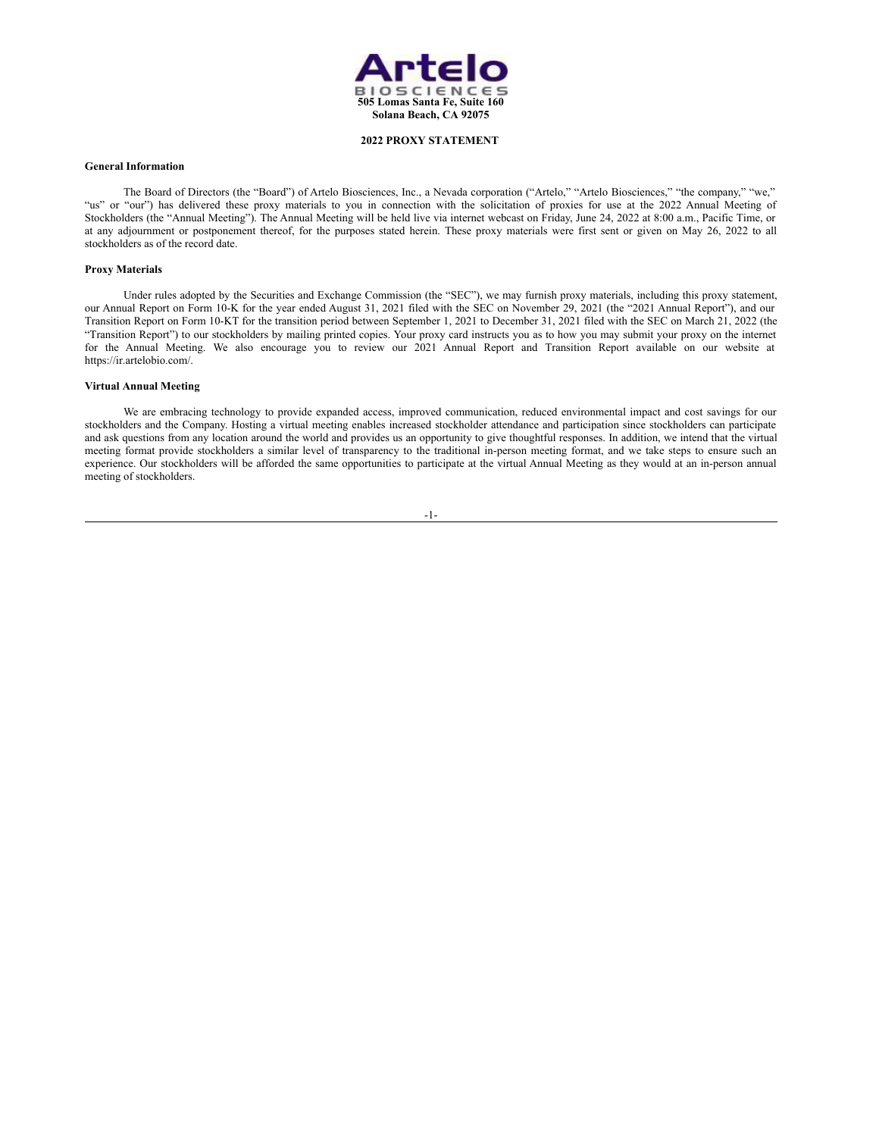

# **2022 PROXY STATEMENT**

# <span id="page-4-0"></span>**General Information**

The Board of Directors (the "Board") of Artelo Biosciences, Inc., a Nevada corporation ("Artelo," "Artelo Biosciences," "the company," "we," "us" or "our") has delivered these proxy materials to you in connection with the solicitation of proxies for use at the 2022 Annual Meeting of Stockholders (the "Annual Meeting"). The Annual Meeting will be held live via internet webcast on Friday, June 24, 2022 at 8:00 a.m., Pacific Time, or at any adjournment or postponement thereof, for the purposes stated herein. These proxy materials were first sent or given on May 26, 2022 to all stockholders as of the record date.

# **Proxy Materials**

Under rules adopted by the Securities and Exchange Commission (the "SEC"), we may furnish proxy materials, including this proxy statement, our Annual Report on Form 10-K for the year ended August 31, 2021 filed with the SEC on November 29, 2021 (the "2021 Annual Report"), and our Transition Report on Form 10-KT for the transition period between September 1, 2021 to December 31, 2021 filed with the SEC on March 21, 2022 (the "Transition Report") to our stockholders by mailing printed copies. Your proxy card instructs you as to how you may submit your proxy on the internet for the Annual Meeting. We also encourage you to review our 2021 Annual Report and Transition Report available on our website at https://ir.artelobio.com/.

# **Virtual Annual Meeting**

We are embracing technology to provide expanded access, improved communication, reduced environmental impact and cost savings for our stockholders and the Company. Hosting a virtual meeting enables increased stockholder attendance and participation since stockholders can participate and ask questions from any location around the world and provides us an opportunity to give thoughtful responses. In addition, we intend that the virtual meeting format provide stockholders a similar level of transparency to the traditional in-person meeting format, and we take steps to ensure such an experience. Our stockholders will be afforded the same opportunities to participate at the virtual Annual Meeting as they would at an in-person annual meeting of stockholders.

#### -1-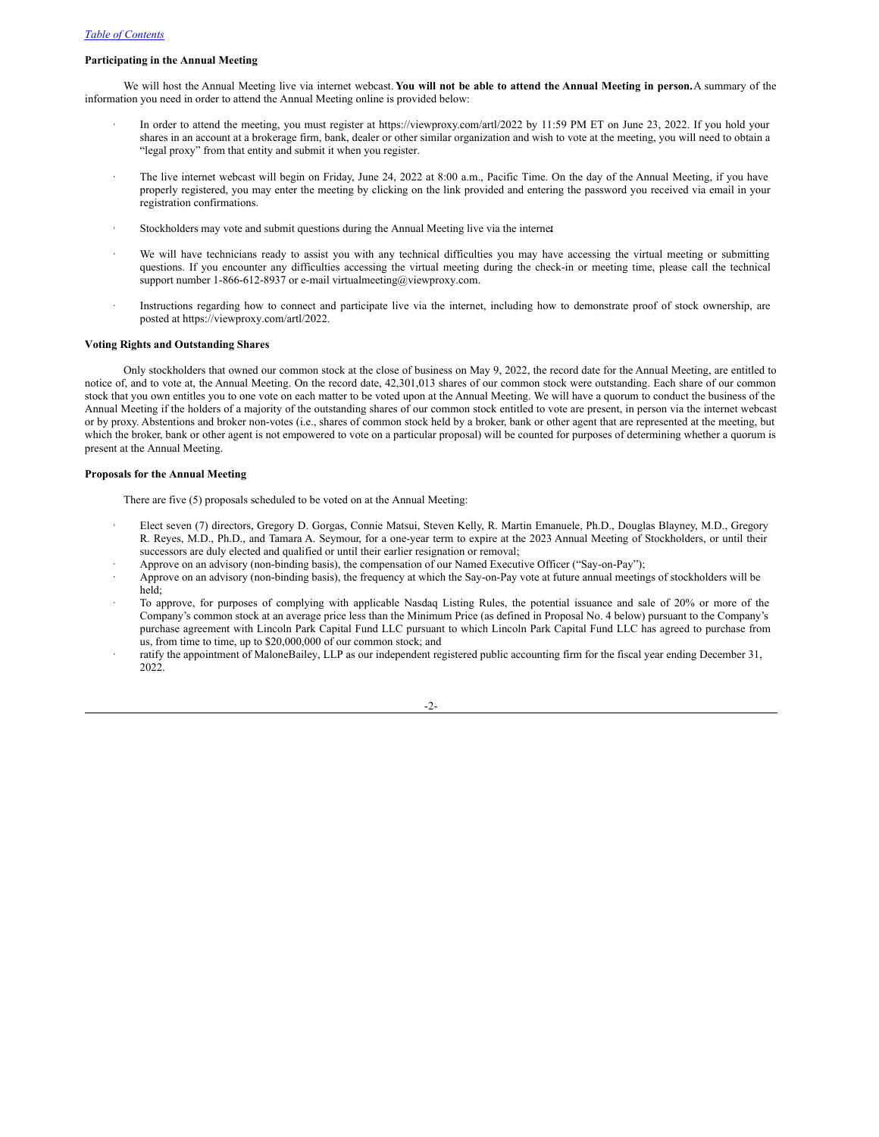# *Table of [Contents](#page-3-0)*

# **Participating in the Annual Meeting**

We will host the Annual Meeting live via internet webcast. **You will not be able to attend the Annual Meeting in person.**A summary of the information you need in order to attend the Annual Meeting online is provided below:

- · In order to attend the meeting, you must register at https://viewproxy.com/artl/2022 by 11:59 PM ET on June 23, 2022. If you hold your shares in an account at a brokerage firm, bank, dealer or other similar organization and wish to vote at the meeting, you will need to obtain a "legal proxy" from that entity and submit it when you register.
- The live internet webcast will begin on Friday, June 24, 2022 at 8:00 a.m., Pacific Time. On the day of the Annual Meeting, if you have properly registered, you may enter the meeting by clicking on the link provided and entering the password you received via email in your registration confirmations.
- Stockholders may vote and submit questions during the Annual Meeting live via the internet
- We will have technicians ready to assist you with any technical difficulties you may have accessing the virtual meeting or submitting questions. If you encounter any difficulties accessing the virtual meeting during the check-in or meeting time, please call the technical support number 1-866-612-8937 or e-mail virtualmeeting@viewproxy.com.
- Instructions regarding how to connect and participate live via the internet, including how to demonstrate proof of stock ownership, are posted at https://viewproxy.com/artl/2022.

# **Voting Rights and Outstanding Shares**

Only stockholders that owned our common stock at the close of business on May 9, 2022, the record date for the Annual Meeting, are entitled to notice of, and to vote at, the Annual Meeting. On the record date, 42,301,013 shares of our common stock were outstanding. Each share of our common stock that you own entitles you to one vote on each matter to be voted upon at the Annual Meeting. We will have a quorum to conduct the business of the Annual Meeting if the holders of a majority of the outstanding shares of our common stock entitled to vote are present, in person via the internet webcast or by proxy. Abstentions and broker non-votes (i.e., shares of common stock held by a broker, bank or other agent that are represented at the meeting, but which the broker, bank or other agent is not empowered to vote on a particular proposal) will be counted for purposes of determining whether a quorum is present at the Annual Meeting.

# **Proposals for the Annual Meeting**

There are five (5) proposals scheduled to be voted on at the Annual Meeting:

- · Elect seven (7) directors, Gregory D. Gorgas, Connie Matsui, Steven Kelly, R. Martin Emanuele, Ph.D., Douglas Blayney, M.D., Gregory R. Reyes, M.D., Ph.D., and Tamara A. Seymour, for a one-year term to expire at the 2023 Annual Meeting of Stockholders, or until their successors are duly elected and qualified or until their earlier resignation or removal;
- · Approve on an advisory (non-binding basis), the compensation of our Named Executive Officer ("Say-on-Pay");
- · Approve on an advisory (non-binding basis), the frequency at which the Say-on-Pay vote at future annual meetings of stockholders will be held;
- · To approve, for purposes of complying with applicable Nasdaq Listing Rules, the potential issuance and sale of 20% or more of the Company's common stock at an average price less than the Minimum Price (as defined in Proposal No. 4 below) pursuant to the Company's purchase agreement with Lincoln Park Capital Fund LLC pursuant to which Lincoln Park Capital Fund LLC has agreed to purchase from us, from time to time, up to \$20,000,000 of our common stock; and
- ratify the appointment of MaloneBailey, LLP as our independent registered public accounting firm for the fiscal year ending December 31, 2022.

-2-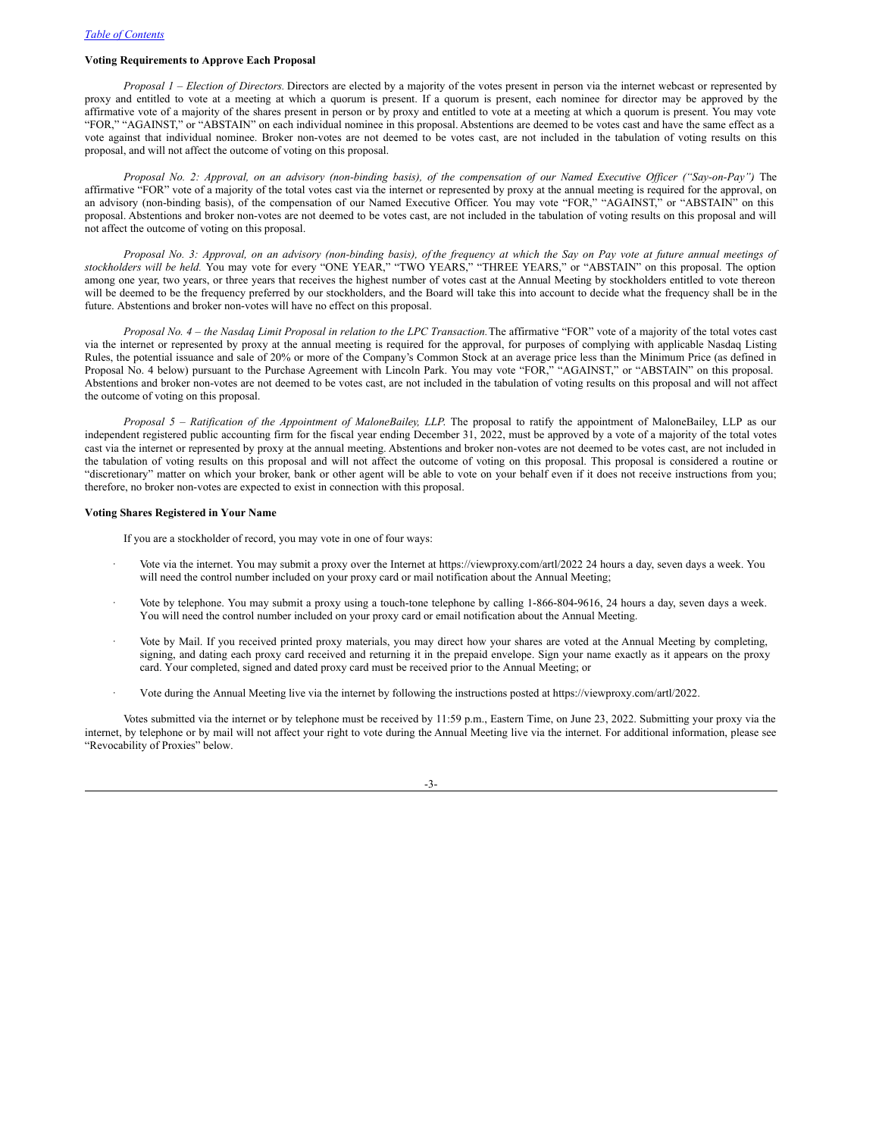# **Voting Requirements to Approve Each Proposal**

*Proposal 1 – Election of Directors.* Directors are elected by a majority of the votes present in person via the internet webcast or represented by proxy and entitled to vote at a meeting at which a quorum is present. If a quorum is present, each nominee for director may be approved by the affirmative vote of a majority of the shares present in person or by proxy and entitled to vote at a meeting at which a quorum is present. You may vote "FOR," "AGAINST," or "ABSTAIN" on each individual nominee in this proposal. Abstentions are deemed to be votes cast and have the same effect as a vote against that individual nominee. Broker non-votes are not deemed to be votes cast, are not included in the tabulation of voting results on this proposal, and will not affect the outcome of voting on this proposal.

Proposal No. 2: Approval, on an advisory (non-binding basis), of the compensation of our Named Executive Officer ("Say-on-Pay") The affirmative "FOR" vote of a majority of the total votes cast via the internet or represented by proxy at the annual meeting is required for the approval, on an advisory (non-binding basis), of the compensation of our Named Executive Officer. You may vote "FOR," "AGAINST," or "ABSTAIN" on this proposal. Abstentions and broker non-votes are not deemed to be votes cast, are not included in the tabulation of voting results on this proposal and will not affect the outcome of voting on this proposal.

Proposal No. 3: Approval, on an advisory (non-binding basis), of the frequency at which the Say on Pay vote at future annual meetings of *stockholders will be held.* You may vote for every "ONE YEAR," "TWO YEARS," "THREE YEARS," or "ABSTAIN" on this proposal. The option among one year, two years, or three years that receives the highest number of votes cast at the Annual Meeting by stockholders entitled to vote thereon will be deemed to be the frequency preferred by our stockholders, and the Board will take this into account to decide what the frequency shall be in the future. Abstentions and broker non-votes will have no effect on this proposal.

Proposal No. 4 - the Nasdaq Limit Proposal in relation to the LPC Transaction. The affirmative "FOR" vote of a majority of the total votes cast via the internet or represented by proxy at the annual meeting is required for the approval, for purposes of complying with applicable Nasdaq Listing Rules, the potential issuance and sale of 20% or more of the Company's Common Stock at an average price less than the Minimum Price (as defined in Proposal No. 4 below) pursuant to the Purchase Agreement with Lincoln Park. You may vote "FOR," "AGAINST," or "ABSTAIN" on this proposal. Abstentions and broker non-votes are not deemed to be votes cast, are not included in the tabulation of voting results on this proposal and will not affect the outcome of voting on this proposal.

*Proposal 5 – Ratification of the Appointment of MaloneBailey, LLP*. The proposal to ratify the appointment of MaloneBailey, LLP as our independent registered public accounting firm for the fiscal year ending December 31, 2022, must be approved by a vote of a majority of the total votes cast via the internet or represented by proxy at the annual meeting. Abstentions and broker non-votes are not deemed to be votes cast, are not included in the tabulation of voting results on this proposal and will not affect the outcome of voting on this proposal. This proposal is considered a routine or "discretionary" matter on which your broker, bank or other agent will be able to vote on your behalf even if it does not receive instructions from you; therefore, no broker non-votes are expected to exist in connection with this proposal.

# **Voting Shares Registered in Your Name**

If you are a stockholder of record, you may vote in one of four ways:

- · Vote via the internet. You may submit a proxy over the Internet at https://viewproxy.com/artl/2022 24 hours a day, seven days a week. You will need the control number included on your proxy card or mail notification about the Annual Meeting;
- · Vote by telephone. You may submit a proxy using a touch-tone telephone by calling 1‑866‑804‑9616, 24 hours a day, seven days a week. You will need the control number included on your proxy card or email notification about the Annual Meeting.
- · Vote by Mail. If you received printed proxy materials, you may direct how your shares are voted at the Annual Meeting by completing, signing, and dating each proxy card received and returning it in the prepaid envelope. Sign your name exactly as it appears on the proxy card. Your completed, signed and dated proxy card must be received prior to the Annual Meeting; or
- · Vote during the Annual Meeting live via the internet by following the instructions posted at https://viewproxy.com/artl/2022.

Votes submitted via the internet or by telephone must be received by 11:59 p.m., Eastern Time, on June 23, 2022. Submitting your proxy via the internet, by telephone or by mail will not affect your right to vote during the Annual Meeting live via the internet. For additional information, please see "Revocability of Proxies" below.

-3-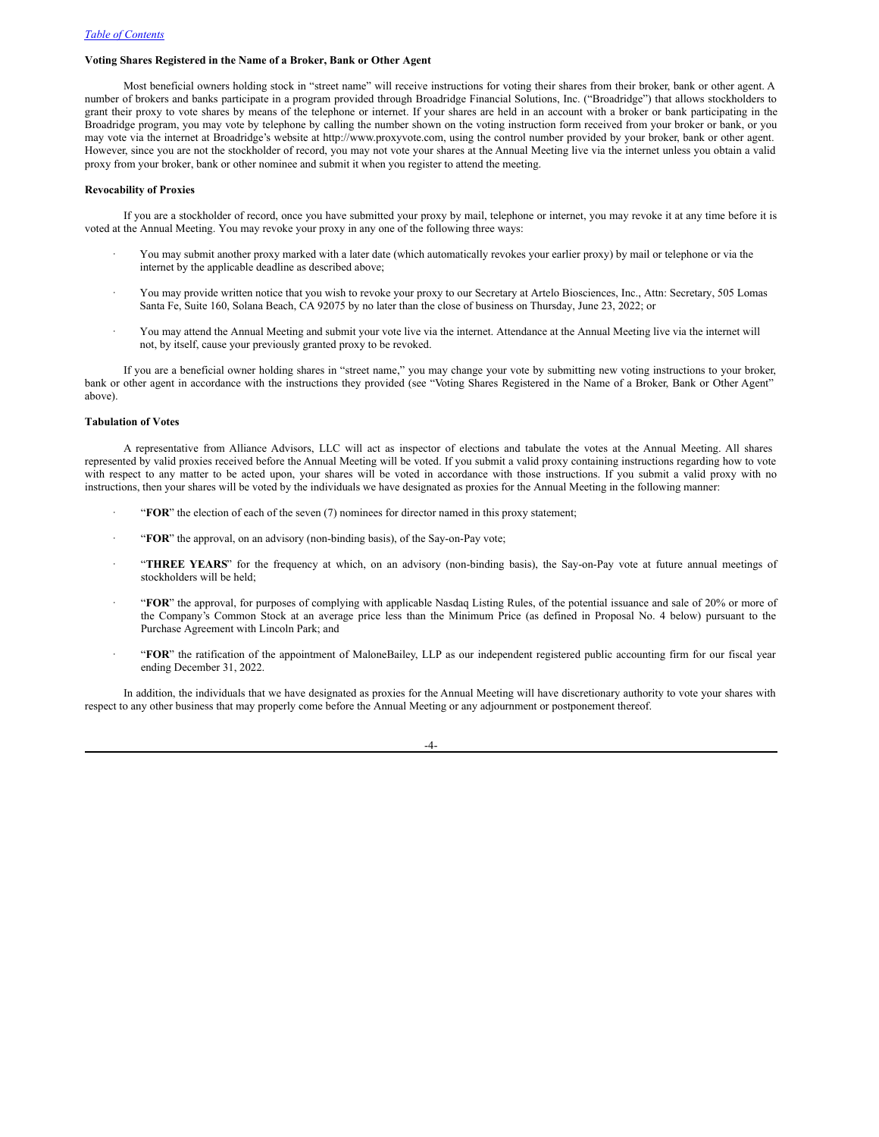# **Voting Shares Registered in the Name of a Broker, Bank or Other Agent**

Most beneficial owners holding stock in "street name" will receive instructions for voting their shares from their broker, bank or other agent. A number of brokers and banks participate in a program provided through Broadridge Financial Solutions, Inc. ("Broadridge") that allows stockholders to grant their proxy to vote shares by means of the telephone or internet. If your shares are held in an account with a broker or bank participating in the Broadridge program, you may vote by telephone by calling the number shown on the voting instruction form received from your broker or bank, or you may vote via the internet at Broadridge's website at http://www.proxyvote.com, using the control number provided by your broker, bank or other agent. However, since you are not the stockholder of record, you may not vote your shares at the Annual Meeting live via the internet unless you obtain a valid proxy from your broker, bank or other nominee and submit it when you register to attend the meeting.

# **Revocability of Proxies**

If you are a stockholder of record, once you have submitted your proxy by mail, telephone or internet, you may revoke it at any time before it is voted at the Annual Meeting. You may revoke your proxy in any one of the following three ways:

- · You may submit another proxy marked with a later date (which automatically revokes your earlier proxy) by mail or telephone or via the internet by the applicable deadline as described above;
- · You may provide written notice that you wish to revoke your proxy to our Secretary at Artelo Biosciences, Inc., Attn: Secretary, 505 Lomas Santa Fe, Suite 160, Solana Beach, CA 92075 by no later than the close of business on Thursday, June 23, 2022; or
- · You may attend the Annual Meeting and submit your vote live via the internet. Attendance at the Annual Meeting live via the internet will not, by itself, cause your previously granted proxy to be revoked.

If you are a beneficial owner holding shares in "street name," you may change your vote by submitting new voting instructions to your broker, bank or other agent in accordance with the instructions they provided (see "Voting Shares Registered in the Name of a Broker, Bank or Other Agent" above).

#### **Tabulation of Votes**

A representative from Alliance Advisors, LLC will act as inspector of elections and tabulate the votes at the Annual Meeting. All shares represented by valid proxies received before the Annual Meeting will be voted. If you submit a valid proxy containing instructions regarding how to vote with respect to any matter to be acted upon, your shares will be voted in accordance with those instructions. If you submit a valid proxy with no instructions, then your shares will be voted by the individuals we have designated as proxies for the Annual Meeting in the following manner:

- · "**FOR**" the election of each of the seven (7) nominees for director named in this proxy statement;
- · "**FOR**" the approval, on an advisory (non-binding basis), of the Say-on-Pay vote;
- · "**THREE YEARS**" for the frequency at which, on an advisory (non-binding basis), the Say-on-Pay vote at future annual meetings of stockholders will be held;
- · "**FOR**" the approval, for purposes of complying with applicable Nasdaq Listing Rules, of the potential issuance and sale of 20% or more of the Company's Common Stock at an average price less than the Minimum Price (as defined in Proposal No. 4 below) pursuant to the Purchase Agreement with Lincoln Park; and
- · "**FOR**" the ratification of the appointment of MaloneBailey, LLP as our independent registered public accounting firm for our fiscal year ending December 31, 2022.

In addition, the individuals that we have designated as proxies for the Annual Meeting will have discretionary authority to vote your shares with respect to any other business that may properly come before the Annual Meeting or any adjournment or postponement thereof.

-4-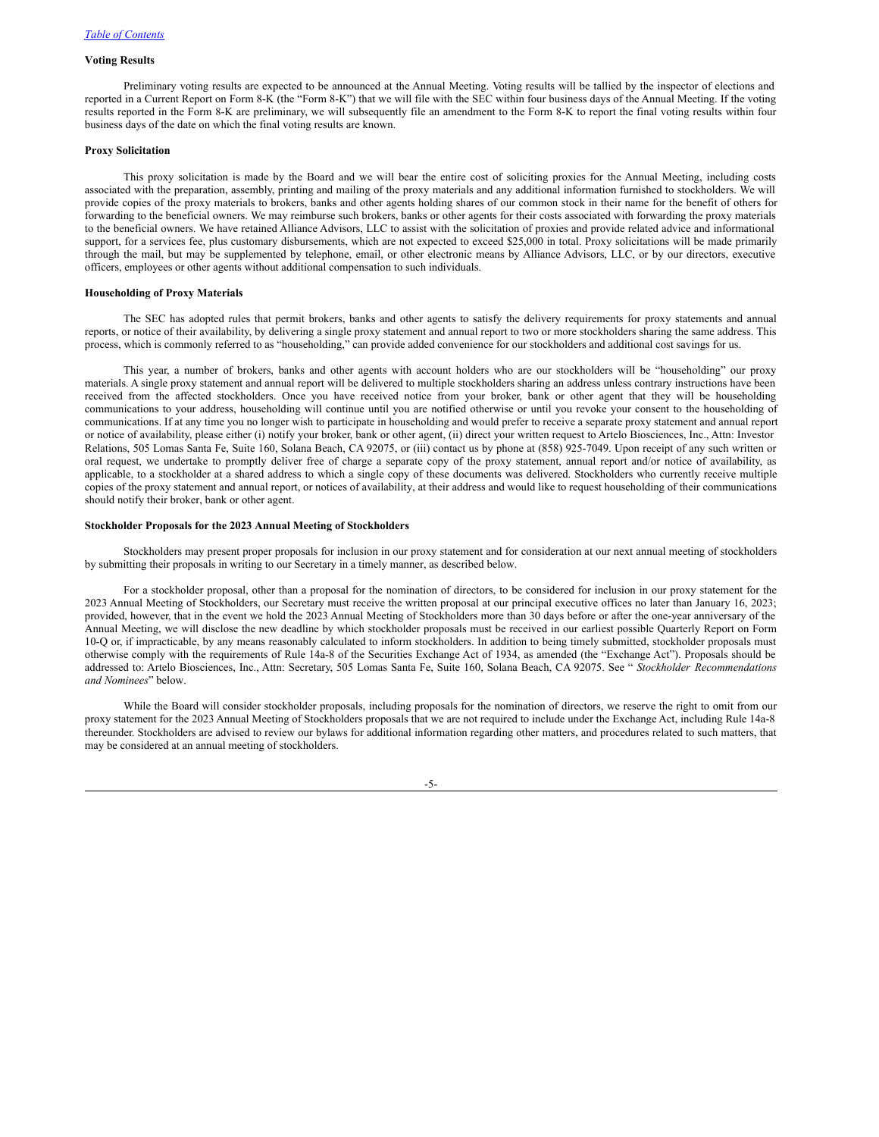# **Voting Results**

Preliminary voting results are expected to be announced at the Annual Meeting. Voting results will be tallied by the inspector of elections and reported in a Current Report on Form 8-K (the "Form 8-K") that we will file with the SEC within four business days of the Annual Meeting. If the voting results reported in the Form 8-K are preliminary, we will subsequently file an amendment to the Form 8-K to report the final voting results within four business days of the date on which the final voting results are known.

#### **Proxy Solicitation**

This proxy solicitation is made by the Board and we will bear the entire cost of soliciting proxies for the Annual Meeting, including costs associated with the preparation, assembly, printing and mailing of the proxy materials and any additional information furnished to stockholders. We will provide copies of the proxy materials to brokers, banks and other agents holding shares of our common stock in their name for the benefit of others for forwarding to the beneficial owners. We may reimburse such brokers, banks or other agents for their costs associated with forwarding the proxy materials to the beneficial owners. We have retained Alliance Advisors, LLC to assist with the solicitation of proxies and provide related advice and informational support, for a services fee, plus customary disbursements, which are not expected to exceed \$25,000 in total. Proxy solicitations will be made primarily through the mail, but may be supplemented by telephone, email, or other electronic means by Alliance Advisors, LLC, or by our directors, executive officers, employees or other agents without additional compensation to such individuals.

#### **Householding of Proxy Materials**

The SEC has adopted rules that permit brokers, banks and other agents to satisfy the delivery requirements for proxy statements and annual reports, or notice of their availability, by delivering a single proxy statement and annual report to two or more stockholders sharing the same address. This process, which is commonly referred to as "householding," can provide added convenience for our stockholders and additional cost savings for us.

This year, a number of brokers, banks and other agents with account holders who are our stockholders will be "householding" our proxy materials. A single proxy statement and annual report will be delivered to multiple stockholders sharing an address unless contrary instructions have been received from the affected stockholders. Once you have received notice from your broker, bank or other agent that they will be householding communications to your address, householding will continue until you are notified otherwise or until you revoke your consent to the householding of communications. If at any time you no longer wish to participate in householding and would prefer to receive a separate proxy statement and annual report or notice of availability, please either (i) notify your broker, bank or other agent, (ii) direct your written request to Artelo Biosciences, Inc., Attn: Investor Relations, 505 Lomas Santa Fe, Suite 160, Solana Beach, CA 92075, or (iii) contact us by phone at (858) 925-7049. Upon receipt of any such written or oral request, we undertake to promptly deliver free of charge a separate copy of the proxy statement, annual report and/or notice of availability, as applicable, to a stockholder at a shared address to which a single copy of these documents was delivered. Stockholders who currently receive multiple copies of the proxy statement and annual report, or notices of availability, at their address and would like to request householding of their communications should notify their broker, bank or other agent.

#### **Stockholder Proposals for the 2023 Annual Meeting of Stockholders**

Stockholders may present proper proposals for inclusion in our proxy statement and for consideration at our next annual meeting of stockholders by submitting their proposals in writing to our Secretary in a timely manner, as described below.

For a stockholder proposal, other than a proposal for the nomination of directors, to be considered for inclusion in our proxy statement for the 2023 Annual Meeting of Stockholders, our Secretary must receive the written proposal at our principal executive offices no later than January 16, 2023; provided, however, that in the event we hold the 2023 Annual Meeting of Stockholders more than 30 days before or after the one-year anniversary of the Annual Meeting, we will disclose the new deadline by which stockholder proposals must be received in our earliest possible Quarterly Report on Form 10-Q or, if impracticable, by any means reasonably calculated to inform stockholders. In addition to being timely submitted, stockholder proposals must otherwise comply with the requirements of Rule 14a-8 of the Securities Exchange Act of 1934, as amended (the "Exchange Act"). Proposals should be addressed to: Artelo Biosciences, Inc., Attn: Secretary, 505 Lomas Santa Fe, Suite 160, Solana Beach, CA 92075. See " *Stockholder Recommendations and Nominees*" below.

While the Board will consider stockholder proposals, including proposals for the nomination of directors, we reserve the right to omit from our proxy statement for the 2023 Annual Meeting of Stockholders proposals that we are not required to include under the Exchange Act, including Rule 14a-8 thereunder. Stockholders are advised to review our bylaws for additional information regarding other matters, and procedures related to such matters, that may be considered at an annual meeting of stockholders.

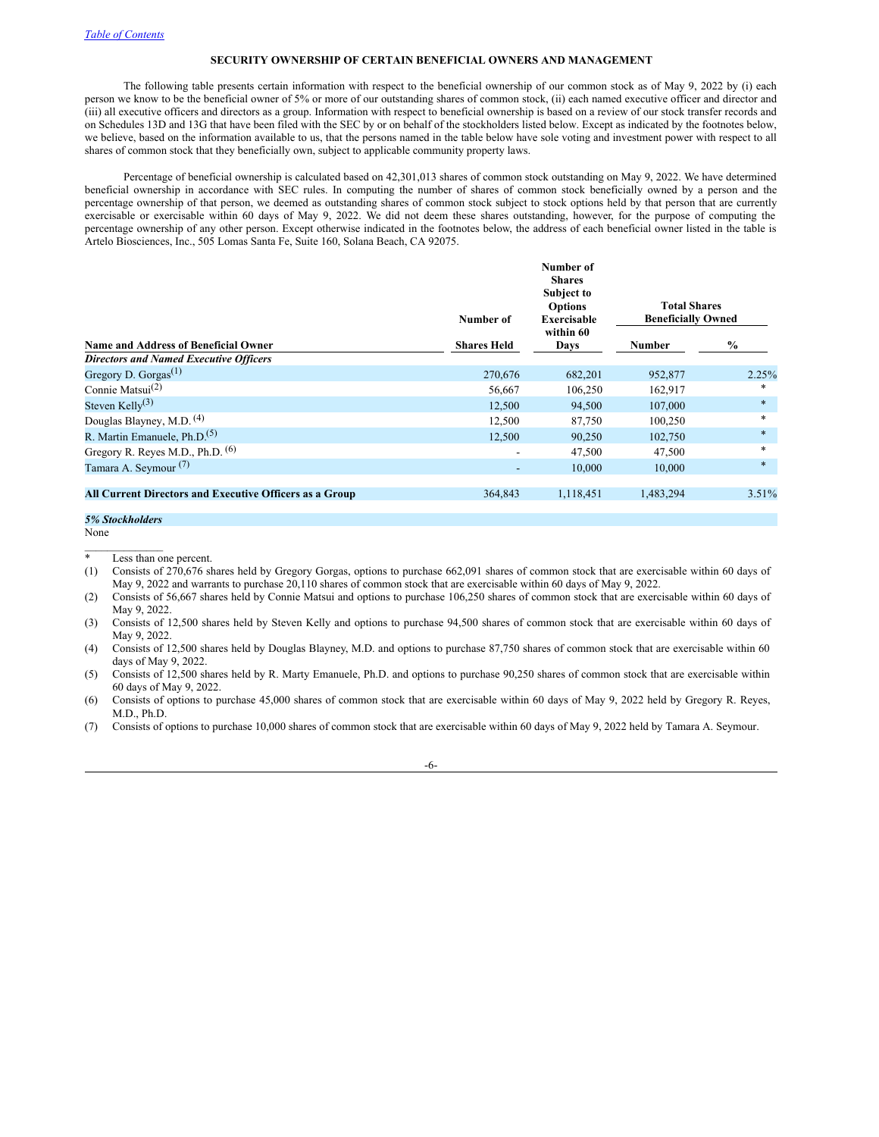# <span id="page-9-0"></span>**SECURITY OWNERSHIP OF CERTAIN BENEFICIAL OWNERS AND MANAGEMENT**

The following table presents certain information with respect to the beneficial ownership of our common stock as of May 9, 2022 by (i) each person we know to be the beneficial owner of 5% or more of our outstanding shares of common stock, (ii) each named executive officer and director and (iii) all executive officers and directors as a group. Information with respect to beneficial ownership is based on a review of our stock transfer records and on Schedules 13D and 13G that have been filed with the SEC by or on behalf of the stockholders listed below. Except as indicated by the footnotes below, we believe, based on the information available to us, that the persons named in the table below have sole voting and investment power with respect to all shares of common stock that they beneficially own, subject to applicable community property laws.

Percentage of beneficial ownership is calculated based on 42,301,013 shares of common stock outstanding on May 9, 2022. We have determined beneficial ownership in accordance with SEC rules. In computing the number of shares of common stock beneficially owned by a person and the percentage ownership of that person, we deemed as outstanding shares of common stock subject to stock options held by that person that are currently exercisable or exercisable within 60 days of May 9, 2022. We did not deem these shares outstanding, however, for the purpose of computing the percentage ownership of any other person. Except otherwise indicated in the footnotes below, the address of each beneficial owner listed in the table is Artelo Biosciences, Inc., 505 Lomas Santa Fe, Suite 160, Solana Beach, CA 92075.

**Number of**

|                                                         | Number of                |                   | <b>Total Shares</b><br><b>Beneficially Owned</b> |        |
|---------------------------------------------------------|--------------------------|-------------------|--------------------------------------------------|--------|
| <b>Name and Address of Beneficial Owner</b>             | <b>Shares Held</b>       | within 60<br>Days | <b>Number</b>                                    | $\%$   |
| <b>Directors and Named Executive Officers</b>           |                          |                   |                                                  |        |
| Gregory D. Gorgas <sup><math>(1)</math></sup>           | 270,676                  | 682,201           | 952,877                                          | 2.25%  |
| Connie Matsui <sup>(2)</sup>                            | 56,667                   | 106,250           | 162,917                                          | *      |
| Steven Kelly <sup>(3)</sup>                             | 12,500                   | 94,500            | 107,000                                          | $\ast$ |
| Douglas Blayney, M.D. <sup>(4)</sup>                    | 12,500                   | 87,750            | 100,250                                          | $\ast$ |
| R. Martin Emanuele, Ph.D. <sup>(5)</sup>                | 12,500                   | 90,250            | 102,750                                          | $\ast$ |
| Gregory R. Reyes M.D., Ph.D. <sup>(6)</sup>             | $\blacksquare$           | 47,500            | 47,500                                           | $\ast$ |
| Tamara A. Seymour <sup>(7)</sup>                        | $\overline{\phantom{a}}$ | 10,000            | 10,000                                           | $\ast$ |
| All Current Directors and Executive Officers as a Group | 364,843                  | 1,118,451         | 1,483,294                                        | 3.51%  |

```
5% Stockholders
```
None  $\mathcal{L}_\text{max}$  and  $\mathcal{L}_\text{max}$ 

 $\overline{\phantom{a}^*$  Less than one percent.

(1) Consists of 270,676 shares held by Gregory Gorgas, options to purchase 662,091 shares of common stock that are exercisable within 60 days of May 9, 2022 and warrants to purchase 20,110 shares of common stock that are exercisable within 60 days of May 9, 2022.

(2) Consists of 56,667 shares held by Connie Matsui and options to purchase 106,250 shares of common stock that are exercisable within 60 days of May 9, 2022.

(3) Consists of 12,500 shares held by Steven Kelly and options to purchase 94,500 shares of common stock that are exercisable within 60 days of May 9, 2022.

(4) Consists of 12,500 shares held by Douglas Blayney, M.D. and options to purchase 87,750 shares of common stock that are exercisable within 60 days of May 9, 2022.

(5) Consists of 12,500 shares held by R. Marty Emanuele, Ph.D. and options to purchase 90,250 shares of common stock that are exercisable within 60 days of May 9, 2022.

(6) Consists of options to purchase 45,000 shares of common stock that are exercisable within 60 days of May 9, 2022 held by Gregory R. Reyes, M.D., Ph.D.

(7) Consists of options to purchase 10,000 shares of common stock that are exercisable within 60 days of May 9, 2022 held by Tamara A. Seymour.

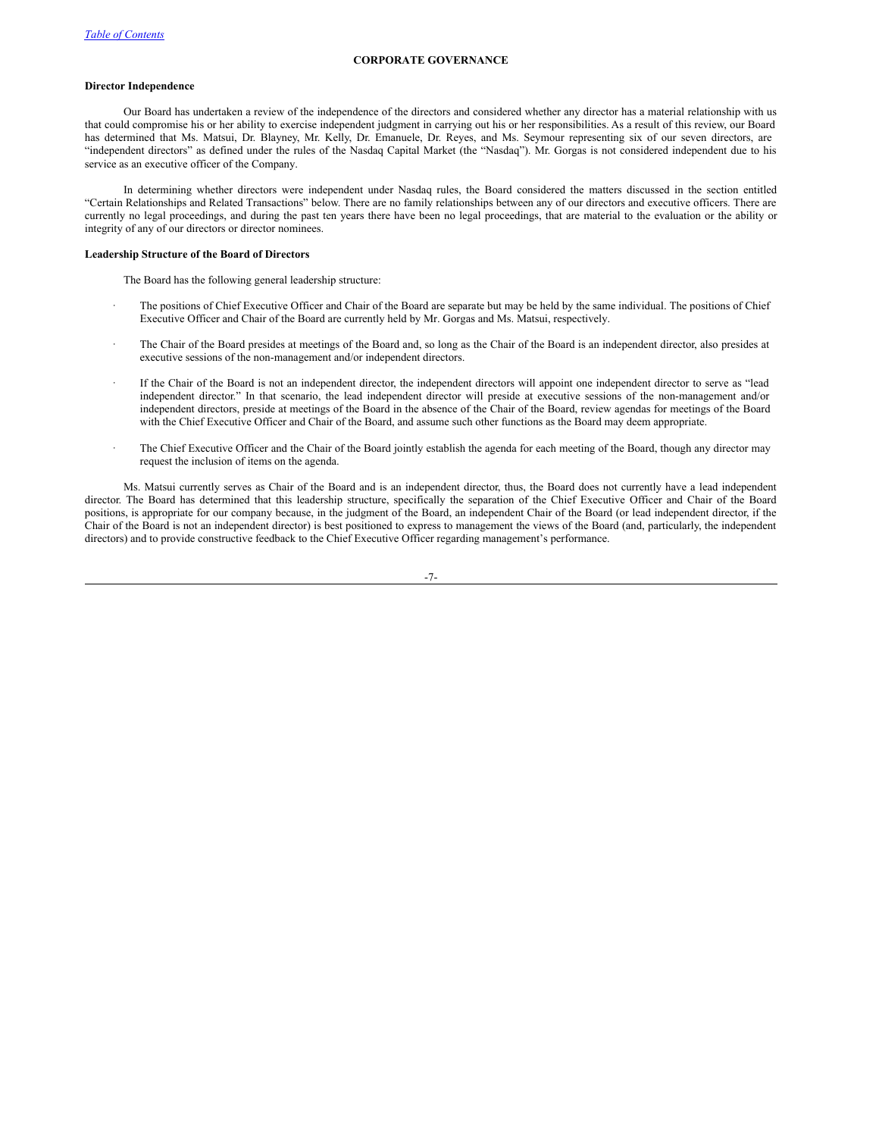# <span id="page-10-0"></span>**CORPORATE GOVERNANCE**

# **Director Independence**

Our Board has undertaken a review of the independence of the directors and considered whether any director has a material relationship with us that could compromise his or her ability to exercise independent judgment in carrying out his or her responsibilities. As a result of this review, our Board has determined that Ms. Matsui, Dr. Blayney, Mr. Kelly, Dr. Emanuele, Dr. Reyes, and Ms. Seymour representing six of our seven directors, are "independent directors" as defined under the rules of the Nasdaq Capital Market (the "Nasdaq"). Mr. Gorgas is not considered independent due to his service as an executive officer of the Company.

In determining whether directors were independent under Nasdaq rules, the Board considered the matters discussed in the section entitled "Certain Relationships and Related Transactions" below. There are no family relationships between any of our directors and executive officers. There are currently no legal proceedings, and during the past ten years there have been no legal proceedings, that are material to the evaluation or the ability or integrity of any of our directors or director nominees.

# **Leadership Structure of the Board of Directors**

The Board has the following general leadership structure:

- The positions of Chief Executive Officer and Chair of the Board are separate but may be held by the same individual. The positions of Chief Executive Officer and Chair of the Board are currently held by Mr. Gorgas and Ms. Matsui, respectively.
- · The Chair of the Board presides at meetings of the Board and, so long as the Chair of the Board is an independent director, also presides at executive sessions of the non-management and/or independent directors.
- If the Chair of the Board is not an independent director, the independent directors will appoint one independent director to serve as "lead independent director." In that scenario, the lead independent director will preside at executive sessions of the non-management and/or independent directors, preside at meetings of the Board in the absence of the Chair of the Board, review agendas for meetings of the Board with the Chief Executive Officer and Chair of the Board, and assume such other functions as the Board may deem appropriate.
- · The Chief Executive Officer and the Chair of the Board jointly establish the agenda for each meeting of the Board, though any director may request the inclusion of items on the agenda.

Ms. Matsui currently serves as Chair of the Board and is an independent director, thus, the Board does not currently have a lead independent director. The Board has determined that this leadership structure, specifically the separation of the Chief Executive Officer and Chair of the Board positions, is appropriate for our company because, in the judgment of the Board, an independent Chair of the Board (or lead independent director, if the Chair of the Board is not an independent director) is best positioned to express to management the views of the Board (and, particularly, the independent directors) and to provide constructive feedback to the Chief Executive Officer regarding management's performance.

-7-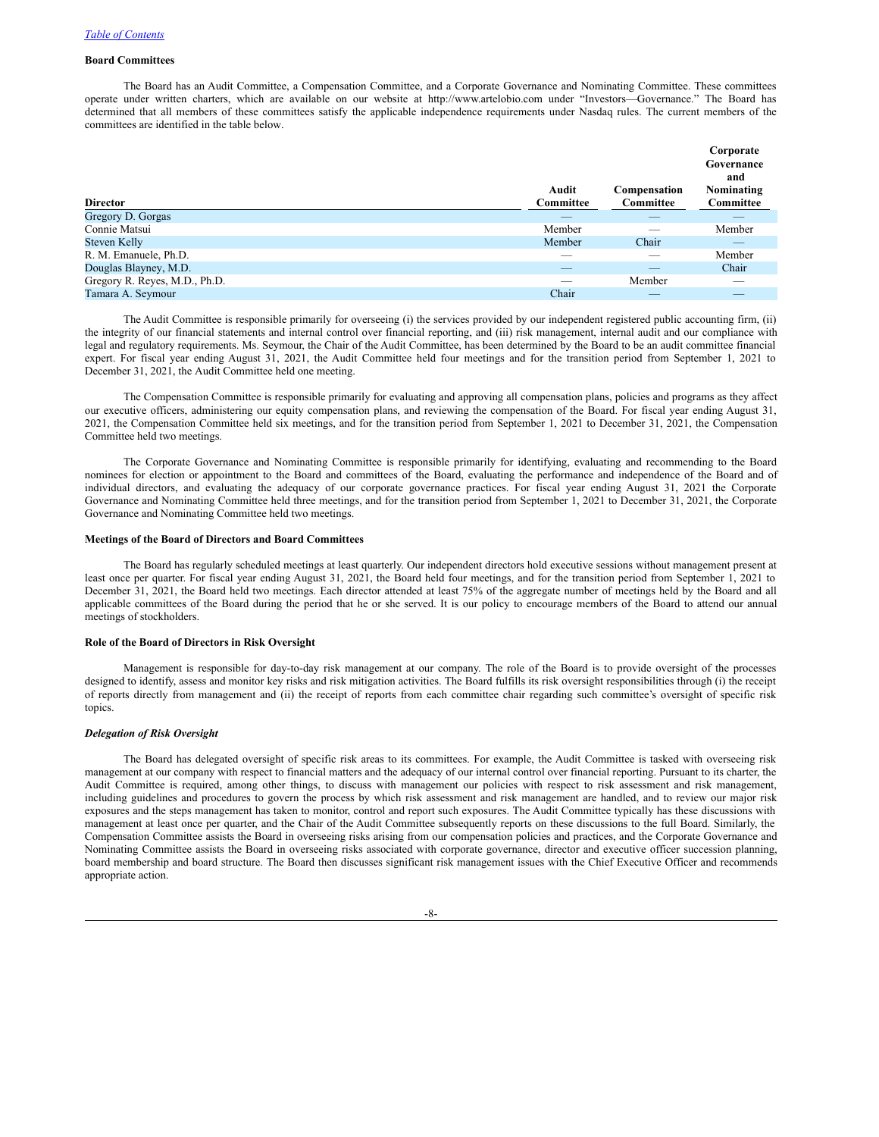# **Board Committees**

The Board has an Audit Committee, a Compensation Committee, and a Corporate Governance and Nominating Committee. These committees operate under written charters, which are available on our website at http://www.artelobio.com under "Investors—Governance." The Board has determined that all members of these committees satisfy the applicable independence requirements under Nasdaq rules. The current members of the committees are identified in the table below.

|                               |                    |                           | Corporate<br>Governance<br>and |
|-------------------------------|--------------------|---------------------------|--------------------------------|
| <b>Director</b>               | Audit<br>Committee | Compensation<br>Committee | Nominating<br>Committee        |
| Gregory D. Gorgas             | _                  |                           |                                |
| Connie Matsui                 | Member             |                           | Member                         |
| Steven Kelly                  | Member             | Chair                     | _                              |
| R. M. Emanuele, Ph.D.         | __                 |                           | Member                         |
| Douglas Blayney, M.D.         | _                  | _                         | Chair                          |
| Gregory R. Reyes, M.D., Ph.D. |                    | Member                    | $\overline{\phantom{a}}$       |
| Tamara A. Seymour             | Chair              |                           |                                |

The Audit Committee is responsible primarily for overseeing (i) the services provided by our independent registered public accounting firm, (ii) the integrity of our financial statements and internal control over financial reporting, and (iii) risk management, internal audit and our compliance with legal and regulatory requirements. Ms. Seymour, the Chair of the Audit Committee, has been determined by the Board to be an audit committee financial expert. For fiscal year ending August 31, 2021, the Audit Committee held four meetings and for the transition period from September 1, 2021 to December 31, 2021, the Audit Committee held one meeting.

The Compensation Committee is responsible primarily for evaluating and approving all compensation plans, policies and programs as they affect our executive officers, administering our equity compensation plans, and reviewing the compensation of the Board. For fiscal year ending August 31, 2021, the Compensation Committee held six meetings, and for the transition period from September 1, 2021 to December 31, 2021, the Compensation Committee held two meetings.

The Corporate Governance and Nominating Committee is responsible primarily for identifying, evaluating and recommending to the Board nominees for election or appointment to the Board and committees of the Board, evaluating the performance and independence of the Board and of individual directors, and evaluating the adequacy of our corporate governance practices. For fiscal year ending August 31, 2021 the Corporate Governance and Nominating Committee held three meetings, and for the transition period from September 1, 2021 to December 31, 2021, the Corporate Governance and Nominating Committee held two meetings.

# **Meetings of the Board of Directors and Board Committees**

The Board has regularly scheduled meetings at least quarterly. Our independent directors hold executive sessions without management present at least once per quarter. For fiscal year ending August 31, 2021, the Board held four meetings, and for the transition period from September 1, 2021 to December 31, 2021, the Board held two meetings. Each director attended at least 75% of the aggregate number of meetings held by the Board and all applicable committees of the Board during the period that he or she served. It is our policy to encourage members of the Board to attend our annual meetings of stockholders.

#### **Role of the Board of Directors in Risk Oversight**

Management is responsible for day-to-day risk management at our company. The role of the Board is to provide oversight of the processes designed to identify, assess and monitor key risks and risk mitigation activities. The Board fulfills its risk oversight responsibilities through (i) the receipt of reports directly from management and (ii) the receipt of reports from each committee chair regarding such committee's oversight of specific risk topics.

# *Delegation of Risk Oversight*

The Board has delegated oversight of specific risk areas to its committees. For example, the Audit Committee is tasked with overseeing risk management at our company with respect to financial matters and the adequacy of our internal control over financial reporting. Pursuant to its charter, the Audit Committee is required, among other things, to discuss with management our policies with respect to risk assessment and risk management, including guidelines and procedures to govern the process by which risk assessment and risk management are handled, and to review our major risk exposures and the steps management has taken to monitor, control and report such exposures. The Audit Committee typically has these discussions with management at least once per quarter, and the Chair of the Audit Committee subsequently reports on these discussions to the full Board. Similarly, the Compensation Committee assists the Board in overseeing risks arising from our compensation policies and practices, and the Corporate Governance and Nominating Committee assists the Board in overseeing risks associated with corporate governance, director and executive officer succession planning, board membership and board structure. The Board then discusses significant risk management issues with the Chief Executive Officer and recommends appropriate action.

-8-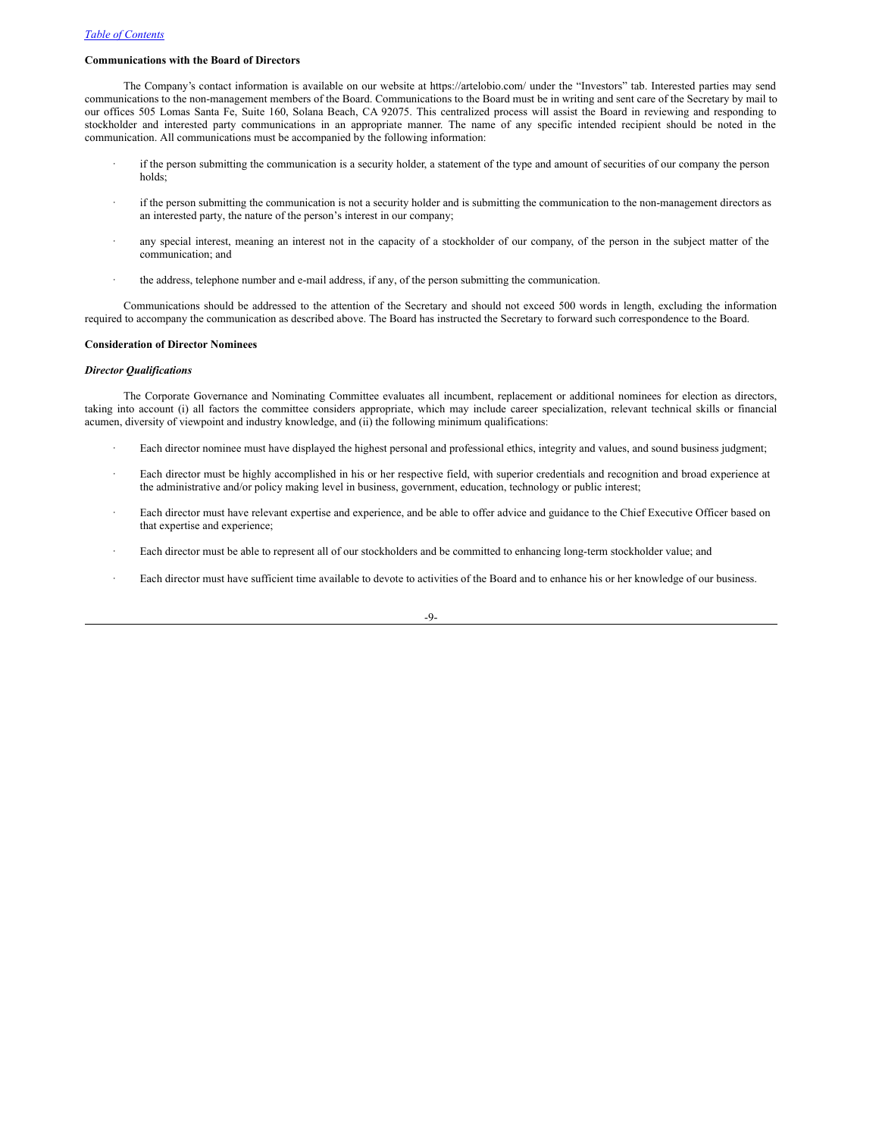# **Communications with the Board of Directors**

The Company's contact information is available on our website at https://artelobio.com/ under the "Investors" tab. Interested parties may send communications to the non-management members of the Board. Communications to the Board must be in writing and sent care of the Secretary by mail to our offices 505 Lomas Santa Fe, Suite 160, Solana Beach, CA 92075. This centralized process will assist the Board in reviewing and responding to stockholder and interested party communications in an appropriate manner. The name of any specific intended recipient should be noted in the communication. All communications must be accompanied by the following information:

- if the person submitting the communication is a security holder, a statement of the type and amount of securities of our company the person holds;
- if the person submitting the communication is not a security holder and is submitting the communication to the non-management directors as an interested party, the nature of the person's interest in our company;
- any special interest, meaning an interest not in the capacity of a stockholder of our company, of the person in the subject matter of the communication; and
- · the address, telephone number and e-mail address, if any, of the person submitting the communication.

Communications should be addressed to the attention of the Secretary and should not exceed 500 words in length, excluding the information required to accompany the communication as described above. The Board has instructed the Secretary to forward such correspondence to the Board.

# **Consideration of Director Nominees**

# *Director Qualifications*

The Corporate Governance and Nominating Committee evaluates all incumbent, replacement or additional nominees for election as directors, taking into account (i) all factors the committee considers appropriate, which may include career specialization, relevant technical skills or financial acumen, diversity of viewpoint and industry knowledge, and (ii) the following minimum qualifications:

- Each director nominee must have displayed the highest personal and professional ethics, integrity and values, and sound business judgment;
- Each director must be highly accomplished in his or her respective field, with superior credentials and recognition and broad experience at the administrative and/or policy making level in business, government, education, technology or public interest;
- Each director must have relevant expertise and experience, and be able to offer advice and guidance to the Chief Executive Officer based on that expertise and experience;
- Each director must be able to represent all of our stockholders and be committed to enhancing long-term stockholder value; and
- Each director must have sufficient time available to devote to activities of the Board and to enhance his or her knowledge of our business.

-9-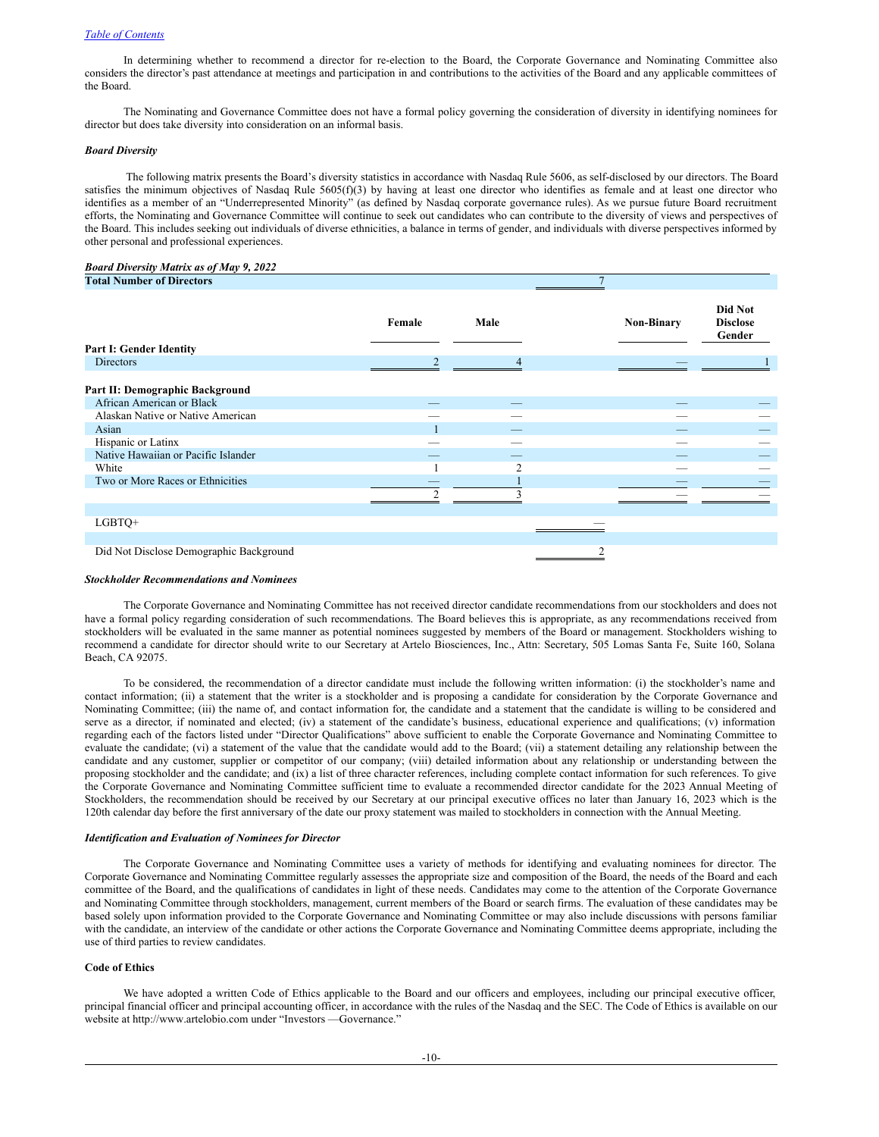#### *Table of [Contents](#page-3-0)*

In determining whether to recommend a director for re-election to the Board, the Corporate Governance and Nominating Committee also considers the director's past attendance at meetings and participation in and contributions to the activities of the Board and any applicable committees of the Board.

The Nominating and Governance Committee does not have a formal policy governing the consideration of diversity in identifying nominees for director but does take diversity into consideration on an informal basis.

#### *Board Diversity*

The following matrix presents the Board's diversity statistics in accordance with Nasdaq Rule 5606, as self-disclosed by our directors. The Board satisfies the minimum objectives of Nasdaq Rule 5605(f)(3) by having at least one director who identifies as female and at least one director who identifies as a member of an "Underrepresented Minority" (as defined by Nasdaq corporate governance rules). As we pursue future Board recruitment efforts, the Nominating and Governance Committee will continue to seek out candidates who can contribute to the diversity of views and perspectives of the Board. This includes seeking out individuals of diverse ethnicities, a balance in terms of gender, and individuals with diverse perspectives informed by other personal and professional experiences.

#### *Board Diversity Matrix as of May 9, 2022* **Total Number** of **Direct**

| TURN INHINER OF DIFFERENCE              |        |                |                   |                                      |
|-----------------------------------------|--------|----------------|-------------------|--------------------------------------|
| <b>Part I: Gender Identity</b>          | Female | Male           | <b>Non-Binary</b> | Did Not<br><b>Disclose</b><br>Gender |
| <b>Directors</b>                        | C      | 4              |                   |                                      |
| Part II: Demographic Background         |        |                |                   |                                      |
| African American or Black               |        |                |                   |                                      |
| Alaskan Native or Native American       |        |                |                   |                                      |
| Asian                                   |        |                |                   |                                      |
| Hispanic or Latinx                      |        |                |                   |                                      |
| Native Hawaiian or Pacific Islander     |        |                |                   |                                      |
| White                                   |        | $\mathfrak{D}$ |                   |                                      |
| Two or More Races or Ethnicities        |        |                |                   |                                      |
|                                         | ◠      |                |                   |                                      |
|                                         |        |                |                   |                                      |
| LGBTQ+                                  |        |                |                   |                                      |
|                                         |        |                |                   |                                      |
| Did Not Disclose Demographic Background |        |                |                   |                                      |
|                                         |        |                |                   |                                      |

#### *Stockholder Recommendations and Nominees*

The Corporate Governance and Nominating Committee has not received director candidate recommendations from our stockholders and does not have a formal policy regarding consideration of such recommendations. The Board believes this is appropriate, as any recommendations received from stockholders will be evaluated in the same manner as potential nominees suggested by members of the Board or management. Stockholders wishing to recommend a candidate for director should write to our Secretary at Artelo Biosciences, Inc., Attn: Secretary, 505 Lomas Santa Fe, Suite 160, Solana Beach, CA 92075.

To be considered, the recommendation of a director candidate must include the following written information: (i) the stockholder's name and contact information; (ii) a statement that the writer is a stockholder and is proposing a candidate for consideration by the Corporate Governance and Nominating Committee; (iii) the name of, and contact information for, the candidate and a statement that the candidate is willing to be considered and serve as a director, if nominated and elected; (iv) a statement of the candidate's business, educational experience and qualifications; (v) information regarding each of the factors listed under "Director Qualifications" above sufficient to enable the Corporate Governance and Nominating Committee to evaluate the candidate; (vi) a statement of the value that the candidate would add to the Board; (vii) a statement detailing any relationship between the candidate and any customer, supplier or competitor of our company; (viii) detailed information about any relationship or understanding between the proposing stockholder and the candidate; and (ix) a list of three character references, including complete contact information for such references. To give the Corporate Governance and Nominating Committee sufficient time to evaluate a recommended director candidate for the 2023 Annual Meeting of Stockholders, the recommendation should be received by our Secretary at our principal executive offices no later than January 16, 2023 which is the 120th calendar day before the first anniversary of the date our proxy statement was mailed to stockholders in connection with the Annual Meeting.

# *Identification and Evaluation of Nominees for Director*

The Corporate Governance and Nominating Committee uses a variety of methods for identifying and evaluating nominees for director. The Corporate Governance and Nominating Committee regularly assesses the appropriate size and composition of the Board, the needs of the Board and each committee of the Board, and the qualifications of candidates in light of these needs. Candidates may come to the attention of the Corporate Governance and Nominating Committee through stockholders, management, current members of the Board or search firms. The evaluation of these candidates may be based solely upon information provided to the Corporate Governance and Nominating Committee or may also include discussions with persons familiar with the candidate, an interview of the candidate or other actions the Corporate Governance and Nominating Committee deems appropriate, including the use of third parties to review candidates.

## **Code of Ethics**

We have adopted a written Code of Ethics applicable to the Board and our officers and employees, including our principal executive officer, principal financial officer and principal accounting officer, in accordance with the rules of the Nasdaq and the SEC. The Code of Ethics is available on our website at http://www.artelobio.com under "Investors —Governance."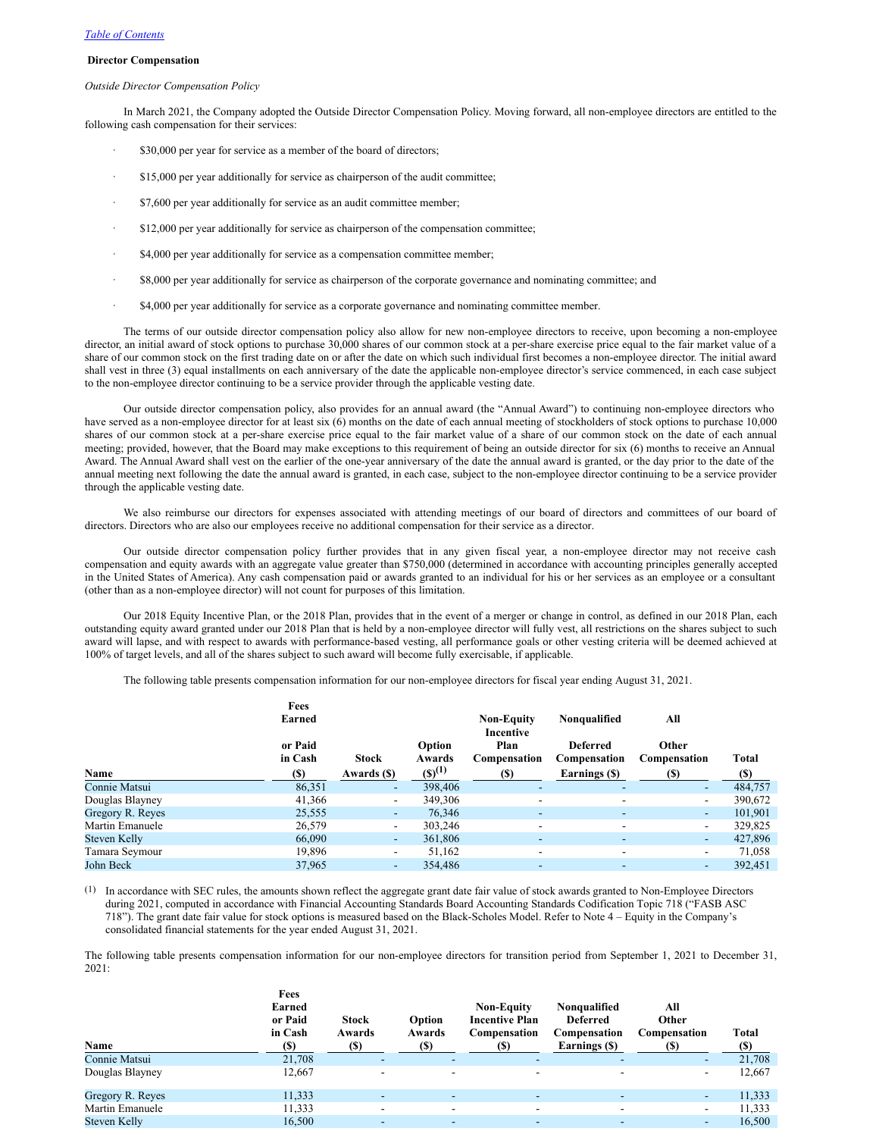# **Director Compensation**

#### *Outside Director Compensation Policy*

In March 2021, the Company adopted the Outside Director Compensation Policy. Moving forward, all non-employee directors are entitled to the following cash compensation for their services:

- \$30,000 per year for service as a member of the board of directors;
- · \$15,000 per year additionally for service as chairperson of the audit committee;
- · \$7,600 per year additionally for service as an audit committee member;
- · \$12,000 per year additionally for service as chairperson of the compensation committee;
- · \$4,000 per year additionally for service as a compensation committee member;
- · \$8,000 per year additionally for service as chairperson of the corporate governance and nominating committee; and
- \$4,000 per year additionally for service as a corporate governance and nominating committee member.

The terms of our outside director compensation policy also allow for new non-employee directors to receive, upon becoming a non-employee director, an initial award of stock options to purchase 30,000 shares of our common stock at a per-share exercise price equal to the fair market value of a share of our common stock on the first trading date on or after the date on which such individual first becomes a non-employee director. The initial award shall vest in three (3) equal installments on each anniversary of the date the applicable non-employee director's service commenced, in each case subject to the non-employee director continuing to be a service provider through the applicable vesting date.

Our outside director compensation policy, also provides for an annual award (the "Annual Award") to continuing non-employee directors who have served as a non-employee director for at least six (6) months on the date of each annual meeting of stockholders of stock options to purchase 10,000 shares of our common stock at a per-share exercise price equal to the fair market value of a share of our common stock on the date of each annual meeting; provided, however, that the Board may make exceptions to this requirement of being an outside director for six (6) months to receive an Annual Award. The Annual Award shall vest on the earlier of the one-year anniversary of the date the annual award is granted, or the day prior to the date of the annual meeting next following the date the annual award is granted, in each case, subject to the non-employee director continuing to be a service provider through the applicable vesting date.

We also reimburse our directors for expenses associated with attending meetings of our board of directors and committees of our board of directors. Directors who are also our employees receive no additional compensation for their service as a director.

Our outside director compensation policy further provides that in any given fiscal year, a non-employee director may not receive cash compensation and equity awards with an aggregate value greater than \$750,000 (determined in accordance with accounting principles generally accepted in the United States of America). Any cash compensation paid or awards granted to an individual for his or her services as an employee or a consultant (other than as a non-employee director) will not count for purposes of this limitation.

Our 2018 Equity Incentive Plan, or the 2018 Plan, provides that in the event of a merger or change in control, as defined in our 2018 Plan, each outstanding equity award granted under our 2018 Plan that is held by a non-employee director will fully vest, all restrictions on the shares subject to such award will lapse, and with respect to awards with performance-based vesting, all performance goals or other vesting criteria will be deemed achieved at 100% of target levels, and all of the shares subject to such award will become fully exercisable, if applicable.

The following table presents compensation information for our non-employee directors for fiscal year ending August 31, 2021.

|                  | Fees<br>Earned     |                          |                  | <b>Non-Equity</b><br>Incentive | Nonqualified                    | All                      |             |
|------------------|--------------------|--------------------------|------------------|--------------------------------|---------------------------------|--------------------------|-------------|
|                  | or Paid<br>in Cash | <b>Stock</b>             | Option<br>Awards | Plan<br>Compensation           | <b>Deferred</b><br>Compensation | Other<br>Compensation    | Total       |
| Name             | (S)                | Awards (\$)              | $(S)^{(1)}$      | <b>(S)</b>                     | Earnings (\$)                   | <b>(\$)</b>              | <b>(\$)</b> |
| Connie Matsui    | 86,351             | $\overline{\phantom{a}}$ | 398,406          | $\overline{\phantom{a}}$       | $\overline{\phantom{a}}$        | $\overline{\phantom{0}}$ | 484,757     |
| Douglas Blayney  | 41,366             | $\overline{\phantom{a}}$ | 349,306          | $\overline{\phantom{a}}$       | $\overline{\phantom{a}}$        | $\overline{\phantom{a}}$ | 390,672     |
| Gregory R. Reyes | 25,555             | $\blacksquare$           | 76,346           | $\overline{\phantom{a}}$       | $\overline{\phantom{a}}$        | $\overline{\phantom{a}}$ | 101,901     |
| Martin Emanuele  | 26,579             | $\overline{\phantom{a}}$ | 303,246          | $\overline{\phantom{a}}$       | $\overline{\phantom{a}}$        | $\overline{\phantom{a}}$ | 329,825     |
| Steven Kelly     | 66,090             | $\overline{\phantom{a}}$ | 361,806          | ۰                              | $\overline{\phantom{0}}$        | $\overline{\phantom{a}}$ | 427,896     |
| Tamara Seymour   | 19,896             | $\overline{\phantom{a}}$ | 51,162           | $\overline{\phantom{a}}$       | $\overline{\phantom{a}}$        | $\overline{\phantom{0}}$ | 71,058      |
| John Beck        | 37,965             | $\overline{\phantom{a}}$ | 354,486          | $\overline{\phantom{a}}$       | $\overline{\phantom{a}}$        | ٠                        | 392,451     |

(1) In accordance with SEC rules, the amounts shown reflect the aggregate grant date fair value of stock awards granted to Non-Employee Directors during 2021, computed in accordance with Financial Accounting Standards Board Accounting Standards Codification Topic 718 ("FASB ASC 718"). The grant date fair value for stock options is measured based on the Black-Scholes Model. Refer to Note 4 – Equity in the Company's consolidated financial statements for the year ended August 31, 2021.

The following table presents compensation information for our non-employee directors for transition period from September 1, 2021 to December 31,  $2021$ 

| Name             | Fees<br>Earned<br>or Paid<br>in Cash<br>(S) | <b>Stock</b><br>Awards<br>(S) | Option<br>Awards<br>(S)  | <b>Non-Equity</b><br><b>Incentive Plan</b><br>Compensation<br>(S) | Nonqualified<br><b>Deferred</b><br>Compensation<br>Earnings (\$) | All<br>Other<br>Compensation<br>(S) | Total<br><b>(S)</b> |
|------------------|---------------------------------------------|-------------------------------|--------------------------|-------------------------------------------------------------------|------------------------------------------------------------------|-------------------------------------|---------------------|
| Connie Matsui    | 21,708                                      | $\overline{\phantom{m}}$      |                          |                                                                   |                                                                  | -                                   | 21,708              |
| Douglas Blayney  | 12,667                                      | $\overline{\phantom{a}}$      |                          |                                                                   |                                                                  | $\overline{\phantom{0}}$            | 12,667              |
| Gregory R. Reyes | 11,333                                      | $\overline{\phantom{a}}$      |                          | $\overline{\phantom{a}}$                                          | $\overline{\phantom{a}}$                                         | -                                   | 11,333              |
| Martin Emanuele  | 11,333                                      | $\overline{\phantom{a}}$      | $\overline{\phantom{a}}$ | $\overline{\phantom{a}}$                                          | $\overline{\phantom{a}}$                                         | $\overline{\phantom{a}}$            | 11,333              |
| Steven Kelly     | 16,500                                      | $\overline{\phantom{0}}$      | $\overline{\phantom{a}}$ | $\overline{\phantom{a}}$                                          | $\overline{\phantom{a}}$                                         | $\overline{\phantom{a}}$            | 16,500              |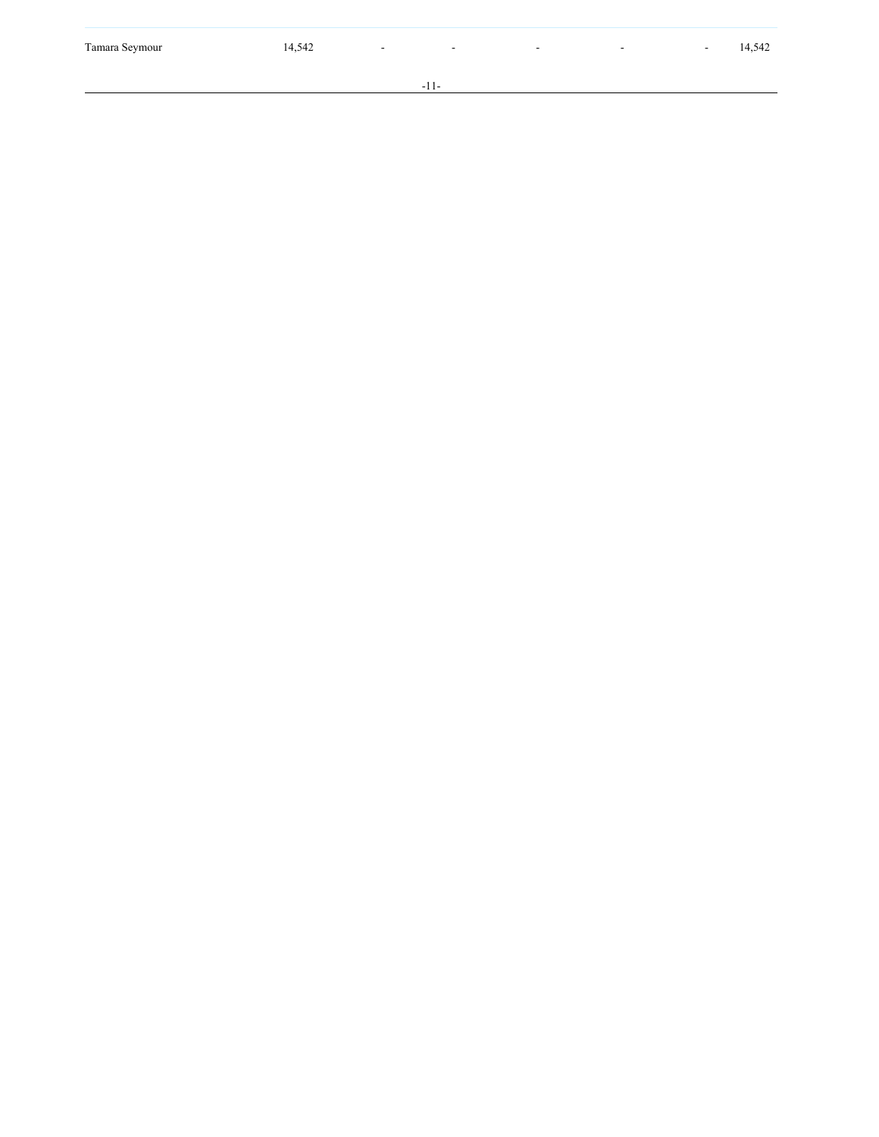- 1 1 -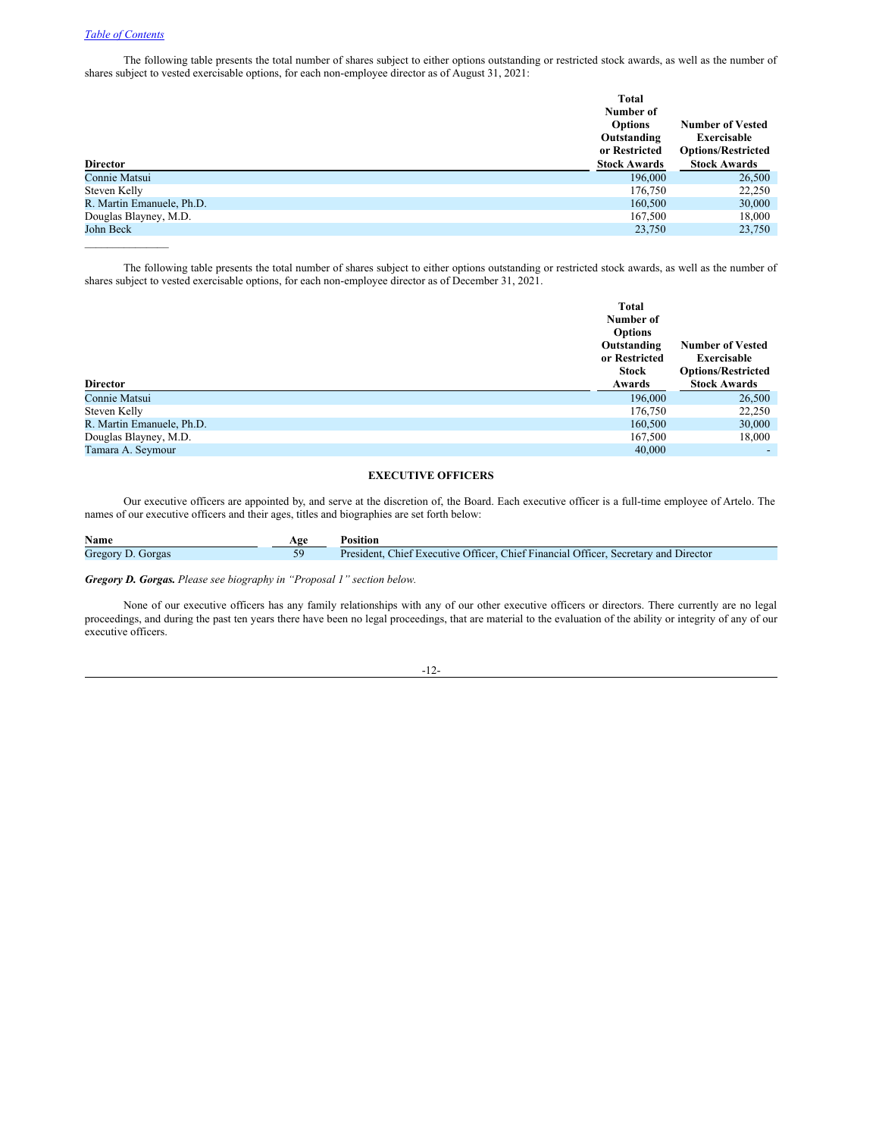# *Table of [Contents](#page-3-0)*

The following table presents the total number of shares subject to either options outstanding or restricted stock awards, as well as the number of shares subject to vested exercisable options, for each non-employee director as of August 31, 2021:

| <b>Director</b>           | <b>Total</b><br>Number of<br><b>Options</b><br>Outstanding<br>or Restricted<br><b>Stock Awards</b> | <b>Number of Vested</b><br>Exercisable<br><b>Options/Restricted</b><br><b>Stock Awards</b> |
|---------------------------|----------------------------------------------------------------------------------------------------|--------------------------------------------------------------------------------------------|
| Connie Matsui             | 196,000                                                                                            | 26,500                                                                                     |
| Steven Kelly              | 176,750                                                                                            | 22,250                                                                                     |
| R. Martin Emanuele, Ph.D. | 160,500                                                                                            | 30,000                                                                                     |
| Douglas Blayney, M.D.     | 167,500                                                                                            | 18,000                                                                                     |
| John Beck                 | 23,750                                                                                             | 23,750                                                                                     |
|                           |                                                                                                    |                                                                                            |

The following table presents the total number of shares subject to either options outstanding or restricted stock awards, as well as the number of shares subject to vested exercisable options, for each non-employee director as of December 31, 2021.

| <b>Director</b>           | Total<br>Number of<br><b>Options</b><br>Outstanding<br>or Restricted<br><b>Stock</b><br>Awards | <b>Number of Vested</b><br>Exercisable<br><b>Options/Restricted</b><br><b>Stock Awards</b> |
|---------------------------|------------------------------------------------------------------------------------------------|--------------------------------------------------------------------------------------------|
| Connie Matsui             |                                                                                                |                                                                                            |
|                           | 196,000                                                                                        | 26,500                                                                                     |
| Steven Kelly              | 176,750                                                                                        | 22,250                                                                                     |
| R. Martin Emanuele, Ph.D. | 160,500                                                                                        | 30,000                                                                                     |
| Douglas Blayney, M.D.     | 167,500                                                                                        | 18,000                                                                                     |
| Tamara A. Seymour         | 40,000                                                                                         |                                                                                            |

# <span id="page-16-0"></span>**EXECUTIVE OFFICERS**

Our executive officers are appointed by, and serve at the discretion of, the Board. Each executive officer is a full-time employee of Artelo. The names of our executive officers and their ages, titles and biographies are set forth below:

| Name              | Age | <b>Position</b>                                                                     |
|-------------------|-----|-------------------------------------------------------------------------------------|
| Gregory D. Gorgas |     | President, Chief Executive Officer, Chief Financial Officer, Secretary and Director |

*Gregory D. Gorgas. Please see biography in "Proposal 1" section below.*

None of our executive officers has any family relationships with any of our other executive officers or directors. There currently are no legal proceedings, and during the past ten years there have been no legal proceedings, that are material to the evaluation of the ability or integrity of any of our executive officers.

-12-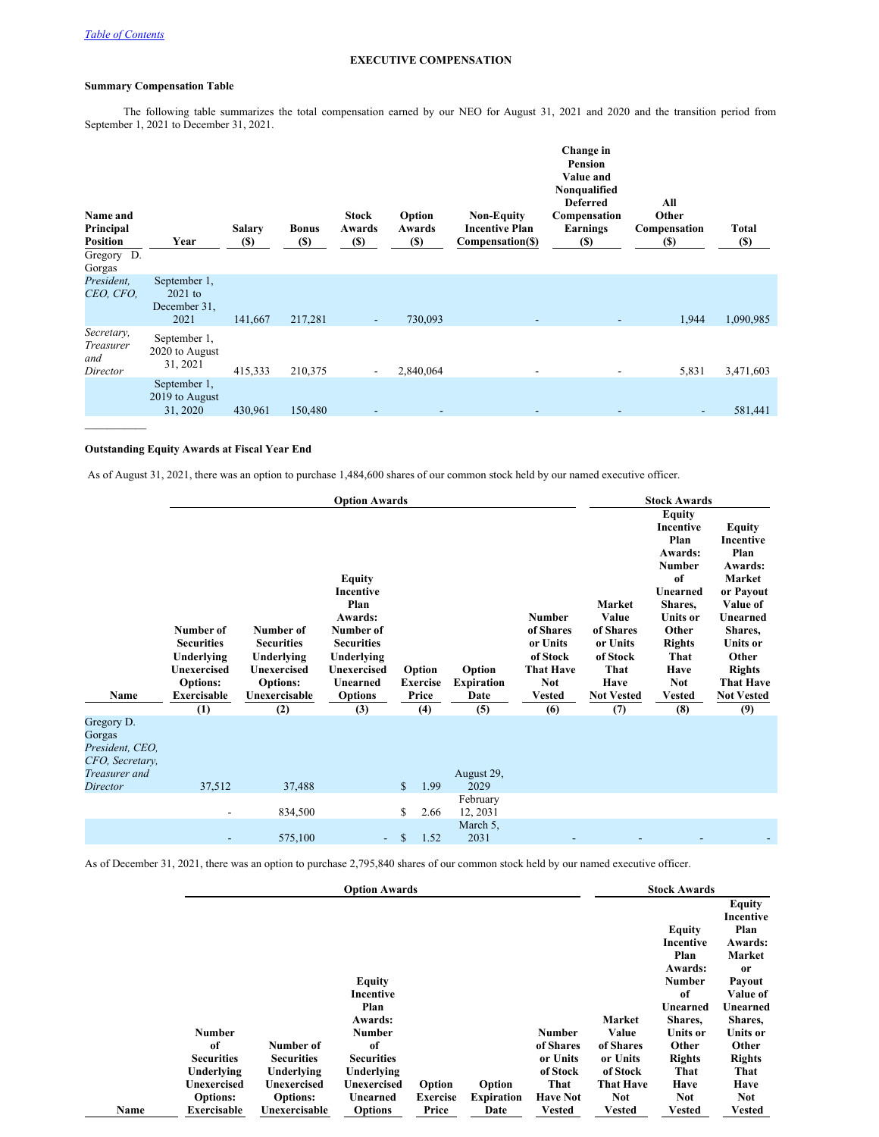# <span id="page-17-0"></span>**EXECUTIVE COMPENSATION**

# **Summary Compensation Table**

The following table summarizes the total compensation earned by our NEO for August 31, 2021 and 2020 and the transition period from September 1, 2021 to December 31, 2021.

| Name and<br>Principal<br><b>Position</b><br>Gregory D.<br>Gorgas | Year                                              | <b>Salary</b><br><b>(\$)</b> | <b>Bonus</b><br><b>(\$)</b> | Stock<br>Awards<br><b>(\$)</b> | Option<br>Awards<br><b>(\$)</b> | <b>Non-Equity</b><br><b>Incentive Plan</b><br>Compensation(\$) | Change in<br><b>Pension</b><br>Value and<br>Nonqualified<br><b>Deferred</b><br>Compensation<br>Earnings<br><b>(\$)</b> | All<br>Other<br>Compensation<br>(S) | <b>Total</b><br>(S) |
|------------------------------------------------------------------|---------------------------------------------------|------------------------------|-----------------------------|--------------------------------|---------------------------------|----------------------------------------------------------------|------------------------------------------------------------------------------------------------------------------------|-------------------------------------|---------------------|
| President,<br>CEO, CFO,                                          | September 1,<br>$2021$ to<br>December 31,<br>2021 | 141,667                      | 217,281                     | $\overline{\phantom{a}}$       | 730,093                         |                                                                |                                                                                                                        | 1,944                               | 1,090,985           |
| Secretary,<br>Treasurer<br>and<br>Director                       | September 1,<br>2020 to August<br>31, 2021        | 415,333                      | 210,375                     |                                | 2,840,064                       |                                                                |                                                                                                                        | 5,831                               | 3,471,603           |
|                                                                  | September 1,<br>2019 to August<br>31, 2020        | 430,961                      | 150,480                     | $\overline{\phantom{a}}$       | $\overline{\phantom{a}}$        |                                                                |                                                                                                                        |                                     | 581,441             |

# **Outstanding Equity Awards at Fiscal Year End**

As of August 31, 2021, there was an option to purchase 1,484,600 shares of our common stock held by our named executive officer.

|                                                                                         | <b>Option Awards</b>                                                                                        |                                                                                                        |                                                                                                                                                   |              |                                    |                                     |                                                                                                |                                                                                                  | <b>Stock Awards</b>                                                                                                                                                                     |                                                                                                                                                                                                             |  |  |
|-----------------------------------------------------------------------------------------|-------------------------------------------------------------------------------------------------------------|--------------------------------------------------------------------------------------------------------|---------------------------------------------------------------------------------------------------------------------------------------------------|--------------|------------------------------------|-------------------------------------|------------------------------------------------------------------------------------------------|--------------------------------------------------------------------------------------------------|-----------------------------------------------------------------------------------------------------------------------------------------------------------------------------------------|-------------------------------------------------------------------------------------------------------------------------------------------------------------------------------------------------------------|--|--|
| Name                                                                                    | Number of<br><b>Securities</b><br>Underlying<br><b>Unexercised</b><br><b>Options:</b><br><b>Exercisable</b> | Number of<br><b>Securities</b><br>Underlying<br><b>Unexercised</b><br><b>Options:</b><br>Unexercisable | <b>Equity</b><br>Incentive<br>Plan<br>Awards:<br>Number of<br><b>Securities</b><br>Underlying<br><b>Unexercised</b><br>Unearned<br><b>Options</b> |              | Option<br><b>Exercise</b><br>Price | Option<br><b>Expiration</b><br>Date | <b>Number</b><br>of Shares<br>or Units<br>of Stock<br><b>That Have</b><br><b>Not</b><br>Vested | <b>Market</b><br>Value<br>of Shares<br>or Units<br>of Stock<br>That<br>Have<br><b>Not Vested</b> | <b>Equity</b><br>Incentive<br>Plan<br>Awards:<br><b>Number</b><br>of<br>Unearned<br>Shares,<br><b>Units or</b><br>Other<br><b>Rights</b><br>That<br>Have<br><b>Not</b><br><b>Vested</b> | <b>Equity</b><br><b>Incentive</b><br>Plan<br>Awards:<br><b>Market</b><br>or Payout<br>Value of<br>Unearned<br>Shares,<br><b>Units or</b><br>Other<br><b>Rights</b><br><b>That Have</b><br><b>Not Vested</b> |  |  |
|                                                                                         | (1)                                                                                                         | (2)                                                                                                    | (3)                                                                                                                                               |              | (4)                                | (5)                                 | (6)                                                                                            | (7)                                                                                              | (8)                                                                                                                                                                                     | (9)                                                                                                                                                                                                         |  |  |
| Gregory D.<br>Gorgas<br>President, CEO,<br>CFO, Secretary,<br>Treasurer and<br>Director | 37,512                                                                                                      | 37,488                                                                                                 |                                                                                                                                                   | $\mathbb{S}$ | 1.99                               | August 29,<br>2029                  |                                                                                                |                                                                                                  |                                                                                                                                                                                         |                                                                                                                                                                                                             |  |  |
|                                                                                         |                                                                                                             |                                                                                                        |                                                                                                                                                   |              |                                    | February                            |                                                                                                |                                                                                                  |                                                                                                                                                                                         |                                                                                                                                                                                                             |  |  |
|                                                                                         |                                                                                                             | 834,500                                                                                                |                                                                                                                                                   | \$           | 2.66                               | 12, 2031                            |                                                                                                |                                                                                                  |                                                                                                                                                                                         |                                                                                                                                                                                                             |  |  |
|                                                                                         |                                                                                                             | 575,100                                                                                                | ٠                                                                                                                                                 | $\mathbb{S}$ | 1.52                               | March 5,<br>2031                    |                                                                                                |                                                                                                  |                                                                                                                                                                                         |                                                                                                                                                                                                             |  |  |

As of December 31, 2021, there was an option to purchase 2,795,840 shares of our common stock held by our named executive officer.

|      | <b>Option Awards</b> |                   |                    |          |                   |                 |                  | <b>Stock Awards</b> |                            |
|------|----------------------|-------------------|--------------------|----------|-------------------|-----------------|------------------|---------------------|----------------------------|
|      |                      |                   |                    |          |                   |                 |                  |                     | <b>Equity</b><br>Incentive |
|      |                      |                   |                    |          |                   |                 |                  | <b>Equity</b>       | Plan                       |
|      |                      |                   |                    |          |                   |                 |                  | Incentive           | Awards:                    |
|      |                      |                   |                    |          |                   |                 |                  | Plan                | Market                     |
|      |                      |                   |                    |          |                   |                 |                  | Awards:             | <sub>or</sub>              |
|      |                      |                   | <b>Equity</b>      |          |                   |                 |                  | <b>Number</b>       | Payout                     |
|      |                      |                   | Incentive          |          |                   |                 |                  | of                  | Value of                   |
|      |                      |                   | Plan               |          |                   |                 |                  | Unearned            | Unearned                   |
|      |                      |                   | Awards:            |          |                   |                 | Market           | Shares,             | Shares,                    |
|      | <b>Number</b>        |                   | <b>Number</b>      |          |                   | <b>Number</b>   | Value            | Units or            | <b>Units or</b>            |
|      | of                   | Number of         | of                 |          |                   | of Shares       | of Shares        | Other               | Other                      |
|      | <b>Securities</b>    | <b>Securities</b> | <b>Securities</b>  |          |                   | or Units        | or Units         | <b>Rights</b>       | <b>Rights</b>              |
|      | Underlying           | Underlying        | Underlying         |          |                   | of Stock        | of Stock         | That                | That                       |
|      | Unexercised          | Unexercised       | <b>Unexercised</b> | Option   | Option            | That            | <b>That Have</b> | Have                | Have                       |
|      | <b>Options:</b>      | <b>Options:</b>   | Unearned           | Exercise | <b>Expiration</b> | <b>Have Not</b> | <b>Not</b>       | <b>Not</b>          | <b>Not</b>                 |
| Name | Exercisable          | Unexercisable     | <b>Options</b>     | Price    | Date              | <b>Vested</b>   | Vested           | <b>Vested</b>       | <b>Vested</b>              |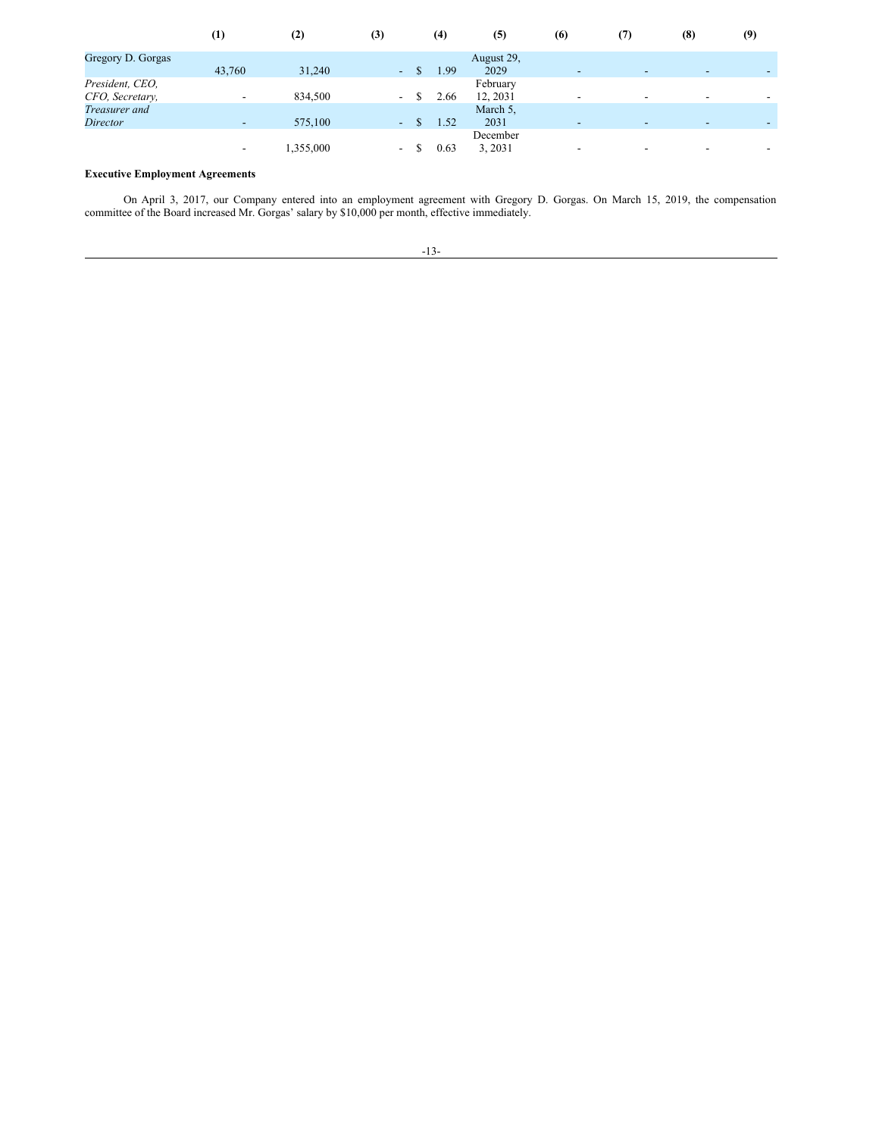|                                    | $\left( 1\right)$        | (2)       | (3)                      | (4)  | (5)                  | (6)                      | (7) | (8)                      | (9) |
|------------------------------------|--------------------------|-----------|--------------------------|------|----------------------|--------------------------|-----|--------------------------|-----|
| Gregory D. Gorgas                  | 43,760                   | 31,240    | $\sim$                   | 1.99 | August 29,<br>2029   | $\overline{\phantom{a}}$ |     | -                        |     |
| President, CEO,<br>CFO, Secretary, | $\overline{\phantom{0}}$ | 834,500   | $\overline{\phantom{a}}$ | 2.66 | February<br>12, 2031 | $\overline{\phantom{a}}$ |     | $\overline{\phantom{0}}$ |     |
| Treasurer and<br><i>Director</i>   | $\overline{\phantom{0}}$ | 575,100   | $\sim$                   | 1.52 | March 5,<br>2031     | $\overline{\phantom{0}}$ |     | $\overline{\phantom{a}}$ |     |
|                                    | $\overline{\phantom{a}}$ | 1,355,000 | -                        | 0.63 | December<br>3, 2031  | $\overline{\phantom{a}}$ |     | $\overline{\phantom{a}}$ |     |

# **Executive Employment Agreements**

On April 3, 2017, our Company entered into an employment agreement with Gregory D. Gorgas. On March 15, 2019, the compensation committee of the Board increased Mr. Gorgas' salary by \$10,000 per month, effective immediately.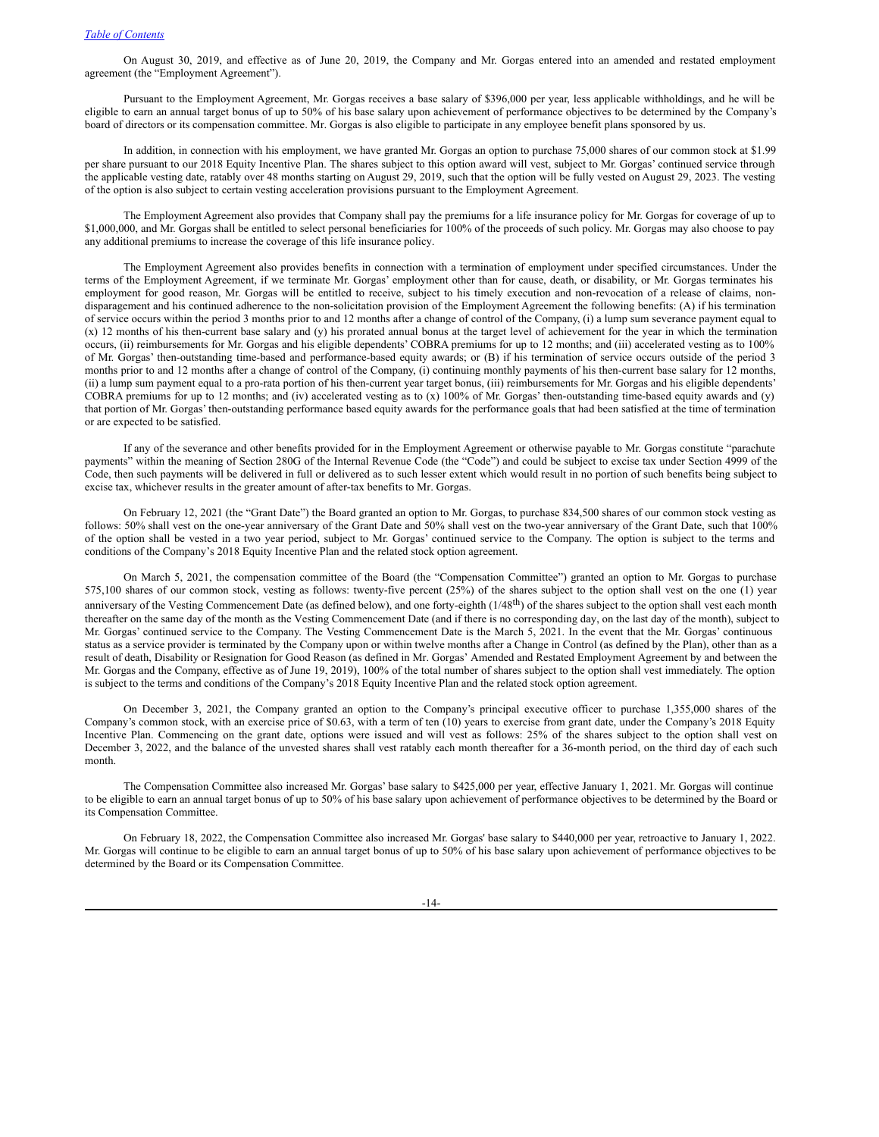On August 30, 2019, and effective as of June 20, 2019, the Company and Mr. Gorgas entered into an amended and restated employment agreement (the "Employment Agreement").

Pursuant to the Employment Agreement, Mr. Gorgas receives a base salary of \$396,000 per year, less applicable withholdings, and he will be eligible to earn an annual target bonus of up to 50% of his base salary upon achievement of performance objectives to be determined by the Company's board of directors or its compensation committee. Mr. Gorgas is also eligible to participate in any employee benefit plans sponsored by us.

In addition, in connection with his employment, we have granted Mr. Gorgas an option to purchase 75,000 shares of our common stock at \$1.99 per share pursuant to our 2018 Equity Incentive Plan. The shares subject to this option award will vest, subject to Mr. Gorgas' continued service through the applicable vesting date, ratably over 48 months starting on August 29, 2019, such that the option will be fully vested on August 29, 2023. The vesting of the option is also subject to certain vesting acceleration provisions pursuant to the Employment Agreement.

The Employment Agreement also provides that Company shall pay the premiums for a life insurance policy for Mr. Gorgas for coverage of up to \$1,000,000, and Mr. Gorgas shall be entitled to select personal beneficiaries for 100% of the proceeds of such policy. Mr. Gorgas may also choose to pay any additional premiums to increase the coverage of this life insurance policy.

The Employment Agreement also provides benefits in connection with a termination of employment under specified circumstances. Under the terms of the Employment Agreement, if we terminate Mr. Gorgas' employment other than for cause, death, or disability, or Mr. Gorgas terminates his employment for good reason, Mr. Gorgas will be entitled to receive, subject to his timely execution and non-revocation of a release of claims, nondisparagement and his continued adherence to the non-solicitation provision of the Employment Agreement the following benefits: (A) if his termination of service occurs within the period 3 months prior to and 12 months after a change of control of the Company, (i) a lump sum severance payment equal to (x) 12 months of his then-current base salary and (y) his prorated annual bonus at the target level of achievement for the year in which the termination occurs, (ii) reimbursements for Mr. Gorgas and his eligible dependents' COBRA premiums for up to 12 months; and (iii) accelerated vesting as to 100% of Mr. Gorgas' then-outstanding time-based and performance-based equity awards; or (B) if his termination of service occurs outside of the period 3 months prior to and 12 months after a change of control of the Company, (i) continuing monthly payments of his then-current base salary for 12 months, (ii) a lump sum payment equal to a pro-rata portion of his then-current year target bonus, (iii) reimbursements for Mr. Gorgas and his eligible dependents' COBRA premiums for up to 12 months; and (iv) accelerated vesting as to (x) 100% of Mr. Gorgas' then-outstanding time-based equity awards and (y) that portion of Mr. Gorgas' then-outstanding performance based equity awards for the performance goals that had been satisfied at the time of termination or are expected to be satisfied.

If any of the severance and other benefits provided for in the Employment Agreement or otherwise payable to Mr. Gorgas constitute "parachute payments" within the meaning of Section 280G of the Internal Revenue Code (the "Code") and could be subject to excise tax under Section 4999 of the Code, then such payments will be delivered in full or delivered as to such lesser extent which would result in no portion of such benefits being subject to excise tax, whichever results in the greater amount of after-tax benefits to Mr. Gorgas.

On February 12, 2021 (the "Grant Date") the Board granted an option to Mr. Gorgas, to purchase 834,500 shares of our common stock vesting as follows: 50% shall vest on the one-year anniversary of the Grant Date and 50% shall vest on the two-year anniversary of the Grant Date, such that 100% of the option shall be vested in a two year period, subject to Mr. Gorgas' continued service to the Company. The option is subject to the terms and conditions of the Company's 2018 Equity Incentive Plan and the related stock option agreement.

On March 5, 2021, the compensation committee of the Board (the "Compensation Committee") granted an option to Mr. Gorgas to purchase 575,100 shares of our common stock, vesting as follows: twenty-five percent (25%) of the shares subject to the option shall vest on the one (1) year anniversary of the Vesting Commencement Date (as defined below), and one forty-eighth (1/48<sup>th</sup>) of the shares subject to the option shall vest each month thereafter on the same day of the month as the Vesting Commencement Date (and if there is no corresponding day, on the last day of the month), subject to Mr. Gorgas' continued service to the Company. The Vesting Commencement Date is the March 5, 2021. In the event that the Mr. Gorgas' continuous status as a service provider is terminated by the Company upon or within twelve months after a Change in Control (as defined by the Plan), other than as a result of death, Disability or Resignation for Good Reason (as defined in Mr. Gorgas' Amended and Restated Employment Agreement by and between the Mr. Gorgas and the Company, effective as of June 19, 2019), 100% of the total number of shares subject to the option shall vest immediately. The option is subject to the terms and conditions of the Company's 2018 Equity Incentive Plan and the related stock option agreement.

On December 3, 2021, the Company granted an option to the Company's principal executive officer to purchase 1,355,000 shares of the Company's common stock, with an exercise price of \$0.63, with a term of ten (10) years to exercise from grant date, under the Company's 2018 Equity Incentive Plan. Commencing on the grant date, options were issued and will vest as follows: 25% of the shares subject to the option shall vest on December 3, 2022, and the balance of the unvested shares shall vest ratably each month thereafter for a 36-month period, on the third day of each such month.

The Compensation Committee also increased Mr. Gorgas' base salary to \$425,000 per year, effective January 1, 2021. Mr. Gorgas will continue to be eligible to earn an annual target bonus of up to 50% of his base salary upon achievement of performance objectives to be determined by the Board or its Compensation Committee.

On February 18, 2022, the Compensation Committee also increased Mr. Gorgas' base salary to \$440,000 per year, retroactive to January 1, 2022. Mr. Gorgas will continue to be eligible to earn an annual target bonus of up to 50% of his base salary upon achievement of performance objectives to be determined by the Board or its Compensation Committee.

-14-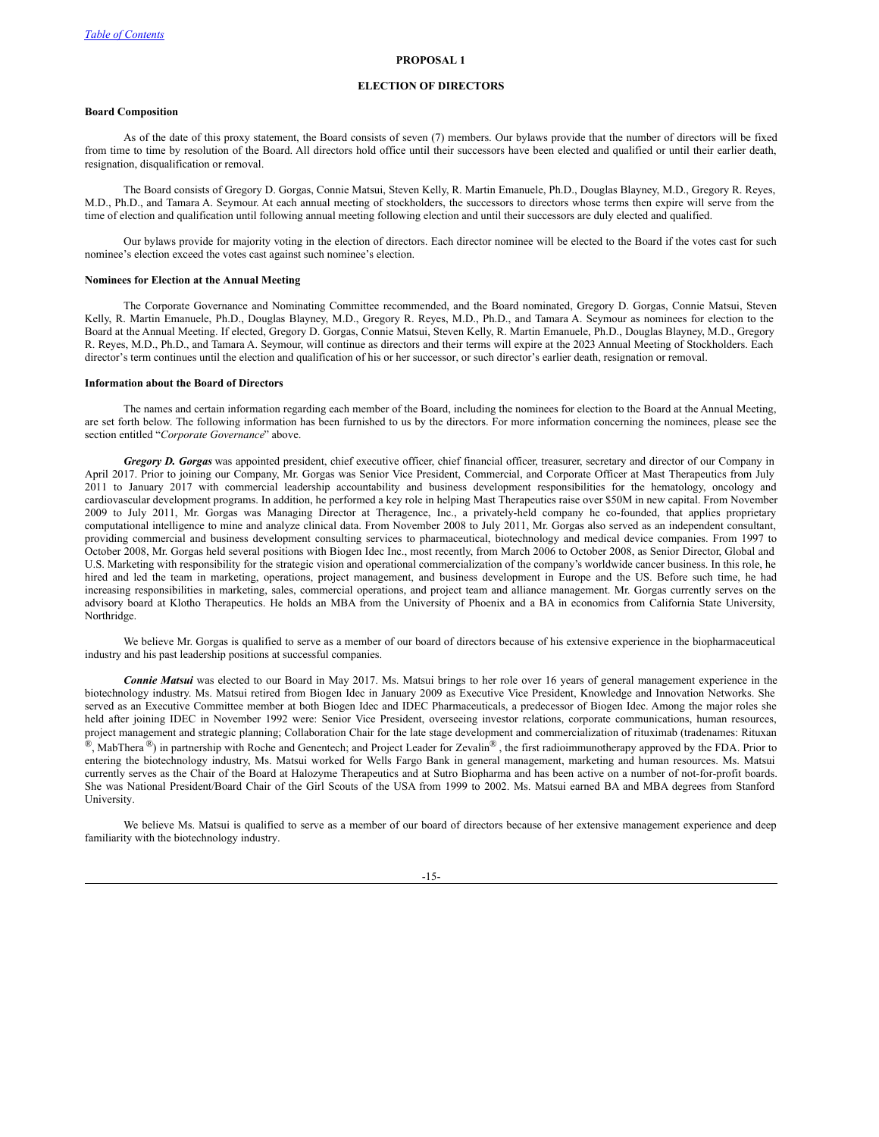# <span id="page-20-0"></span>**ELECTION OF DIRECTORS**

#### **Board Composition**

As of the date of this proxy statement, the Board consists of seven (7) members. Our bylaws provide that the number of directors will be fixed from time to time by resolution of the Board. All directors hold office until their successors have been elected and qualified or until their earlier death, resignation, disqualification or removal.

The Board consists of Gregory D. Gorgas, Connie Matsui, Steven Kelly, R. Martin Emanuele, Ph.D., Douglas Blayney, M.D., Gregory R. Reyes, M.D., Ph.D., and Tamara A. Seymour. At each annual meeting of stockholders, the successors to directors whose terms then expire will serve from the time of election and qualification until following annual meeting following election and until their successors are duly elected and qualified.

Our bylaws provide for majority voting in the election of directors. Each director nominee will be elected to the Board if the votes cast for such nominee's election exceed the votes cast against such nominee's election.

#### **Nominees for Election at the Annual Meeting**

The Corporate Governance and Nominating Committee recommended, and the Board nominated, Gregory D. Gorgas, Connie Matsui, Steven Kelly, R. Martin Emanuele, Ph.D., Douglas Blayney, M.D., Gregory R. Reyes, M.D., Ph.D., and Tamara A. Seymour as nominees for election to the Board at the Annual Meeting. If elected, Gregory D. Gorgas, Connie Matsui, Steven Kelly, R. Martin Emanuele, Ph.D., Douglas Blayney, M.D., Gregory R. Reyes, M.D., Ph.D., and Tamara A. Seymour, will continue as directors and their terms will expire at the 2023 Annual Meeting of Stockholders. Each director's term continues until the election and qualification of his or her successor, or such director's earlier death, resignation or removal.

#### **Information about the Board of Directors**

The names and certain information regarding each member of the Board, including the nominees for election to the Board at the Annual Meeting, are set forth below. The following information has been furnished to us by the directors. For more information concerning the nominees, please see the section entitled "*Corporate Governance*" above.

*Gregory D. Gorgas* was appointed president, chief executive officer, chief financial officer, treasurer, secretary and director of our Company in April 2017. Prior to joining our Company, Mr. Gorgas was Senior Vice President, Commercial, and Corporate Officer at Mast Therapeutics from July 2011 to January 2017 with commercial leadership accountability and business development responsibilities for the hematology, oncology and cardiovascular development programs. In addition, he performed a key role in helping Mast Therapeutics raise over \$50M in new capital. From November 2009 to July 2011, Mr. Gorgas was Managing Director at Theragence, Inc., a privately-held company he co-founded, that applies proprietary computational intelligence to mine and analyze clinical data. From November 2008 to July 2011, Mr. Gorgas also served as an independent consultant, providing commercial and business development consulting services to pharmaceutical, biotechnology and medical device companies. From 1997 to October 2008, Mr. Gorgas held several positions with Biogen Idec Inc., most recently, from March 2006 to October 2008, as Senior Director, Global and U.S. Marketing with responsibility for the strategic vision and operational commercialization of the company's worldwide cancer business. In this role, he hired and led the team in marketing, operations, project management, and business development in Europe and the US. Before such time, he had increasing responsibilities in marketing, sales, commercial operations, and project team and alliance management. Mr. Gorgas currently serves on the advisory board at Klotho Therapeutics. He holds an MBA from the University of Phoenix and a BA in economics from California State University, Northridge.

We believe Mr. Gorgas is qualified to serve as a member of our board of directors because of his extensive experience in the biopharmaceutical industry and his past leadership positions at successful companies.

*Connie Matsui* was elected to our Board in May 2017. Ms. Matsui brings to her role over 16 years of general management experience in the biotechnology industry. Ms. Matsui retired from Biogen Idec in January 2009 as Executive Vice President, Knowledge and Innovation Networks. She served as an Executive Committee member at both Biogen Idec and IDEC Pharmaceuticals, a predecessor of Biogen Idec. Among the major roles she held after joining IDEC in November 1992 were: Senior Vice President, overseeing investor relations, corporate communications, human resources, project management and strategic planning; Collaboration Chair for the late stage development and commercialization of rituximab (tradenames: Rituxan  $\mathcal{R}$ , MabThera  $\mathcal{R}$ ) in partnership with Roche and Genentech; and Project Leader for Zevalin $\mathcal{R}$ , the first radioimmunotherapy approved by the FDA. Prior to entering the biotechnology industry, Ms. Matsui worked for Wells Fargo Bank in general management, marketing and human resources. Ms. Matsui currently serves as the Chair of the Board at Halozyme Therapeutics and at Sutro Biopharma and has been active on a number of not-for-profit boards. She was National President/Board Chair of the Girl Scouts of the USA from 1999 to 2002. Ms. Matsui earned BA and MBA degrees from Stanford University.

We believe Ms. Matsui is qualified to serve as a member of our board of directors because of her extensive management experience and deep familiarity with the biotechnology industry.

-15-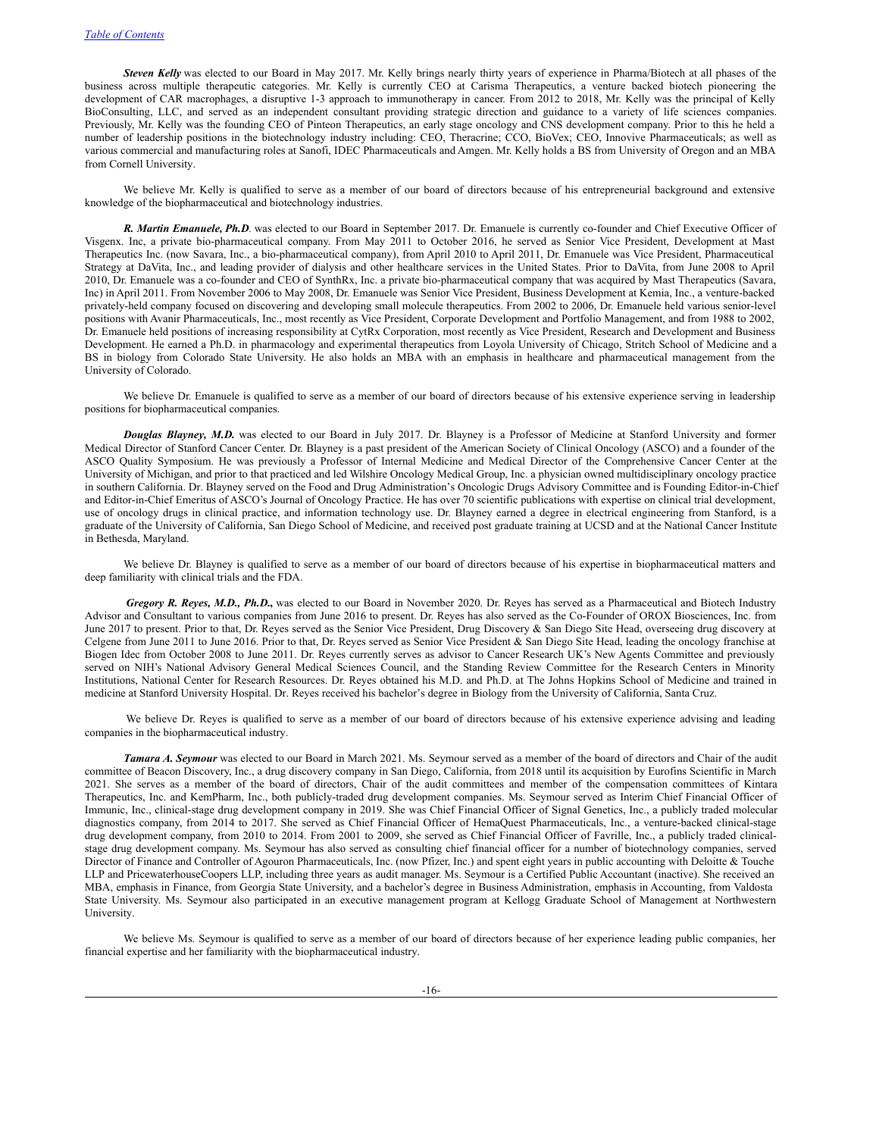*Steven Kelly* was elected to our Board in May 2017. Mr. Kelly brings nearly thirty years of experience in Pharma/Biotech at all phases of the business across multiple therapeutic categories. Mr. Kelly is currently CEO at Carisma Therapeutics, a venture backed biotech pioneering the development of CAR macrophages, a disruptive 1-3 approach to immunotherapy in cancer. From 2012 to 2018, Mr. Kelly was the principal of Kelly BioConsulting, LLC, and served as an independent consultant providing strategic direction and guidance to a variety of life sciences companies. Previously, Mr. Kelly was the founding CEO of Pinteon Therapeutics, an early stage oncology and CNS development company. Prior to this he held a number of leadership positions in the biotechnology industry including: CEO, Theracrine; CCO, BioVex; CEO, Innovive Pharmaceuticals; as well as various commercial and manufacturing roles at Sanofi, IDEC Pharmaceuticals and Amgen. Mr. Kelly holds a BS from University of Oregon and an MBA from Cornell University.

We believe Mr. Kelly is qualified to serve as a member of our board of directors because of his entrepreneurial background and extensive knowledge of the biopharmaceutical and biotechnology industries.

*R. Martin Emanuele, Ph.D.* was elected to our Board in September 2017. Dr. Emanuele is currently co-founder and Chief Executive Officer of Visgenx. Inc, a private bio-pharmaceutical company. From May 2011 to October 2016, he served as Senior Vice President, Development at Mast Therapeutics Inc. (now Savara, Inc., a bio-pharmaceutical company), from April 2010 to April 2011, Dr. Emanuele was Vice President, Pharmaceutical Strategy at DaVita, Inc., and leading provider of dialysis and other healthcare services in the United States. Prior to DaVita, from June 2008 to April 2010, Dr. Emanuele was a co-founder and CEO of SynthRx, Inc. a private bio-pharmaceutical company that was acquired by Mast Therapeutics (Savara, Inc) in April 2011. From November 2006 to May 2008, Dr. Emanuele was Senior Vice President, Business Development at Kemia, Inc., a venture-backed privately-held company focused on discovering and developing small molecule therapeutics. From 2002 to 2006, Dr. Emanuele held various senior-level positions with Avanir Pharmaceuticals, Inc., most recently as Vice President, Corporate Development and Portfolio Management, and from 1988 to 2002, Dr. Emanuele held positions of increasing responsibility at CytRx Corporation, most recently as Vice President, Research and Development and Business Development. He earned a Ph.D. in pharmacology and experimental therapeutics from Loyola University of Chicago, Stritch School of Medicine and a BS in biology from Colorado State University. He also holds an MBA with an emphasis in healthcare and pharmaceutical management from the University of Colorado.

We believe Dr. Emanuele is qualified to serve as a member of our board of directors because of his extensive experience serving in leadership positions for biopharmaceutical companies.

*Douglas Blayney, M.D.* was elected to our Board in July 2017. Dr. Blayney is a Professor of Medicine at Stanford University and former Medical Director of Stanford Cancer Center. Dr. Blayney is a past president of the American Society of Clinical Oncology (ASCO) and a founder of the ASCO Quality Symposium. He was previously a Professor of Internal Medicine and Medical Director of the Comprehensive Cancer Center at the University of Michigan, and prior to that practiced and led Wilshire Oncology Medical Group, Inc. a physician owned multidisciplinary oncology practice in southern California. Dr. Blayney served on the Food and Drug Administration's Oncologic Drugs Advisory Committee and is Founding Editor-in-Chief and Editor-in-Chief Emeritus of ASCO's Journal of Oncology Practice. He has over 70 scientific publications with expertise on clinical trial development, use of oncology drugs in clinical practice, and information technology use. Dr. Blayney earned a degree in electrical engineering from Stanford, is a graduate of the University of California, San Diego School of Medicine, and received post graduate training at UCSD and at the National Cancer Institute in Bethesda, Maryland.

We believe Dr. Blayney is qualified to serve as a member of our board of directors because of his expertise in biopharmaceutical matters and deep familiarity with clinical trials and the FDA.

*Gregory R. Reyes, M.D., Ph.D.***,** was elected to our Board in November 2020. Dr. Reyes has served as a Pharmaceutical and Biotech Industry Advisor and Consultant to various companies from June 2016 to present. Dr. Reyes has also served as the Co-Founder of OROX Biosciences, Inc. from June 2017 to present. Prior to that, Dr. Reyes served as the Senior Vice President, Drug Discovery & San Diego Site Head, overseeing drug discovery at Celgene from June 2011 to June 2016. Prior to that, Dr. Reyes served as Senior Vice President & San Diego Site Head, leading the oncology franchise at Biogen Idec from October 2008 to June 2011. Dr. Reyes currently serves as advisor to Cancer Research UK's New Agents Committee and previously served on NIH's National Advisory General Medical Sciences Council, and the Standing Review Committee for the Research Centers in Minority Institutions, National Center for Research Resources. Dr. Reyes obtained his M.D. and Ph.D. at The Johns Hopkins School of Medicine and trained in medicine at Stanford University Hospital. Dr. Reyes received his bachelor's degree in Biology from the University of California, Santa Cruz.

We believe Dr. Reyes is qualified to serve as a member of our board of directors because of his extensive experience advising and leading companies in the biopharmaceutical industry.

*Tamara A. Seymour* was elected to our Board in March 2021. Ms. Seymour served as a member of the board of directors and Chair of the audit committee of Beacon Discovery, Inc., a drug discovery company in San Diego, California, from 2018 until its acquisition by Eurofins Scientific in March 2021. She serves as a member of the board of directors, Chair of the audit committees and member of the compensation committees of Kintara Therapeutics, Inc. and KemPharm, Inc., both publicly-traded drug development companies. Ms. Seymour served as Interim Chief Financial Officer of Immunic, Inc., clinical-stage drug development company in 2019. She was Chief Financial Officer of Signal Genetics, Inc., a publicly traded molecular diagnostics company, from 2014 to 2017. She served as Chief Financial Officer of HemaQuest Pharmaceuticals, Inc., a venture-backed clinical-stage drug development company, from 2010 to 2014. From 2001 to 2009, she served as Chief Financial Officer of Favrille, Inc., a publicly traded clinicalstage drug development company. Ms. Seymour has also served as consulting chief financial officer for a number of biotechnology companies, served Director of Finance and Controller of Agouron Pharmaceuticals, Inc. (now Pfizer, Inc.) and spent eight years in public accounting with Deloitte & Touche LLP and PricewaterhouseCoopers LLP, including three years as audit manager. Ms. Seymour is a Certified Public Accountant (inactive). She received an MBA, emphasis in Finance, from Georgia State University, and a bachelor's degree in Business Administration, emphasis in Accounting, from Valdosta State University. Ms. Seymour also participated in an executive management program at Kellogg Graduate School of Management at Northwestern University.

We believe Ms. Seymour is qualified to serve as a member of our board of directors because of her experience leading public companies, her financial expertise and her familiarity with the biopharmaceutical industry.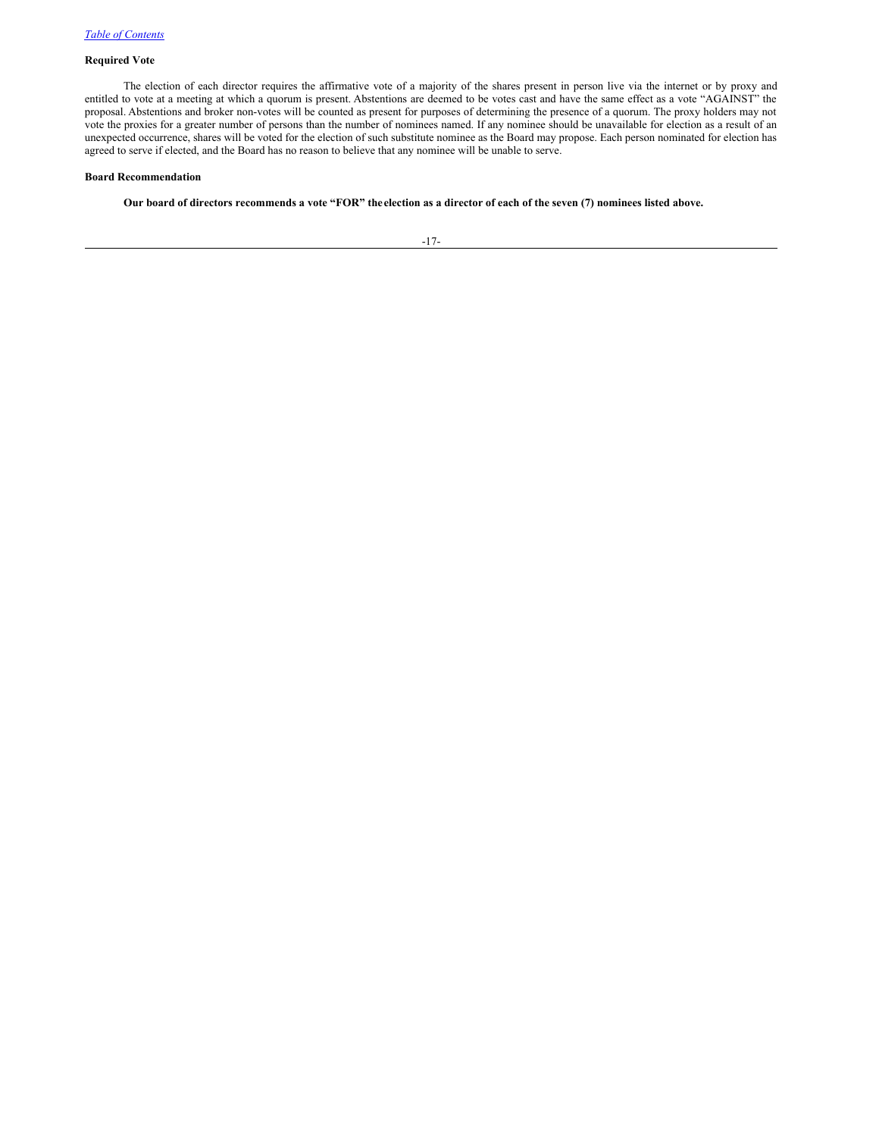# **Required Vote**

The election of each director requires the affirmative vote of a majority of the shares present in person live via the internet or by proxy and entitled to vote at a meeting at which a quorum is present. Abstentions are deemed to be votes cast and have the same effect as a vote "AGAINST" the proposal. Abstentions and broker non-votes will be counted as present for purposes of determining the presence of a quorum. The proxy holders may not vote the proxies for a greater number of persons than the number of nominees named. If any nominee should be unavailable for election as a result of an unexpected occurrence, shares will be voted for the election of such substitute nominee as the Board may propose. Each person nominated for election has agreed to serve if elected, and the Board has no reason to believe that any nominee will be unable to serve.

## **Board Recommendation**

Our board of directors recommends a vote "FOR" the election as a director of each of the seven (7) nominees listed above.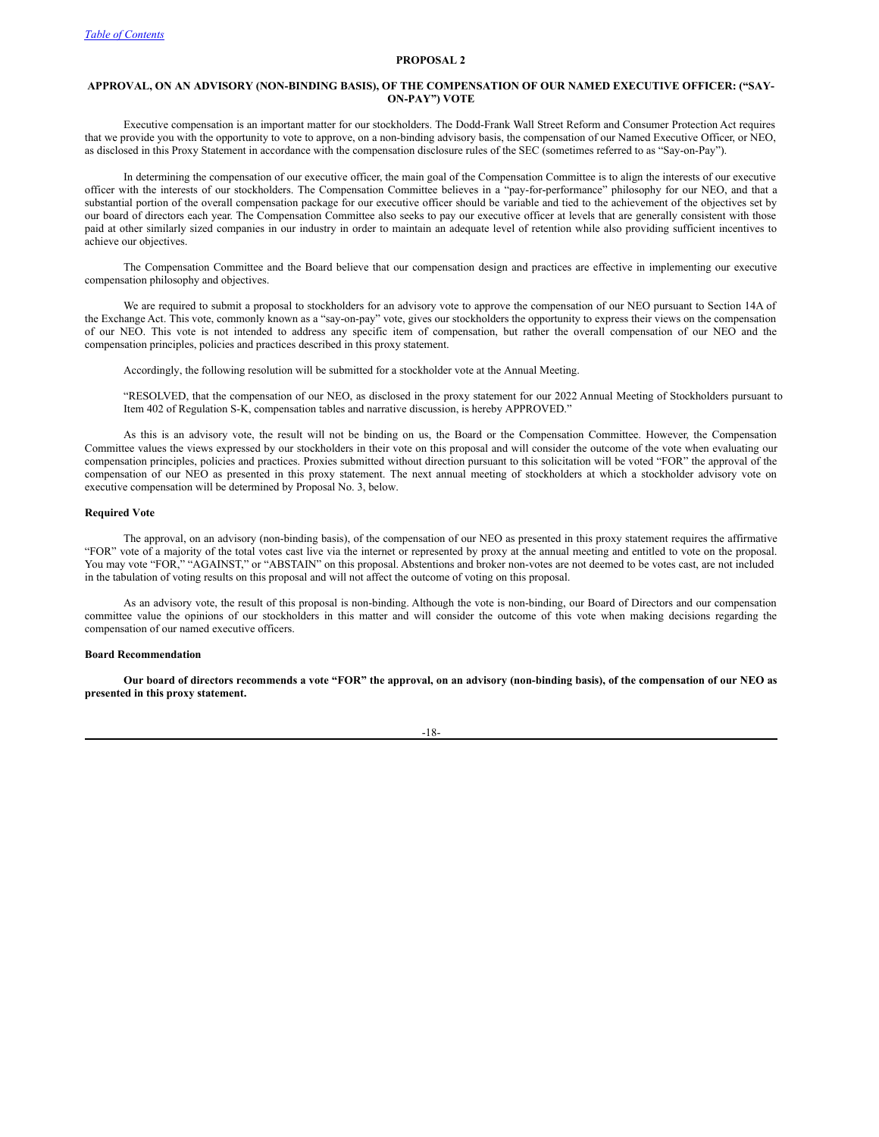# <span id="page-23-0"></span>**APPROVAL, ON AN ADVISORY (NON-BINDING BASIS), OF THE COMPENSATION OF OUR NAMED EXECUTIVE OFFICER: ("SAY-ON-PAY") VOTE**

Executive compensation is an important matter for our stockholders. The Dodd-Frank Wall Street Reform and Consumer Protection Act requires that we provide you with the opportunity to vote to approve, on a non-binding advisory basis, the compensation of our Named Executive Officer, or NEO, as disclosed in this Proxy Statement in accordance with the compensation disclosure rules of the SEC (sometimes referred to as "Say-on-Pay").

In determining the compensation of our executive officer, the main goal of the Compensation Committee is to align the interests of our executive officer with the interests of our stockholders. The Compensation Committee believes in a "pay-for-performance" philosophy for our NEO, and that a substantial portion of the overall compensation package for our executive officer should be variable and tied to the achievement of the objectives set by our board of directors each year. The Compensation Committee also seeks to pay our executive officer at levels that are generally consistent with those paid at other similarly sized companies in our industry in order to maintain an adequate level of retention while also providing sufficient incentives to achieve our objectives.

The Compensation Committee and the Board believe that our compensation design and practices are effective in implementing our executive compensation philosophy and objectives.

We are required to submit a proposal to stockholders for an advisory vote to approve the compensation of our NEO pursuant to Section 14A of the Exchange Act. This vote, commonly known as a "say-on-pay" vote, gives our stockholders the opportunity to express their views on the compensation of our NEO. This vote is not intended to address any specific item of compensation, but rather the overall compensation of our NEO and the compensation principles, policies and practices described in this proxy statement.

Accordingly, the following resolution will be submitted for a stockholder vote at the Annual Meeting.

"RESOLVED, that the compensation of our NEO, as disclosed in the proxy statement for our 2022 Annual Meeting of Stockholders pursuant to Item 402 of Regulation S-K, compensation tables and narrative discussion, is hereby APPROVED."

As this is an advisory vote, the result will not be binding on us, the Board or the Compensation Committee. However, the Compensation Committee values the views expressed by our stockholders in their vote on this proposal and will consider the outcome of the vote when evaluating our compensation principles, policies and practices. Proxies submitted without direction pursuant to this solicitation will be voted "FOR" the approval of the compensation of our NEO as presented in this proxy statement. The next annual meeting of stockholders at which a stockholder advisory vote on executive compensation will be determined by Proposal No. 3, below.

# **Required Vote**

The approval, on an advisory (non-binding basis), of the compensation of our NEO as presented in this proxy statement requires the affirmative "FOR" vote of a majority of the total votes cast live via the internet or represented by proxy at the annual meeting and entitled to vote on the proposal. You may vote "FOR," "AGAINST," or "ABSTAIN" on this proposal. Abstentions and broker non-votes are not deemed to be votes cast, are not included in the tabulation of voting results on this proposal and will not affect the outcome of voting on this proposal.

As an advisory vote, the result of this proposal is non-binding. Although the vote is non-binding, our Board of Directors and our compensation committee value the opinions of our stockholders in this matter and will consider the outcome of this vote when making decisions regarding the compensation of our named executive officers.

#### **Board Recommendation**

Our board of directors recommends a vote "FOR" the approval, on an advisory (non-binding basis), of the compensation of our NEO as **presented in this proxy statement.**

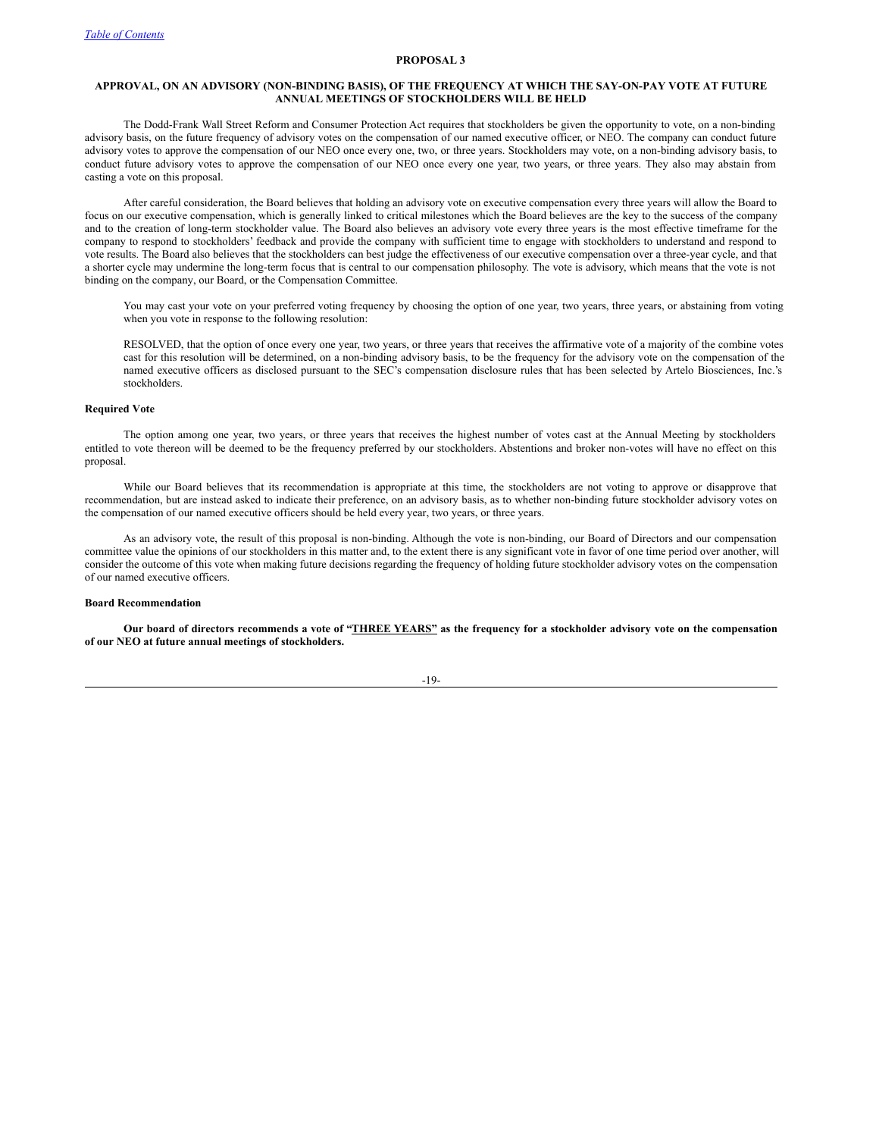# <span id="page-24-0"></span>**APPROVAL, ON AN ADVISORY (NON-BINDING BASIS), OF THE FREQUENCY AT WHICH THE SAY-ON-PAY VOTE AT FUTURE ANNUAL MEETINGS OF STOCKHOLDERS WILL BE HELD**

The Dodd-Frank Wall Street Reform and Consumer Protection Act requires that stockholders be given the opportunity to vote, on a non-binding advisory basis, on the future frequency of advisory votes on the compensation of our named executive officer, or NEO. The company can conduct future advisory votes to approve the compensation of our NEO once every one, two, or three years. Stockholders may vote, on a non-binding advisory basis, to conduct future advisory votes to approve the compensation of our NEO once every one year, two years, or three years. They also may abstain from casting a vote on this proposal.

After careful consideration, the Board believes that holding an advisory vote on executive compensation every three years will allow the Board to focus on our executive compensation, which is generally linked to critical milestones which the Board believes are the key to the success of the company and to the creation of long-term stockholder value. The Board also believes an advisory vote every three years is the most effective timeframe for the company to respond to stockholders' feedback and provide the company with sufficient time to engage with stockholders to understand and respond to vote results. The Board also believes that the stockholders can best judge the effectiveness of our executive compensation over a three-year cycle, and that a shorter cycle may undermine the long-term focus that is central to our compensation philosophy. The vote is advisory, which means that the vote is not binding on the company, our Board, or the Compensation Committee.

You may cast your vote on your preferred voting frequency by choosing the option of one year, two years, three years, or abstaining from voting when you vote in response to the following resolution:

RESOLVED, that the option of once every one year, two years, or three years that receives the affirmative vote of a majority of the combine votes cast for this resolution will be determined, on a non-binding advisory basis, to be the frequency for the advisory vote on the compensation of the named executive officers as disclosed pursuant to the SEC's compensation disclosure rules that has been selected by Artelo Biosciences, Inc.'s stockholders.

## **Required Vote**

The option among one year, two years, or three years that receives the highest number of votes cast at the Annual Meeting by stockholders entitled to vote thereon will be deemed to be the frequency preferred by our stockholders. Abstentions and broker non-votes will have no effect on this proposal.

While our Board believes that its recommendation is appropriate at this time, the stockholders are not voting to approve or disapprove that recommendation, but are instead asked to indicate their preference, on an advisory basis, as to whether non-binding future stockholder advisory votes on the compensation of our named executive officers should be held every year, two years, or three years.

As an advisory vote, the result of this proposal is non-binding. Although the vote is non-binding, our Board of Directors and our compensation committee value the opinions of our stockholders in this matter and, to the extent there is any significant vote in favor of one time period over another, will consider the outcome of this vote when making future decisions regarding the frequency of holding future stockholder advisory votes on the compensation of our named executive officers.

# **Board Recommendation**

Our board of directors recommends a vote of "THREE YEARS" as the frequency for a stockholder advisory vote on the compensation **of our NEO at future annual meetings of stockholders.**

-19-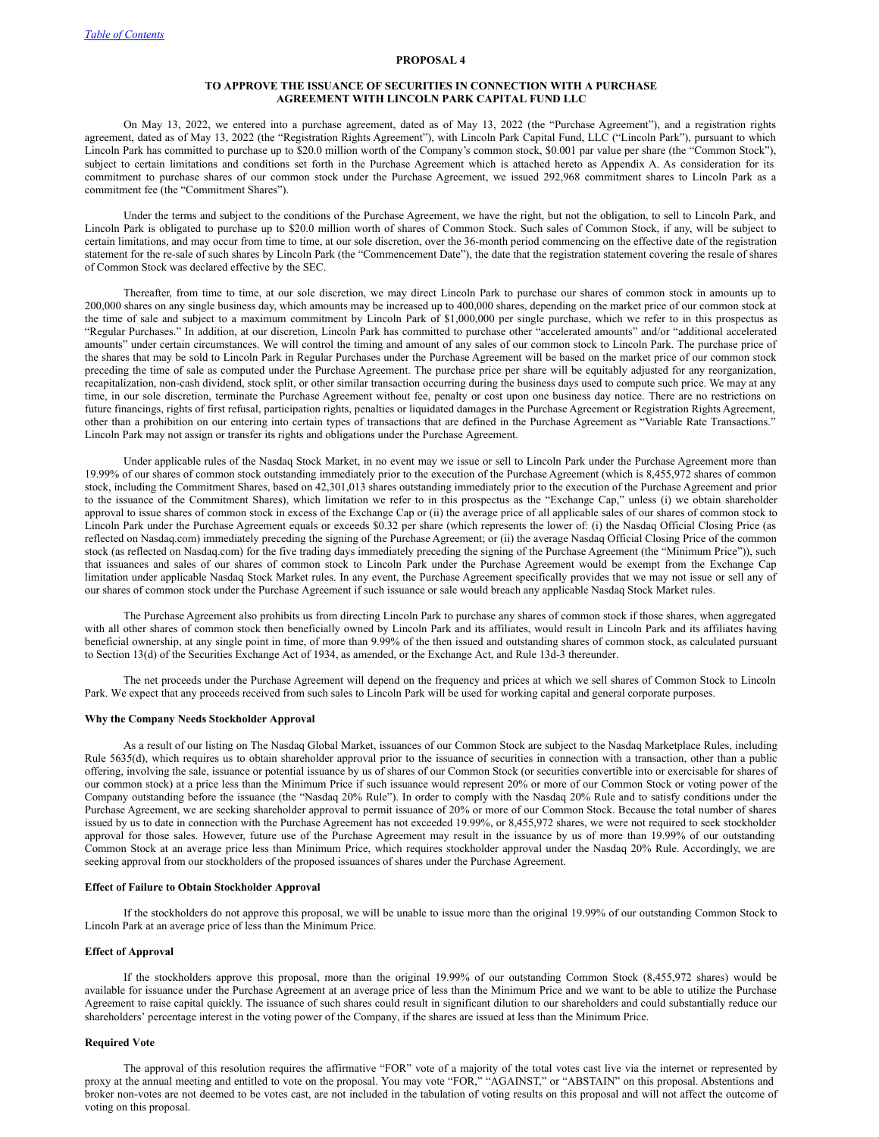# <span id="page-25-0"></span>**TO APPROVE THE ISSUANCE OF SECURITIES IN CONNECTION WITH A PURCHASE AGREEMENT WITH LINCOLN PARK CAPITAL FUND LLC**

On May 13, 2022, we entered into a purchase agreement, dated as of May 13, 2022 (the "Purchase Agreement"), and a registration rights agreement, dated as of May 13, 2022 (the "Registration Rights Agreement"), with Lincoln Park Capital Fund, LLC ("Lincoln Park"), pursuant to which Lincoln Park has committed to purchase up to \$20.0 million worth of the Company's common stock, \$0.001 par value per share (the "Common Stock"), subject to certain limitations and conditions set forth in the Purchase Agreement which is attached hereto as Appendix A. As consideration for its commitment to purchase shares of our common stock under the Purchase Agreement, we issued 292,968 commitment shares to Lincoln Park as a commitment fee (the "Commitment Shares").

Under the terms and subject to the conditions of the Purchase Agreement, we have the right, but not the obligation, to sell to Lincoln Park, and Lincoln Park is obligated to purchase up to \$20.0 million worth of shares of Common Stock. Such sales of Common Stock, if any, will be subject to certain limitations, and may occur from time to time, at our sole discretion, over the 36-month period commencing on the effective date of the registration statement for the re-sale of such shares by Lincoln Park (the "Commencement Date"), the date that the registration statement covering the resale of shares of Common Stock was declared effective by the SEC.

Thereafter, from time to time, at our sole discretion, we may direct Lincoln Park to purchase our shares of common stock in amounts up to 200,000 shares on any single business day, which amounts may be increased up to 400,000 shares, depending on the market price of our common stock at the time of sale and subject to a maximum commitment by Lincoln Park of \$1,000,000 per single purchase, which we refer to in this prospectus as "Regular Purchases." In addition, at our discretion, Lincoln Park has committed to purchase other "accelerated amounts" and/or "additional accelerated amounts" under certain circumstances. We will control the timing and amount of any sales of our common stock to Lincoln Park. The purchase price of the shares that may be sold to Lincoln Park in Regular Purchases under the Purchase Agreement will be based on the market price of our common stock preceding the time of sale as computed under the Purchase Agreement. The purchase price per share will be equitably adjusted for any reorganization, recapitalization, non-cash dividend, stock split, or other similar transaction occurring during the business days used to compute such price. We may at any time, in our sole discretion, terminate the Purchase Agreement without fee, penalty or cost upon one business day notice. There are no restrictions on future financings, rights of first refusal, participation rights, penalties or liquidated damages in the Purchase Agreement or Registration Rights Agreement, other than a prohibition on our entering into certain types of transactions that are defined in the Purchase Agreement as "Variable Rate Transactions." Lincoln Park may not assign or transfer its rights and obligations under the Purchase Agreement.

Under applicable rules of the Nasdaq Stock Market, in no event may we issue or sell to Lincoln Park under the Purchase Agreement more than 19.99% of our shares of common stock outstanding immediately prior to the execution of the Purchase Agreement (which is 8,455,972 shares of common stock, including the Commitment Shares, based on 42,301,013 shares outstanding immediately prior to the execution of the Purchase Agreement and prior to the issuance of the Commitment Shares), which limitation we refer to in this prospectus as the "Exchange Cap," unless (i) we obtain shareholder approval to issue shares of common stock in excess of the Exchange Cap or (ii) the average price of all applicable sales of our shares of common stock to Lincoln Park under the Purchase Agreement equals or exceeds \$0.32 per share (which represents the lower of: (i) the Nasdaq Official Closing Price (as reflected on Nasdaq.com) immediately preceding the signing of the Purchase Agreement; or (ii) the average Nasdaq Official Closing Price of the common stock (as reflected on Nasdaq.com) for the five trading days immediately preceding the signing of the Purchase Agreement (the "Minimum Price")), such that issuances and sales of our shares of common stock to Lincoln Park under the Purchase Agreement would be exempt from the Exchange Cap limitation under applicable Nasdaq Stock Market rules. In any event, the Purchase Agreement specifically provides that we may not issue or sell any of our shares of common stock under the Purchase Agreement if such issuance or sale would breach any applicable Nasdaq Stock Market rules.

The Purchase Agreement also prohibits us from directing Lincoln Park to purchase any shares of common stock if those shares, when aggregated with all other shares of common stock then beneficially owned by Lincoln Park and its affiliates, would result in Lincoln Park and its affiliates having beneficial ownership, at any single point in time, of more than 9.99% of the then issued and outstanding shares of common stock, as calculated pursuant to Section 13(d) of the Securities Exchange Act of 1934, as amended, or the Exchange Act, and Rule 13d-3 thereunder.

The net proceeds under the Purchase Agreement will depend on the frequency and prices at which we sell shares of Common Stock to Lincoln Park. We expect that any proceeds received from such sales to Lincoln Park will be used for working capital and general corporate purposes.

## **Why the Company Needs Stockholder Approval**

As a result of our listing on The Nasdaq Global Market, issuances of our Common Stock are subject to the Nasdaq Marketplace Rules, including Rule 5635(d), which requires us to obtain shareholder approval prior to the issuance of securities in connection with a transaction, other than a public offering, involving the sale, issuance or potential issuance by us of shares of our Common Stock (or securities convertible into or exercisable for shares of our common stock) at a price less than the Minimum Price if such issuance would represent 20% or more of our Common Stock or voting power of the Company outstanding before the issuance (the "Nasdaq 20% Rule"). In order to comply with the Nasdaq 20% Rule and to satisfy conditions under the Purchase Agreement, we are seeking shareholder approval to permit issuance of 20% or more of our Common Stock. Because the total number of shares issued by us to date in connection with the Purchase Agreement has not exceeded 19.99%, or 8,455,972 shares, we were not required to seek stockholder approval for those sales. However, future use of the Purchase Agreement may result in the issuance by us of more than 19.99% of our outstanding Common Stock at an average price less than Minimum Price, which requires stockholder approval under the Nasdaq 20% Rule. Accordingly, we are seeking approval from our stockholders of the proposed issuances of shares under the Purchase Agreement.

#### **Effect of Failure to Obtain Stockholder Approval**

If the stockholders do not approve this proposal, we will be unable to issue more than the original 19.99% of our outstanding Common Stock to Lincoln Park at an average price of less than the Minimum Price.

#### **Effect of Approval**

If the stockholders approve this proposal, more than the original 19.99% of our outstanding Common Stock (8,455,972 shares) would be available for issuance under the Purchase Agreement at an average price of less than the Minimum Price and we want to be able to utilize the Purchase Agreement to raise capital quickly. The issuance of such shares could result in significant dilution to our shareholders and could substantially reduce our shareholders' percentage interest in the voting power of the Company, if the shares are issued at less than the Minimum Price.

# **Required Vote**

The approval of this resolution requires the affirmative "FOR" vote of a majority of the total votes cast live via the internet or represented by proxy at the annual meeting and entitled to vote on the proposal. You may vote "FOR," "AGAINST," or "ABSTAIN" on this proposal. Abstentions and broker non-votes are not deemed to be votes cast, are not included in the tabulation of voting results on this proposal and will not affect the outcome of voting on this proposal.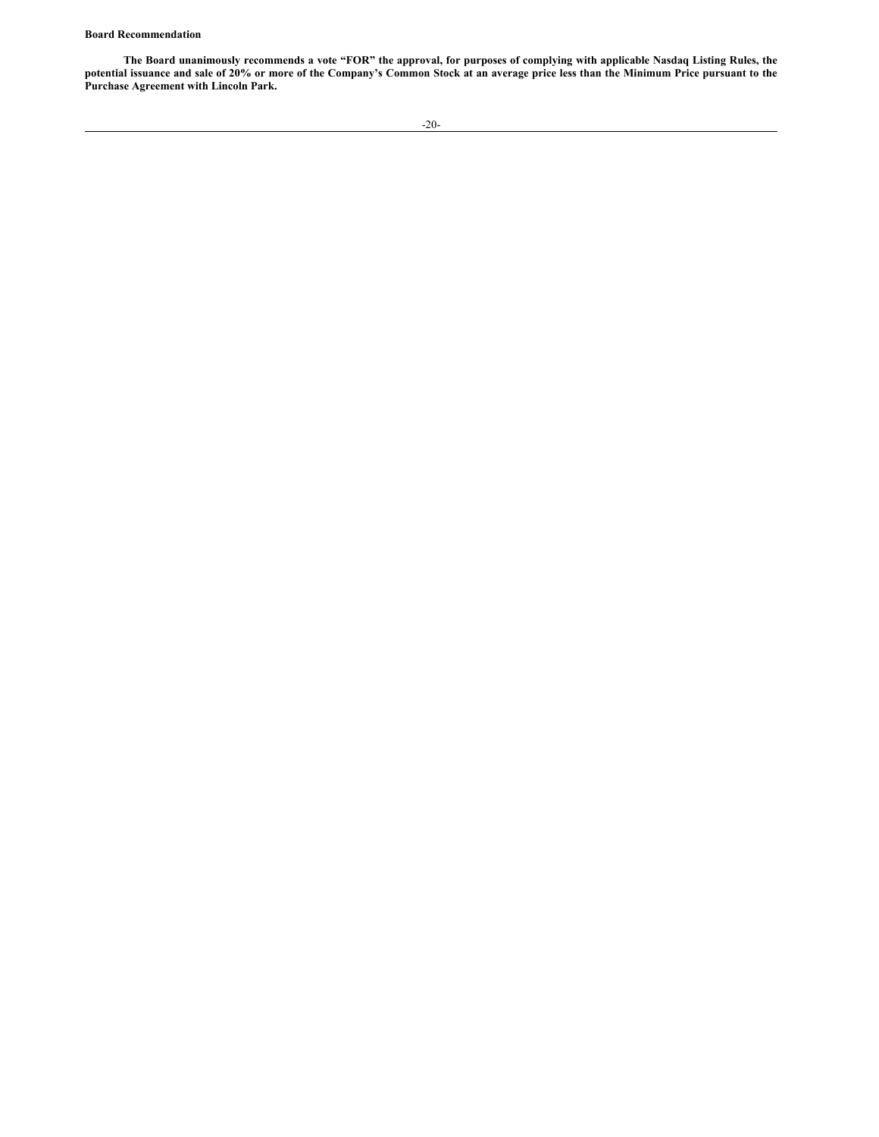# **Board Recommendation**

The Board unanimously recommends a vote "FOR" the approval, for purposes of complying with applicable Nasdaq Listing Rules, the potential issuance and sale of 20% or more of the Company's Common Stock at an average price less than the Minimum Price pursuant to the **Purchase Agreement with Lincoln Park.**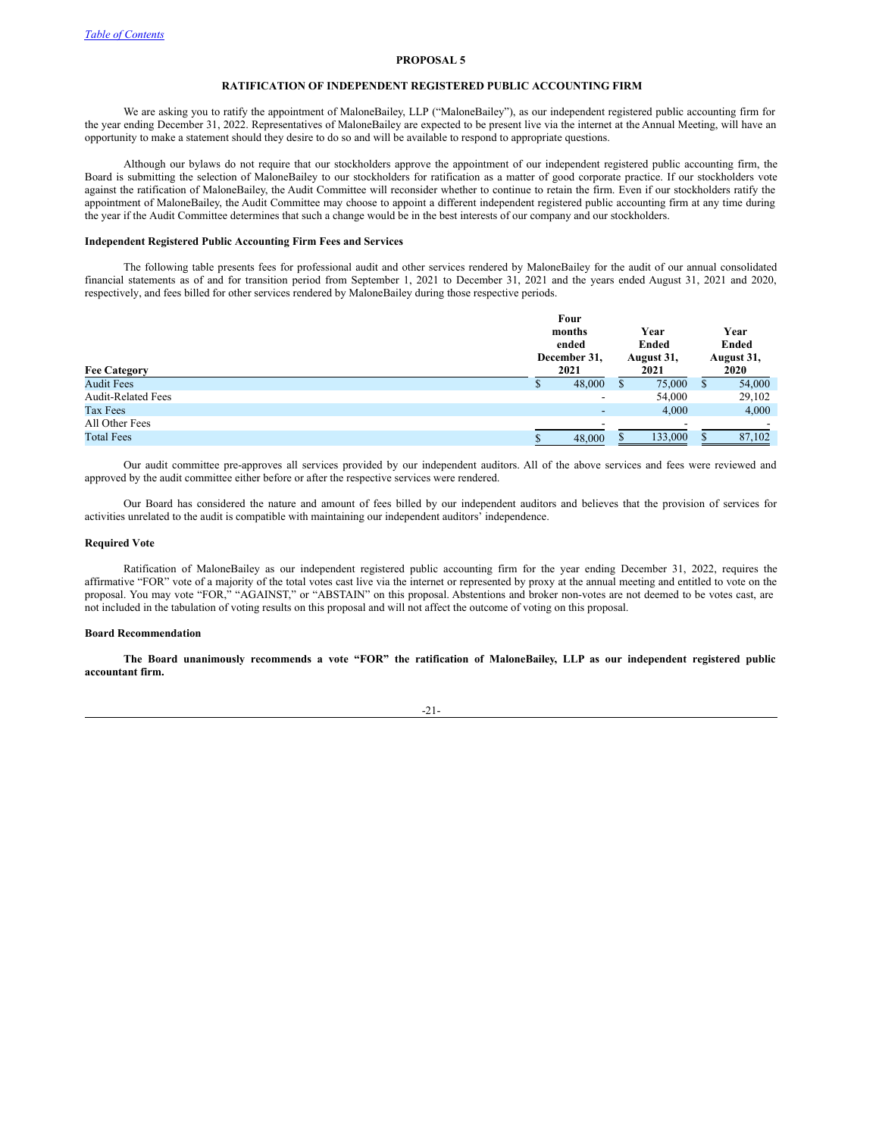# <span id="page-27-0"></span>**RATIFICATION OF INDEPENDENT REGISTERED PUBLIC ACCOUNTING FIRM**

We are asking you to ratify the appointment of MaloneBailey, LLP ("MaloneBailey"), as our independent registered public accounting firm for the year ending December 31, 2022. Representatives of MaloneBailey are expected to be present live via the internet at the Annual Meeting, will have an opportunity to make a statement should they desire to do so and will be available to respond to appropriate questions.

Although our bylaws do not require that our stockholders approve the appointment of our independent registered public accounting firm, the Board is submitting the selection of MaloneBailey to our stockholders for ratification as a matter of good corporate practice. If our stockholders vote against the ratification of MaloneBailey, the Audit Committee will reconsider whether to continue to retain the firm. Even if our stockholders ratify the appointment of MaloneBailey, the Audit Committee may choose to appoint a different independent registered public accounting firm at any time during the year if the Audit Committee determines that such a change would be in the best interests of our company and our stockholders.

#### **Independent Registered Public Accounting Firm Fees and Services**

The following table presents fees for professional audit and other services rendered by MaloneBailey for the audit of our annual consolidated financial statements as of and for transition period from September 1, 2021 to December 31, 2021 and the years ended August 31, 2021 and 2020, respectively, and fees billed for other services rendered by MaloneBailey during those respective periods.

|                           | Four         |                          |  |               |    |               |  |
|---------------------------|--------------|--------------------------|--|---------------|----|---------------|--|
|                           |              | months<br>ended          |  | Year<br>Ended |    | Year<br>Ended |  |
|                           |              |                          |  |               |    |               |  |
|                           | December 31, |                          |  | August 31,    |    | August 31,    |  |
| <b>Fee Category</b>       | 2021         |                          |  | 2021          |    | 2020          |  |
| <b>Audit Fees</b>         |              | 48,000                   |  | 75,000        | S. | 54,000        |  |
| <b>Audit-Related Fees</b> |              | $\overline{\phantom{a}}$ |  | 54,000        |    | 29,102        |  |
| Tax Fees                  |              | $\overline{\phantom{a}}$ |  | 4.000         |    | 4,000         |  |
| All Other Fees            |              |                          |  |               |    |               |  |
| <b>Total Fees</b>         |              | 48,000                   |  | 133,000       |    | 87,102        |  |

Our audit committee pre-approves all services provided by our independent auditors. All of the above services and fees were reviewed and approved by the audit committee either before or after the respective services were rendered.

Our Board has considered the nature and amount of fees billed by our independent auditors and believes that the provision of services for activities unrelated to the audit is compatible with maintaining our independent auditors' independence.

# **Required Vote**

Ratification of MaloneBailey as our independent registered public accounting firm for the year ending December 31, 2022, requires the affirmative "FOR" vote of a majority of the total votes cast live via the internet or represented by proxy at the annual meeting and entitled to vote on the proposal. You may vote "FOR," "AGAINST," or "ABSTAIN" on this proposal. Abstentions and broker non-votes are not deemed to be votes cast, are not included in the tabulation of voting results on this proposal and will not affect the outcome of voting on this proposal.

#### **Board Recommendation**

The Board unanimously recommends a vote "FOR" the ratification of MaloneBailey, LLP as our independent registered public **accountant firm.**

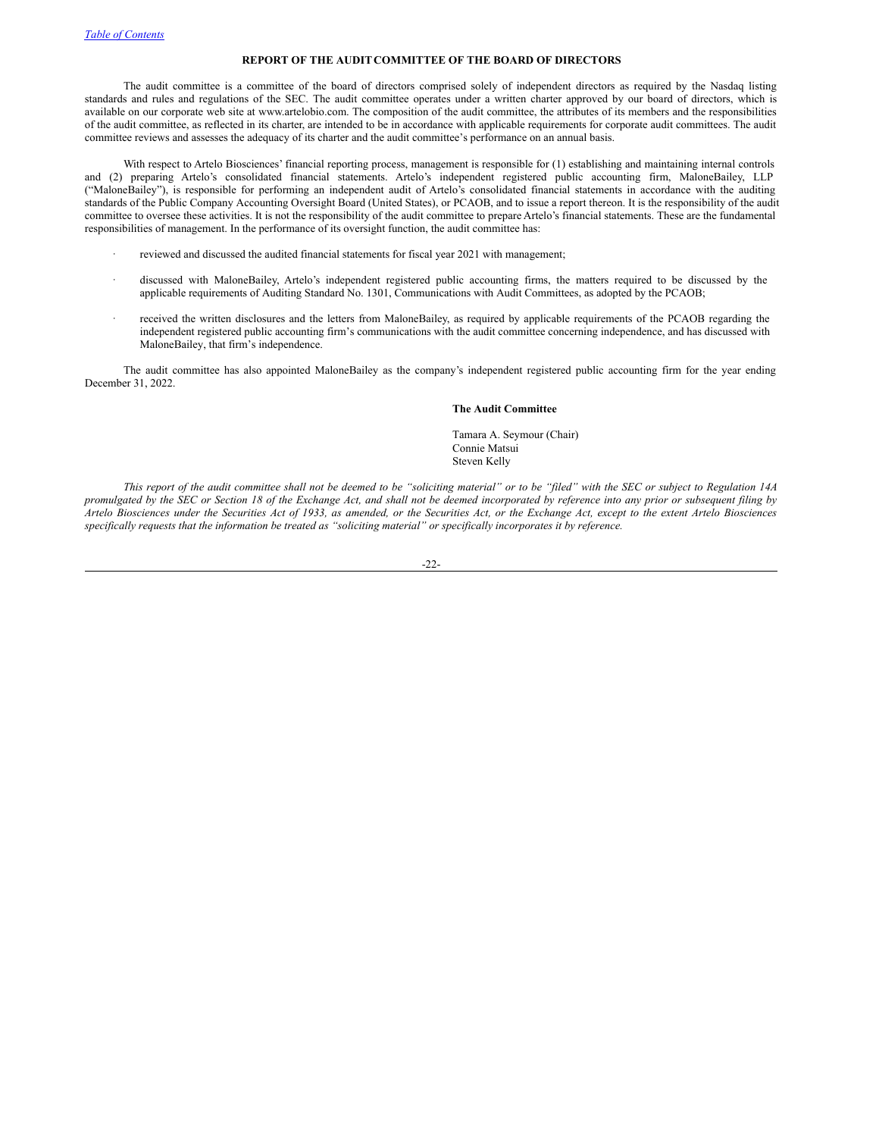# <span id="page-28-0"></span>**REPORT OF THE AUDIT COMMITTEE OF THE BOARD OF DIRECTORS**

The audit committee is a committee of the board of directors comprised solely of independent directors as required by the Nasdaq listing standards and rules and regulations of the SEC. The audit committee operates under a written charter approved by our board of directors, which is available on our corporate web site at www.artelobio.com. The composition of the audit committee, the attributes of its members and the responsibilities of the audit committee, as reflected in its charter, are intended to be in accordance with applicable requirements for corporate audit committees. The audit committee reviews and assesses the adequacy of its charter and the audit committee's performance on an annual basis.

With respect to Artelo Biosciences' financial reporting process, management is responsible for (1) establishing and maintaining internal controls and (2) preparing Artelo's consolidated financial statements. Artelo's independent registered public accounting firm, MaloneBailey, LLP ("MaloneBailey"), is responsible for performing an independent audit of Artelo's consolidated financial statements in accordance with the auditing standards of the Public Company Accounting Oversight Board (United States), or PCAOB, and to issue a report thereon. It is the responsibility of the audit committee to oversee these activities. It is not the responsibility of the audit committee to prepare Artelo's financial statements. These are the fundamental responsibilities of management. In the performance of its oversight function, the audit committee has:

- reviewed and discussed the audited financial statements for fiscal year 2021 with management;
- discussed with MaloneBailey, Artelo's independent registered public accounting firms, the matters required to be discussed by the applicable requirements of Auditing Standard No. 1301, Communications with Audit Committees, as adopted by the PCAOB;
- received the written disclosures and the letters from MaloneBailey, as required by applicable requirements of the PCAOB regarding the independent registered public accounting firm's communications with the audit committee concerning independence, and has discussed with MaloneBailey, that firm's independence.

The audit committee has also appointed MaloneBailey as the company's independent registered public accounting firm for the year ending December 31, 2022.

## **The Audit Committee**

Tamara A. Seymour (Chair) Connie Matsui Steven Kelly

This report of the audit committee shall not be deemed to be "soliciting material" or to be "filed" with the SEC or subject to Regulation 14A promulgated by the SEC or Section 18 of the Exchange Act, and shall not be deemed incorporated by reference into any prior or subsequent filing by Artelo Biosciences under the Securities Act of 1933, as amended, or the Securities Act, or the Exchange Act, except to the extent Artelo Biosciences specifically requests that the information be treated as "soliciting material" or specifically incorporates it by reference.

-22-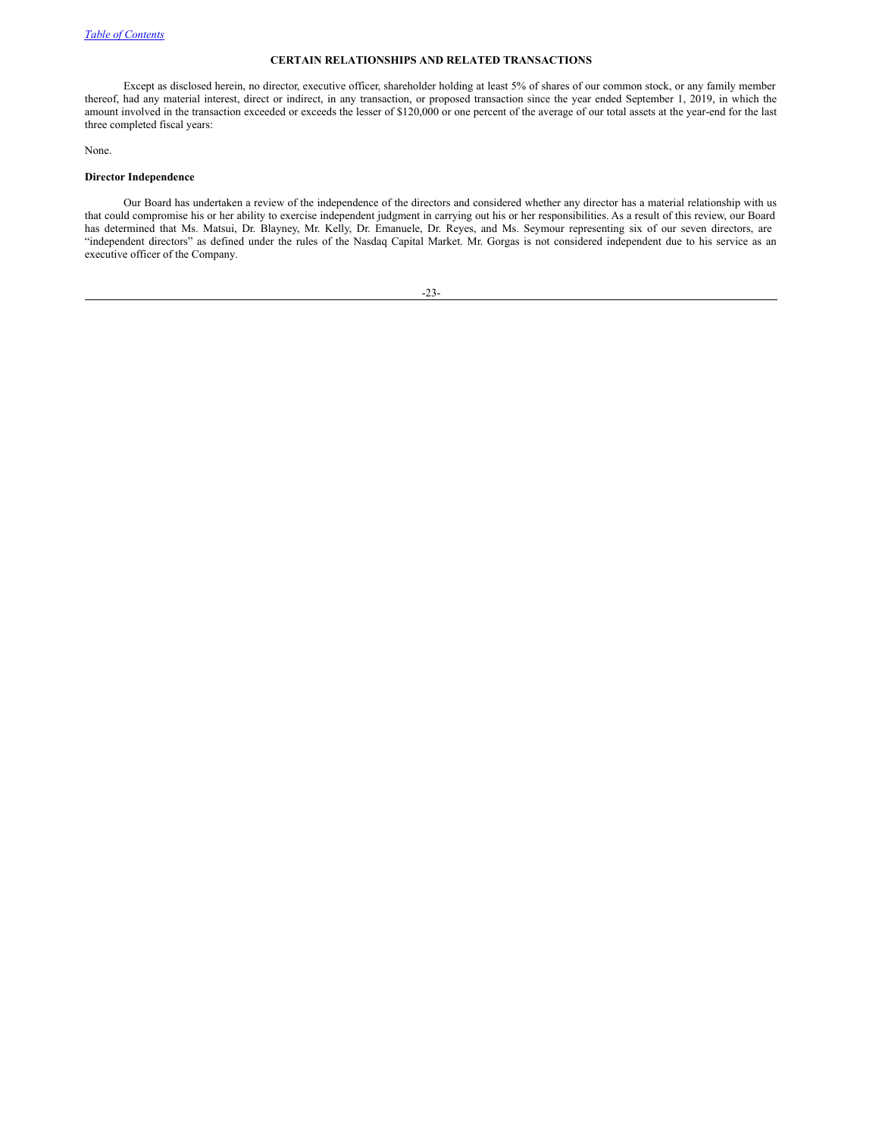# <span id="page-29-0"></span>**CERTAIN RELATIONSHIPS AND RELATED TRANSACTIONS**

Except as disclosed herein, no director, executive officer, shareholder holding at least 5% of shares of our common stock, or any family member thereof, had any material interest, direct or indirect, in any transaction, or proposed transaction since the year ended September 1, 2019, in which the amount involved in the transaction exceeded or exceeds the lesser of \$120,000 or one percent of the average of our total assets at the year-end for the last three completed fiscal years:

None.

# **Director Independence**

Our Board has undertaken a review of the independence of the directors and considered whether any director has a material relationship with us that could compromise his or her ability to exercise independent judgment in carrying out his or her responsibilities. As a result of this review, our Board has determined that Ms. Matsui, Dr. Blayney, Mr. Kelly, Dr. Emanuele, Dr. Reyes, and Ms. Seymour representing six of our seven directors, are "independent directors" as defined under the rules of the Nasdaq Capital Market. Mr. Gorgas is not considered independent due to his service as an executive officer of the Company.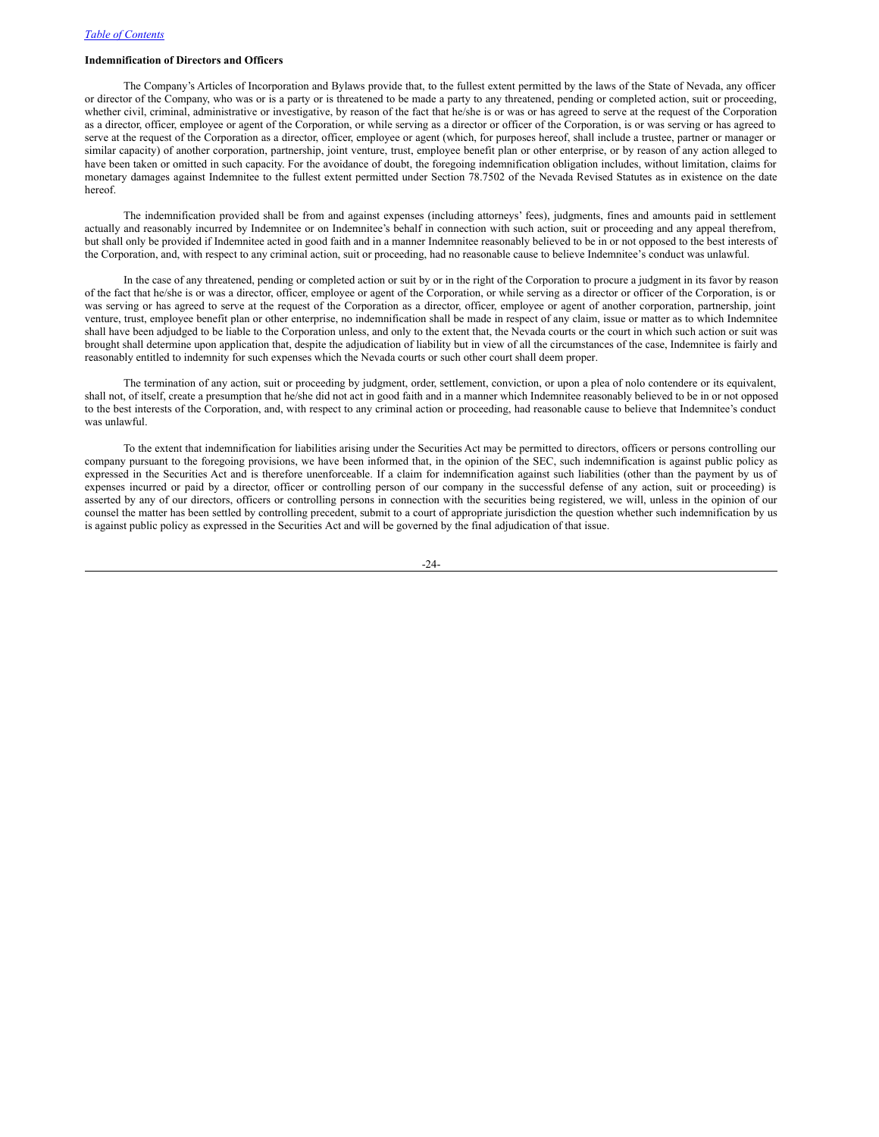# **Indemnification of Directors and Officers**

The Company's Articles of Incorporation and Bylaws provide that, to the fullest extent permitted by the laws of the State of Nevada, any officer or director of the Company, who was or is a party or is threatened to be made a party to any threatened, pending or completed action, suit or proceeding, whether civil, criminal, administrative or investigative, by reason of the fact that he/she is or was or has agreed to serve at the request of the Corporation as a director, officer, employee or agent of the Corporation, or while serving as a director or officer of the Corporation, is or was serving or has agreed to serve at the request of the Corporation as a director, officer, employee or agent (which, for purposes hereof, shall include a trustee, partner or manager or similar capacity) of another corporation, partnership, joint venture, trust, employee benefit plan or other enterprise, or by reason of any action alleged to have been taken or omitted in such capacity. For the avoidance of doubt, the foregoing indemnification obligation includes, without limitation, claims for monetary damages against Indemnitee to the fullest extent permitted under Section 78.7502 of the Nevada Revised Statutes as in existence on the date hereof.

The indemnification provided shall be from and against expenses (including attorneys' fees), judgments, fines and amounts paid in settlement actually and reasonably incurred by Indemnitee or on Indemnitee's behalf in connection with such action, suit or proceeding and any appeal therefrom, but shall only be provided if Indemnitee acted in good faith and in a manner Indemnitee reasonably believed to be in or not opposed to the best interests of the Corporation, and, with respect to any criminal action, suit or proceeding, had no reasonable cause to believe Indemnitee's conduct was unlawful.

In the case of any threatened, pending or completed action or suit by or in the right of the Corporation to procure a judgment in its favor by reason of the fact that he/she is or was a director, officer, employee or agent of the Corporation, or while serving as a director or officer of the Corporation, is or was serving or has agreed to serve at the request of the Corporation as a director, officer, employee or agent of another corporation, partnership, joint venture, trust, employee benefit plan or other enterprise, no indemnification shall be made in respect of any claim, issue or matter as to which Indemnitee shall have been adjudged to be liable to the Corporation unless, and only to the extent that, the Nevada courts or the court in which such action or suit was brought shall determine upon application that, despite the adjudication of liability but in view of all the circumstances of the case, Indemnitee is fairly and reasonably entitled to indemnity for such expenses which the Nevada courts or such other court shall deem proper.

The termination of any action, suit or proceeding by judgment, order, settlement, conviction, or upon a plea of nolo contendere or its equivalent, shall not, of itself, create a presumption that he/she did not act in good faith and in a manner which Indemnitee reasonably believed to be in or not opposed to the best interests of the Corporation, and, with respect to any criminal action or proceeding, had reasonable cause to believe that Indemnitee's conduct was unlawful.

To the extent that indemnification for liabilities arising under the Securities Act may be permitted to directors, officers or persons controlling our company pursuant to the foregoing provisions, we have been informed that, in the opinion of the SEC, such indemnification is against public policy as expressed in the Securities Act and is therefore unenforceable. If a claim for indemnification against such liabilities (other than the payment by us of expenses incurred or paid by a director, officer or controlling person of our company in the successful defense of any action, suit or proceeding) is asserted by any of our directors, officers or controlling persons in connection with the securities being registered, we will, unless in the opinion of our counsel the matter has been settled by controlling precedent, submit to a court of appropriate jurisdiction the question whether such indemnification by us is against public policy as expressed in the Securities Act and will be governed by the final adjudication of that issue.

-24-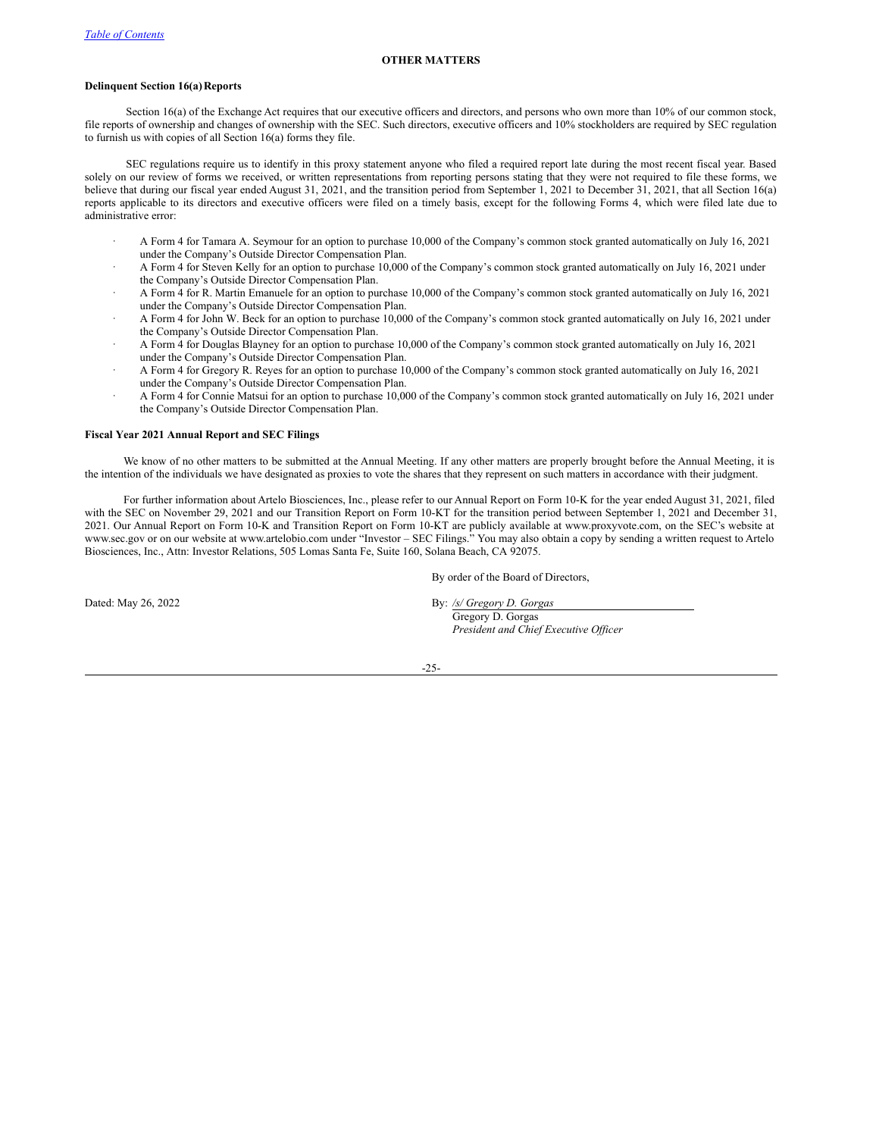# <span id="page-31-0"></span>**OTHER MATTERS**

# **Delinquent Section 16(a)Reports**

Section 16(a) of the Exchange Act requires that our executive officers and directors, and persons who own more than 10% of our common stock, file reports of ownership and changes of ownership with the SEC. Such directors, executive officers and 10% stockholders are required by SEC regulation to furnish us with copies of all Section 16(a) forms they file.

SEC regulations require us to identify in this proxy statement anyone who filed a required report late during the most recent fiscal year. Based solely on our review of forms we received, or written representations from reporting persons stating that they were not required to file these forms, we believe that during our fiscal year ended August 31, 2021, and the transition period from September 1, 2021 to December 31, 2021, that all Section 16(a) reports applicable to its directors and executive officers were filed on a timely basis, except for the following Forms 4, which were filed late due to administrative error:

- · A Form 4 for Tamara A. Seymour for an option to purchase 10,000 of the Company's common stock granted automatically on July 16, 2021 under the Company's Outside Director Compensation Plan.
- · A Form 4 for Steven Kelly for an option to purchase 10,000 of the Company's common stock granted automatically on July 16, 2021 under the Company's Outside Director Compensation Plan.
- · A Form 4 for R. Martin Emanuele for an option to purchase 10,000 of the Company's common stock granted automatically on July 16, 2021 under the Company's Outside Director Compensation Plan.
- · A Form 4 for John W. Beck for an option to purchase 10,000 of the Company's common stock granted automatically on July 16, 2021 under the Company's Outside Director Compensation Plan.
- · A Form 4 for Douglas Blayney for an option to purchase 10,000 of the Company's common stock granted automatically on July 16, 2021 under the Company's Outside Director Compensation Plan.
- · A Form 4 for Gregory R. Reyes for an option to purchase 10,000 of the Company's common stock granted automatically on July 16, 2021 under the Company's Outside Director Compensation Plan.
- · A Form 4 for Connie Matsui for an option to purchase 10,000 of the Company's common stock granted automatically on July 16, 2021 under the Company's Outside Director Compensation Plan.

# **Fiscal Year 2021 Annual Report and SEC Filings**

We know of no other matters to be submitted at the Annual Meeting. If any other matters are properly brought before the Annual Meeting, it is the intention of the individuals we have designated as proxies to vote the shares that they represent on such matters in accordance with their judgment.

For further information about Artelo Biosciences, Inc., please refer to our Annual Report on Form 10-K for the year ended August 31, 2021, filed with the SEC on November 29, 2021 and our Transition Report on Form 10-KT for the transition period between September 1, 2021 and December 31, 2021. Our Annual Report on Form 10-K and Transition Report on Form 10-KT are publicly available at www.proxyvote.com, on the SEC's website at www.sec.gov or on our website at www.artelobio.com under "Investor – SEC Filings." You may also obtain a copy by sending a written request to Artelo Biosciences, Inc., Attn: Investor Relations, 505 Lomas Santa Fe, Suite 160, Solana Beach, CA 92075.

By order of the Board of Directors,

Dated: May 26, 2022 By: */s/ Gregory D. Gorgas* Gregory D. Gorgas *President and Chief Executive Of icer*

-25-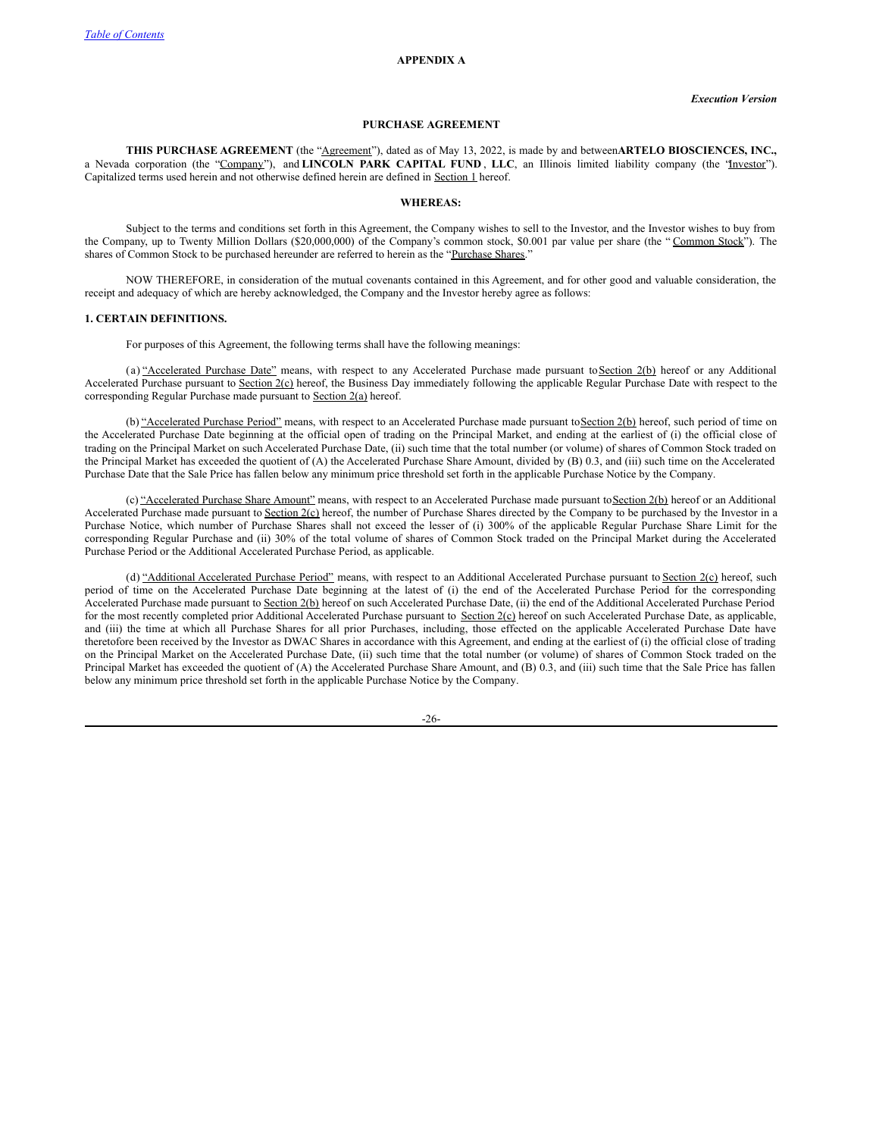# **APPENDIX A**

# **PURCHASE AGREEMENT**

**THIS PURCHASE AGREEMENT** (the "Agreement"), dated as of May 13, 2022, is made by and between**ARTELO BIOSCIENCES, INC.,** a Nevada corporation (the "Company"), and **LINCOLN PARK CAPITAL FUND** , **LLC**, an Illinois limited liability company (the "Investor"). Capitalized terms used herein and not otherwise defined herein are defined in Section 1 hereof.

#### **WHEREAS:**

Subject to the terms and conditions set forth in this Agreement, the Company wishes to sell to the Investor, and the Investor wishes to buy from the Company, up to Twenty Million Dollars (\$20,000,000) of the Company's common stock, \$0.001 par value per share (the "Common Stock"). The shares of Common Stock to be purchased hereunder are referred to herein as the "Purchase Shares."

NOW THEREFORE, in consideration of the mutual covenants contained in this Agreement, and for other good and valuable consideration, the receipt and adequacy of which are hereby acknowledged, the Company and the Investor hereby agree as follows:

#### **1. CERTAIN DEFINITIONS.**

For purposes of this Agreement, the following terms shall have the following meanings:

(a) "Accelerated Purchase Date" means, with respect to any Accelerated Purchase made pursuant to Section 2(b) hereof or any Additional Accelerated Purchase pursuant to Section 2(c) hereof, the Business Day immediately following the applicable Regular Purchase Date with respect to the corresponding Regular Purchase made pursuant to Section 2(a) hereof.

(b) "Accelerated Purchase Period" means, with respect to an Accelerated Purchase made pursuant to Section 2(b) hereof, such period of time on the Accelerated Purchase Date beginning at the official open of trading on the Principal Market, and ending at the earliest of (i) the official close of trading on the Principal Market on such Accelerated Purchase Date, (ii) such time that the total number (or volume) of shares of Common Stock traded on the Principal Market has exceeded the quotient of (A) the Accelerated Purchase Share Amount, divided by (B) 0.3, and (iii) such time on the Accelerated Purchase Date that the Sale Price has fallen below any minimum price threshold set forth in the applicable Purchase Notice by the Company.

(c) "Accelerated Purchase Share Amount" means, with respect to an Accelerated Purchase made pursuant to Section 2(b) hereof or an Additional Accelerated Purchase made pursuant to Section 2(c) hereof, the number of Purchase Shares directed by the Company to be purchased by the Investor in a Purchase Notice, which number of Purchase Shares shall not exceed the lesser of (i) 300% of the applicable Regular Purchase Share Limit for the corresponding Regular Purchase and (ii) 30% of the total volume of shares of Common Stock traded on the Principal Market during the Accelerated Purchase Period or the Additional Accelerated Purchase Period, as applicable.

(d) "Additional Accelerated Purchase Period" means, with respect to an Additional Accelerated Purchase pursuant to Section 2(c) hereof, such period of time on the Accelerated Purchase Date beginning at the latest of (i) the end of the Accelerated Purchase Period for the corresponding Accelerated Purchase made pursuant to Section 2(b) hereof on such Accelerated Purchase Date, (ii) the end of the Additional Accelerated Purchase Period for the most recently completed prior Additional Accelerated Purchase pursuant to Section 2(c) hereof on such Accelerated Purchase Date, as applicable, and (iii) the time at which all Purchase Shares for all prior Purchases, including, those effected on the applicable Accelerated Purchase Date have theretofore been received by the Investor as DWAC Shares in accordance with this Agreement, and ending at the earliest of (i) the official close of trading on the Principal Market on the Accelerated Purchase Date, (ii) such time that the total number (or volume) of shares of Common Stock traded on the Principal Market has exceeded the quotient of (A) the Accelerated Purchase Share Amount, and (B) 0.3, and (iii) such time that the Sale Price has fallen below any minimum price threshold set forth in the applicable Purchase Notice by the Company.

-26-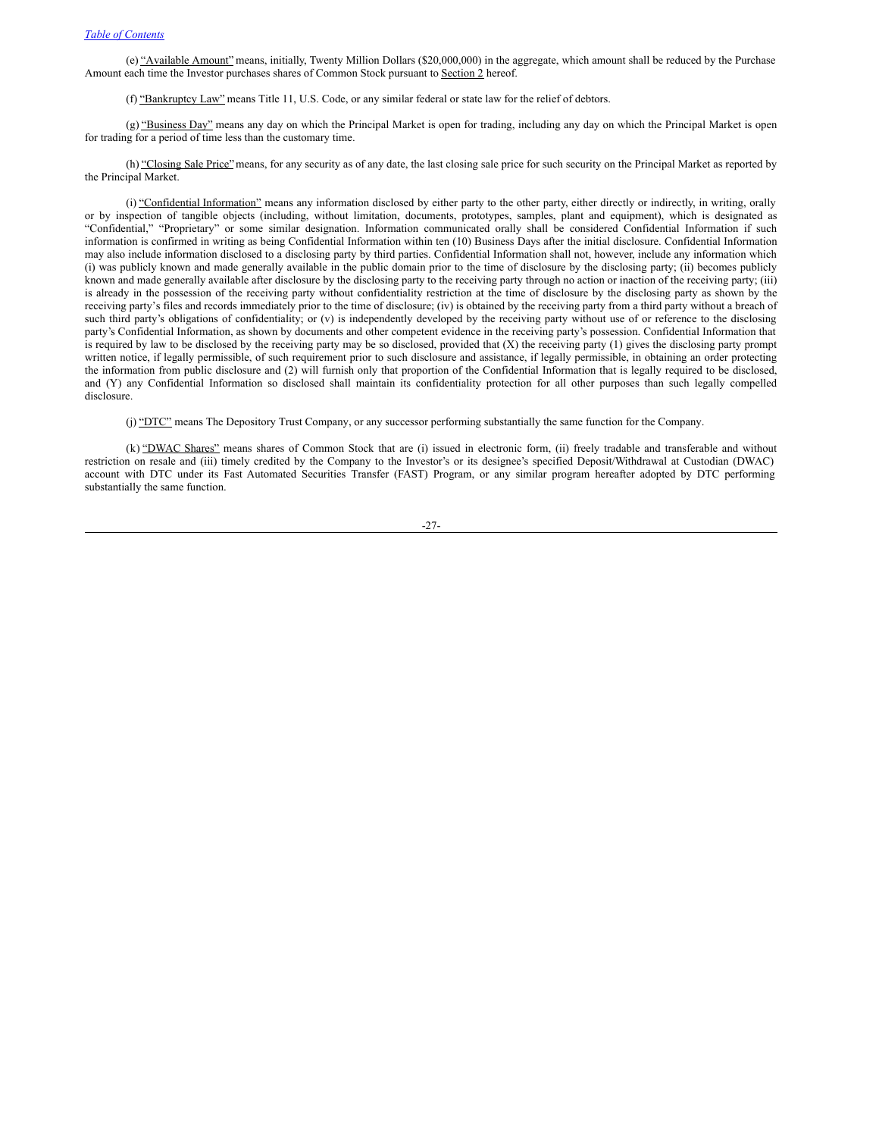(e) "Available Amount" means, initially, Twenty Million Dollars (\$20,000,000) in the aggregate, which amount shall be reduced by the Purchase Amount each time the Investor purchases shares of Common Stock pursuant to Section 2 hereof.

(f) "Bankruptcy Law" means Title 11, U.S. Code, or any similar federal or state law for the relief of debtors.

(g) "Business Day" means any day on which the Principal Market is open for trading, including any day on which the Principal Market is open for trading for a period of time less than the customary time.

(h) "Closing Sale Price" means, for any security as of any date, the last closing sale price for such security on the Principal Market as reported by the Principal Market.

(i) "Confidential Information" means any information disclosed by either party to the other party, either directly or indirectly, in writing, orally or by inspection of tangible objects (including, without limitation, documents, prototypes, samples, plant and equipment), which is designated as "Confidential," "Proprietary" or some similar designation. Information communicated orally shall be considered Confidential Information if such information is confirmed in writing as being Confidential Information within ten (10) Business Days after the initial disclosure. Confidential Information may also include information disclosed to a disclosing party by third parties. Confidential Information shall not, however, include any information which (i) was publicly known and made generally available in the public domain prior to the time of disclosure by the disclosing party; (ii) becomes publicly known and made generally available after disclosure by the disclosing party to the receiving party through no action or inaction of the receiving party; (iii) is already in the possession of the receiving party without confidentiality restriction at the time of disclosure by the disclosing party as shown by the receiving party's files and records immediately prior to the time of disclosure; (iv) is obtained by the receiving party from a third party without a breach of such third party's obligations of confidentiality; or (v) is independently developed by the receiving party without use of or reference to the disclosing party's Confidential Information, as shown by documents and other competent evidence in the receiving party's possession. Confidential Information that is required by law to be disclosed by the receiving party may be so disclosed, provided that  $(X)$  the receiving party  $(1)$  gives the disclosing party prompt written notice, if legally permissible, of such requirement prior to such disclosure and assistance, if legally permissible, in obtaining an order protecting the information from public disclosure and (2) will furnish only that proportion of the Confidential Information that is legally required to be disclosed, and (Y) any Confidential Information so disclosed shall maintain its confidentiality protection for all other purposes than such legally compelled disclosure.

(j) "DTC" means The Depository Trust Company, or any successor performing substantially the same function for the Company.

(k) "DWAC Shares" means shares of Common Stock that are (i) issued in electronic form, (ii) freely tradable and transferable and without restriction on resale and (iii) timely credited by the Company to the Investor's or its designee's specified Deposit/Withdrawal at Custodian (DWAC) account with DTC under its Fast Automated Securities Transfer (FAST) Program, or any similar program hereafter adopted by DTC performing substantially the same function.

-27-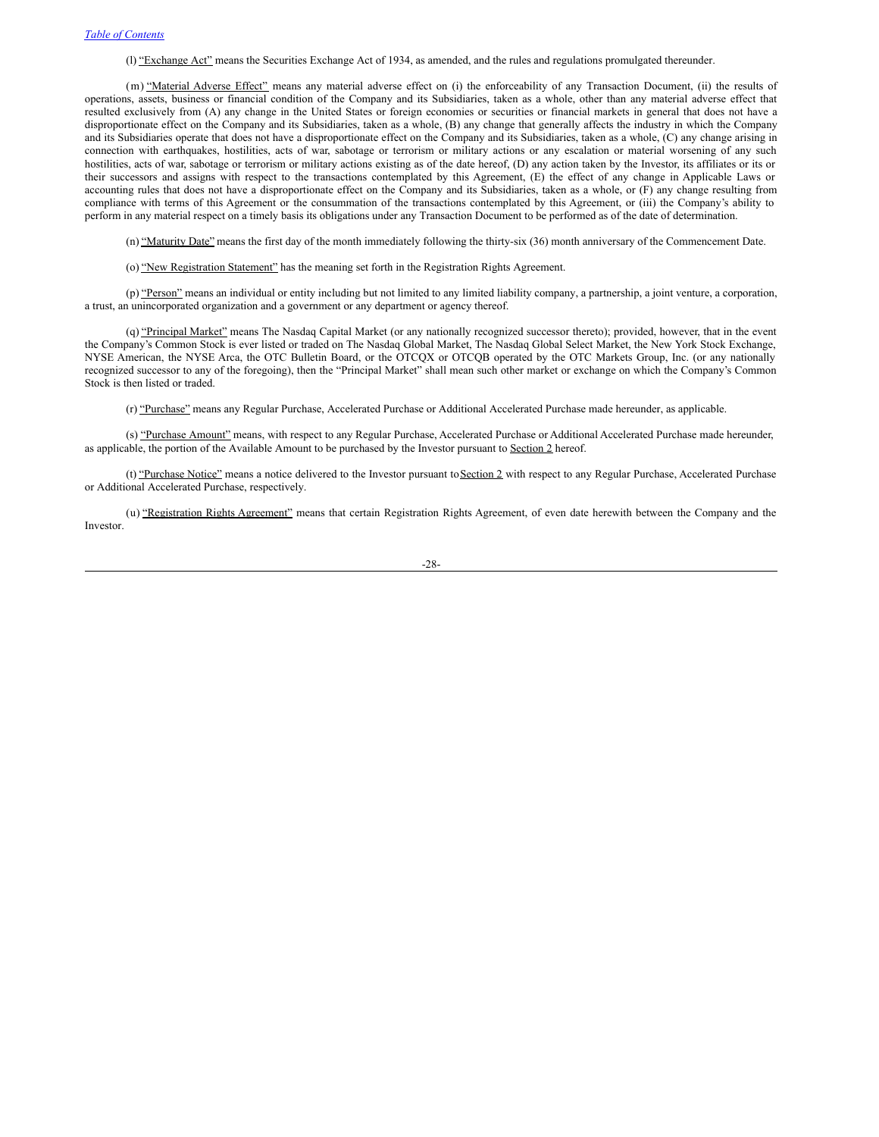(l) "Exchange Act" means the Securities Exchange Act of 1934, as amended, and the rules and regulations promulgated thereunder.

(m) "Material Adverse Effect" means any material adverse effect on (i) the enforceability of any Transaction Document, (ii) the results of operations, assets, business or financial condition of the Company and its Subsidiaries, taken as a whole, other than any material adverse effect that resulted exclusively from (A) any change in the United States or foreign economies or securities or financial markets in general that does not have a disproportionate effect on the Company and its Subsidiaries, taken as a whole, (B) any change that generally affects the industry in which the Company and its Subsidiaries operate that does not have a disproportionate effect on the Company and its Subsidiaries, taken as a whole, (C) any change arising in connection with earthquakes, hostilities, acts of war, sabotage or terrorism or military actions or any escalation or material worsening of any such hostilities, acts of war, sabotage or terrorism or military actions existing as of the date hereof, (D) any action taken by the Investor, its affiliates or its or their successors and assigns with respect to the transactions contemplated by this Agreement, (E) the effect of any change in Applicable Laws or accounting rules that does not have a disproportionate effect on the Company and its Subsidiaries, taken as a whole, or (F) any change resulting from compliance with terms of this Agreement or the consummation of the transactions contemplated by this Agreement, or (iii) the Company's ability to perform in any material respect on a timely basis its obligations under any Transaction Document to be performed as of the date of determination.

(n) "Maturity Date" means the first day of the month immediately following the thirty-six (36) month anniversary of the Commencement Date.

(o) "New Registration Statement" has the meaning set forth in the Registration Rights Agreement.

(p) "Person" means an individual or entity including but not limited to any limited liability company, a partnership, a joint venture, a corporation, a trust, an unincorporated organization and a government or any department or agency thereof.

(q) "Principal Market" means The Nasdaq Capital Market (or any nationally recognized successor thereto); provided, however, that in the event the Company's Common Stock is ever listed or traded on The Nasdaq Global Market, The Nasdaq Global Select Market, the New York Stock Exchange, NYSE American, the NYSE Arca, the OTC Bulletin Board, or the OTCQX or OTCQB operated by the OTC Markets Group, Inc. (or any nationally recognized successor to any of the foregoing), then the "Principal Market" shall mean such other market or exchange on which the Company's Common Stock is then listed or traded.

(r) "Purchase" means any Regular Purchase, Accelerated Purchase or Additional Accelerated Purchase made hereunder, as applicable.

(s) "Purchase Amount" means, with respect to any Regular Purchase, Accelerated Purchase or Additional Accelerated Purchase made hereunder, as applicable, the portion of the Available Amount to be purchased by the Investor pursuant to Section 2 hereof.

(t) "Purchase Notice" means a notice delivered to the Investor pursuant to Section 2 with respect to any Regular Purchase, Accelerated Purchase or Additional Accelerated Purchase, respectively.

(u) "Registration Rights Agreement" means that certain Registration Rights Agreement, of even date herewith between the Company and the Investor.

-28-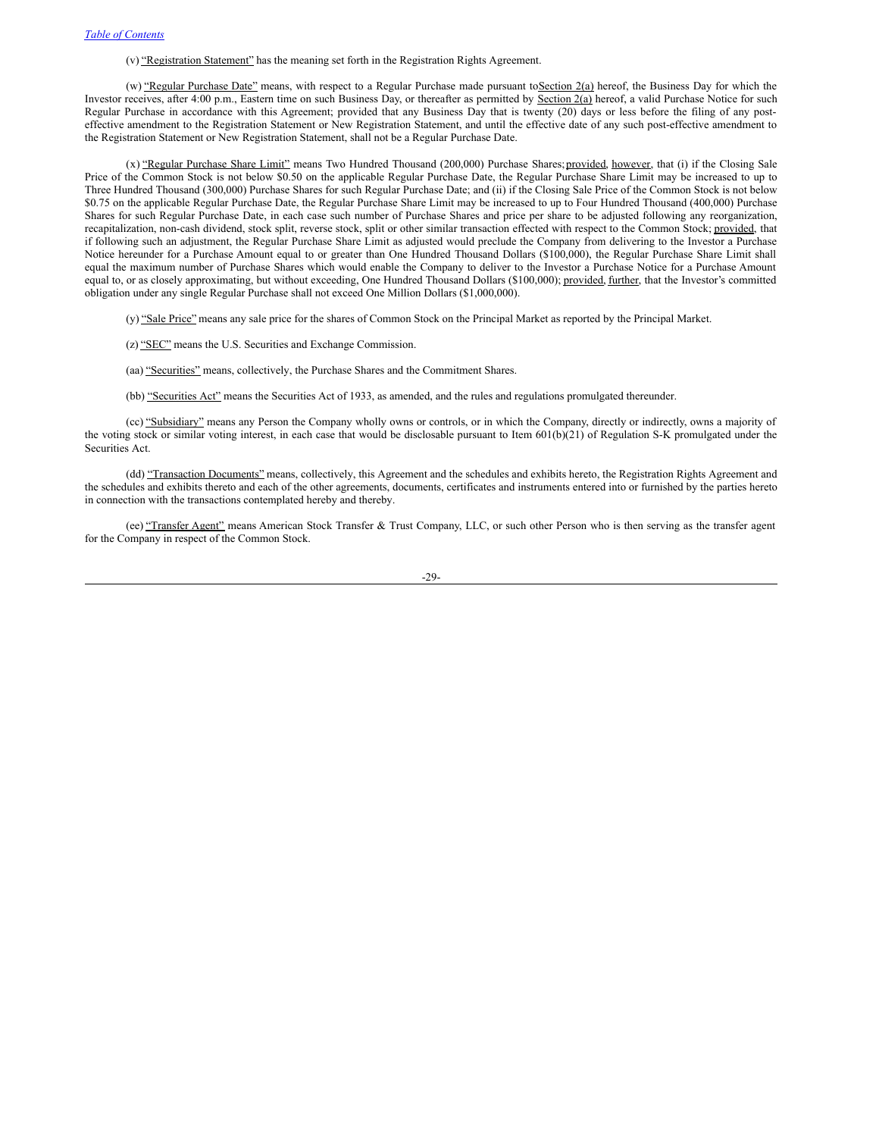(v) "Registration Statement" has the meaning set forth in the Registration Rights Agreement.

(w) "Regular Purchase Date" means, with respect to a Regular Purchase made pursuant toSection 2(a) hereof, the Business Day for which the Investor receives, after 4:00 p.m., Eastern time on such Business Day, or thereafter as permitted by Section 2(a) hereof, a valid Purchase Notice for such Regular Purchase in accordance with this Agreement; provided that any Business Day that is twenty (20) days or less before the filing of any posteffective amendment to the Registration Statement or New Registration Statement, and until the effective date of any such post-effective amendment to the Registration Statement or New Registration Statement, shall not be a Regular Purchase Date.

(x) "Regular Purchase Share Limit" means Two Hundred Thousand (200,000) Purchase Shares; provided, however, that (i) if the Closing Sale Price of the Common Stock is not below \$0.50 on the applicable Regular Purchase Date, the Regular Purchase Share Limit may be increased to up to Three Hundred Thousand (300,000) Purchase Shares for such Regular Purchase Date; and (ii) if the Closing Sale Price of the Common Stock is not below \$0.75 on the applicable Regular Purchase Date, the Regular Purchase Share Limit may be increased to up to Four Hundred Thousand (400,000) Purchase Shares for such Regular Purchase Date, in each case such number of Purchase Shares and price per share to be adjusted following any reorganization, recapitalization, non-cash dividend, stock split, reverse stock, split or other similar transaction effected with respect to the Common Stock; provided, that if following such an adjustment, the Regular Purchase Share Limit as adjusted would preclude the Company from delivering to the Investor a Purchase Notice hereunder for a Purchase Amount equal to or greater than One Hundred Thousand Dollars (\$100,000), the Regular Purchase Share Limit shall equal the maximum number of Purchase Shares which would enable the Company to deliver to the Investor a Purchase Notice for a Purchase Amount equal to, or as closely approximating, but without exceeding, One Hundred Thousand Dollars (\$100,000); provided, further, that the Investor's committed obligation under any single Regular Purchase shall not exceed One Million Dollars (\$1,000,000).

(y) "Sale Price" means any sale price for the shares of Common Stock on the Principal Market as reported by the Principal Market.

- (z) "SEC" means the U.S. Securities and Exchange Commission.
- (aa) "Securities" means, collectively, the Purchase Shares and the Commitment Shares.
- (bb) "Securities Act" means the Securities Act of 1933, as amended, and the rules and regulations promulgated thereunder.

(cc) "Subsidiary" means any Person the Company wholly owns or controls, or in which the Company, directly or indirectly, owns a majority of the voting stock or similar voting interest, in each case that would be disclosable pursuant to Item 601(b)(21) of Regulation S-K promulgated under the Securities Act.

(dd) "Transaction Documents" means, collectively, this Agreement and the schedules and exhibits hereto, the Registration Rights Agreement and the schedules and exhibits thereto and each of the other agreements, documents, certificates and instruments entered into or furnished by the parties hereto in connection with the transactions contemplated hereby and thereby.

(ee) "Transfer Agent" means American Stock Transfer & Trust Company, LLC, or such other Person who is then serving as the transfer agent for the Company in respect of the Common Stock.

-29-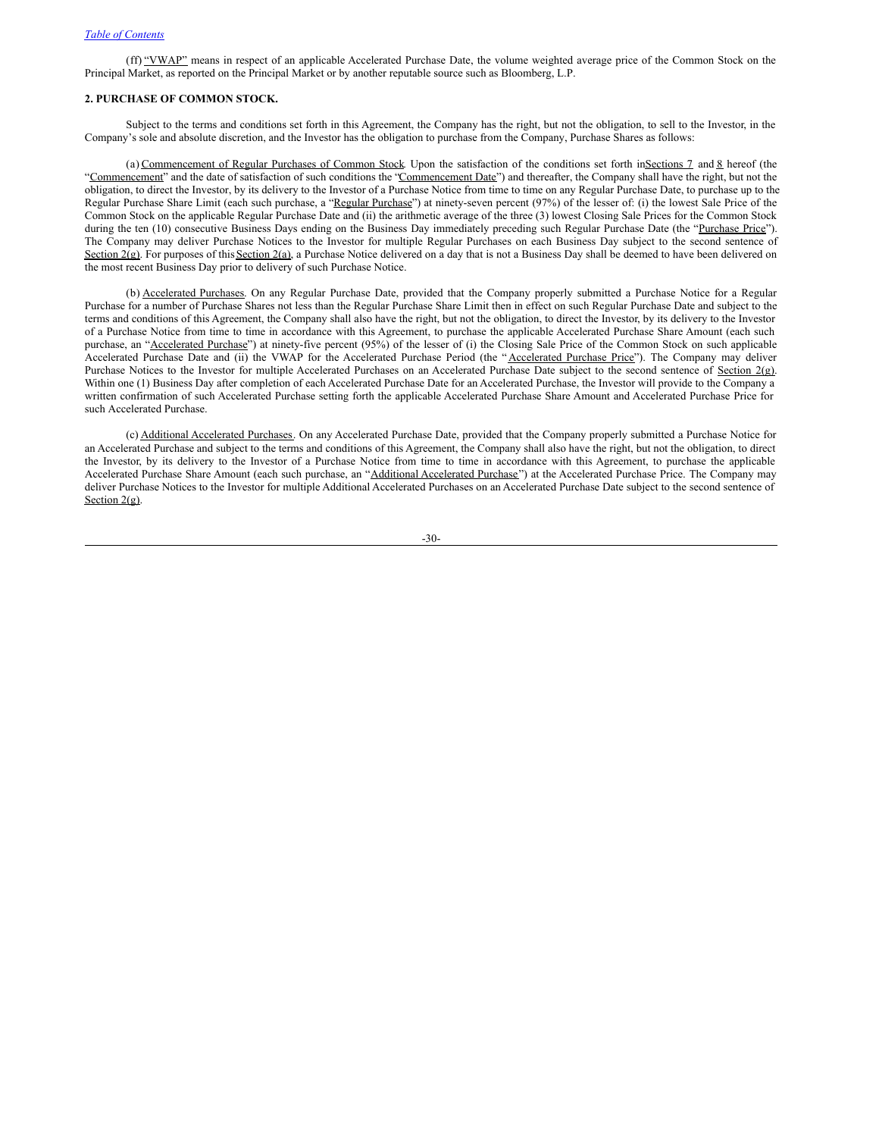(ff) "VWAP" means in respect of an applicable Accelerated Purchase Date, the volume weighted average price of the Common Stock on the Principal Market, as reported on the Principal Market or by another reputable source such as Bloomberg, L.P.

# **2. PURCHASE OF COMMON STOCK.**

Subject to the terms and conditions set forth in this Agreement, the Company has the right, but not the obligation, to sell to the Investor, in the Company's sole and absolute discretion, and the Investor has the obligation to purchase from the Company, Purchase Shares as follows:

(a) Commencement of Regular Purchases of Common Stock. Upon the satisfaction of the conditions set forth inSections 7 and 8 hereof (the "Commencement" and the date of satisfaction of such conditions the "Commencement Date") and thereafter, the Company shall have the right, but not the obligation, to direct the Investor, by its delivery to the Investor of a Purchase Notice from time to time on any Regular Purchase Date, to purchase up to the Regular Purchase Share Limit (each such purchase, a "Regular Purchase") at ninety-seven percent (97%) of the lesser of: (i) the lowest Sale Price of the Common Stock on the applicable Regular Purchase Date and (ii) the arithmetic average of the three (3) lowest Closing Sale Prices for the Common Stock during the ten (10) consecutive Business Days ending on the Business Day immediately preceding such Regular Purchase Date (the "Purchase Price"). The Company may deliver Purchase Notices to the Investor for multiple Regular Purchases on each Business Day subject to the second sentence of Section 2(g). For purposes of this Section 2(a), a Purchase Notice delivered on a day that is not a Business Day shall be deemed to have been delivered on the most recent Business Day prior to delivery of such Purchase Notice.

(b) Accelerated Purchases. On any Regular Purchase Date, provided that the Company properly submitted a Purchase Notice for a Regular Purchase for a number of Purchase Shares not less than the Regular Purchase Share Limit then in effect on such Regular Purchase Date and subject to the terms and conditions of this Agreement, the Company shall also have the right, but not the obligation, to direct the Investor, by its delivery to the Investor of a Purchase Notice from time to time in accordance with this Agreement, to purchase the applicable Accelerated Purchase Share Amount (each such purchase, an "Accelerated Purchase") at ninety-five percent (95%) of the lesser of (i) the Closing Sale Price of the Common Stock on such applicable Accelerated Purchase Date and (ii) the VWAP for the Accelerated Purchase Period (the "Accelerated Purchase Price"). The Company may deliver Purchase Notices to the Investor for multiple Accelerated Purchases on an Accelerated Purchase Date subject to the second sentence of Section 2(g). Within one (1) Business Day after completion of each Accelerated Purchase Date for an Accelerated Purchase, the Investor will provide to the Company a written confirmation of such Accelerated Purchase setting forth the applicable Accelerated Purchase Share Amount and Accelerated Purchase Price for such Accelerated Purchase.

(c) Additional Accelerated Purchases. On any Accelerated Purchase Date, provided that the Company properly submitted a Purchase Notice for an Accelerated Purchase and subject to the terms and conditions of this Agreement, the Company shall also have the right, but not the obligation, to direct the Investor, by its delivery to the Investor of a Purchase Notice from time to time in accordance with this Agreement, to purchase the applicable Accelerated Purchase Share Amount (each such purchase, an "Additional Accelerated Purchase") at the Accelerated Purchase Price. The Company may deliver Purchase Notices to the Investor for multiple Additional Accelerated Purchases on an Accelerated Purchase Date subject to the second sentence of Section  $2(g)$ .

-30-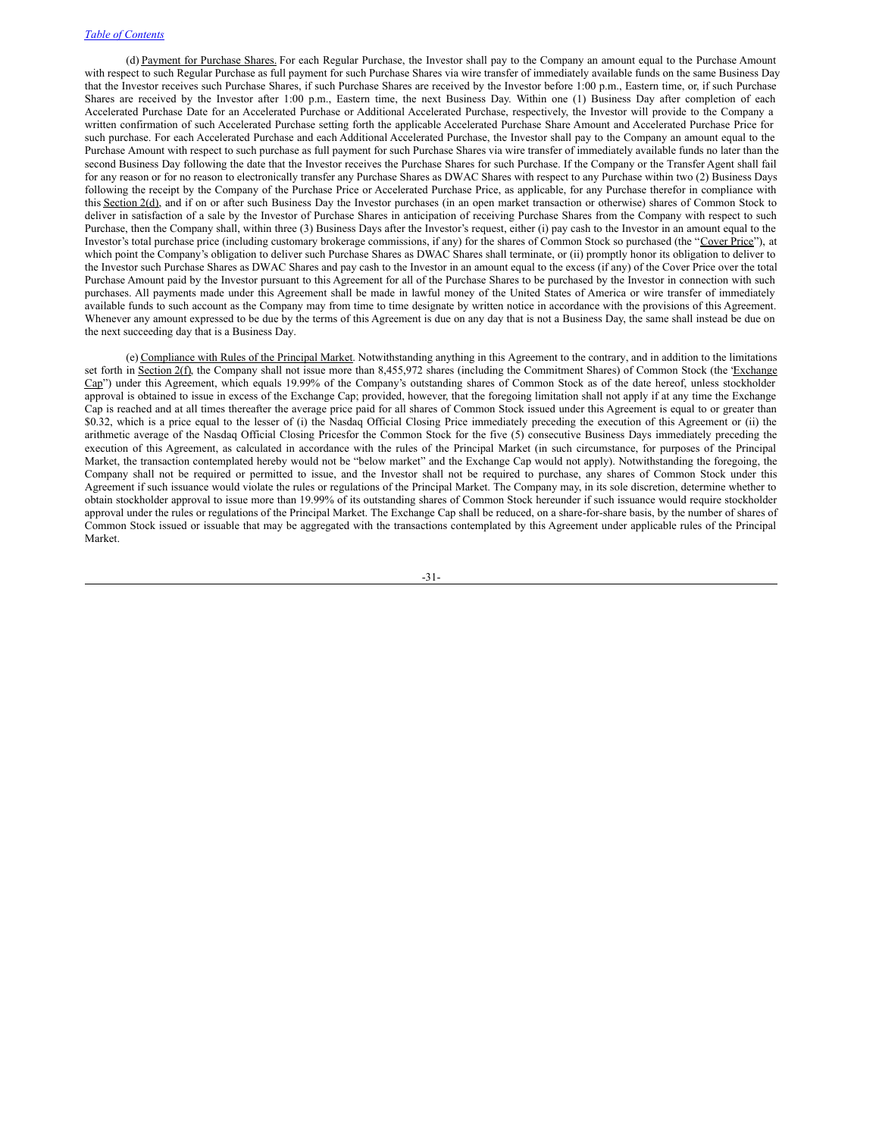(d) Payment for Purchase Shares. For each Regular Purchase, the Investor shall pay to the Company an amount equal to the Purchase Amount with respect to such Regular Purchase as full payment for such Purchase Shares via wire transfer of immediately available funds on the same Business Day that the Investor receives such Purchase Shares, if such Purchase Shares are received by the Investor before 1:00 p.m., Eastern time, or, if such Purchase Shares are received by the Investor after 1:00 p.m., Eastern time, the next Business Day. Within one (1) Business Day after completion of each Accelerated Purchase Date for an Accelerated Purchase or Additional Accelerated Purchase, respectively, the Investor will provide to the Company a written confirmation of such Accelerated Purchase setting forth the applicable Accelerated Purchase Share Amount and Accelerated Purchase Price for such purchase. For each Accelerated Purchase and each Additional Accelerated Purchase, the Investor shall pay to the Company an amount equal to the Purchase Amount with respect to such purchase as full payment for such Purchase Shares via wire transfer of immediately available funds no later than the second Business Day following the date that the Investor receives the Purchase Shares for such Purchase. If the Company or the Transfer Agent shall fail for any reason or for no reason to electronically transfer any Purchase Shares as DWAC Shares with respect to any Purchase within two (2) Business Days following the receipt by the Company of the Purchase Price or Accelerated Purchase Price, as applicable, for any Purchase therefor in compliance with this Section 2(d), and if on or after such Business Day the Investor purchases (in an open market transaction or otherwise) shares of Common Stock to deliver in satisfaction of a sale by the Investor of Purchase Shares in anticipation of receiving Purchase Shares from the Company with respect to such Purchase, then the Company shall, within three (3) Business Days after the Investor's request, either (i) pay cash to the Investor in an amount equal to the Investor's total purchase price (including customary brokerage commissions, if any) for the shares of Common Stock so purchased (the "Cover Price"), at which point the Company's obligation to deliver such Purchase Shares as DWAC Shares shall terminate, or (ii) promptly honor its obligation to deliver to the Investor such Purchase Shares as DWAC Shares and pay cash to the Investor in an amount equal to the excess (if any) of the Cover Price over the total Purchase Amount paid by the Investor pursuant to this Agreement for all of the Purchase Shares to be purchased by the Investor in connection with such purchases. All payments made under this Agreement shall be made in lawful money of the United States of America or wire transfer of immediately available funds to such account as the Company may from time to time designate by written notice in accordance with the provisions of this Agreement. Whenever any amount expressed to be due by the terms of this Agreement is due on any day that is not a Business Day, the same shall instead be due on the next succeeding day that is a Business Day.

(e) Compliance with Rules of the Principal Market. Notwithstanding anything in this Agreement to the contrary, and in addition to the limitations set forth in Section 2(f), the Company shall not issue more than 8,455,972 shares (including the Commitment Shares) of Common Stock (the Exchange Cap") under this Agreement, which equals 19.99% of the Company's outstanding shares of Common Stock as of the date hereof, unless stockholder approval is obtained to issue in excess of the Exchange Cap; provided, however, that the foregoing limitation shall not apply if at any time the Exchange Cap is reached and at all times thereafter the average price paid for all shares of Common Stock issued under this Agreement is equal to or greater than \$0.32, which is a price equal to the lesser of (i) the Nasdaq Official Closing Price immediately preceding the execution of this Agreement or (ii) the arithmetic average of the Nasdaq Official Closing Pricesfor the Common Stock for the five (5) consecutive Business Days immediately preceding the execution of this Agreement, as calculated in accordance with the rules of the Principal Market (in such circumstance, for purposes of the Principal Market, the transaction contemplated hereby would not be "below market" and the Exchange Cap would not apply). Notwithstanding the foregoing, the Company shall not be required or permitted to issue, and the Investor shall not be required to purchase, any shares of Common Stock under this Agreement if such issuance would violate the rules or regulations of the Principal Market. The Company may, in its sole discretion, determine whether to obtain stockholder approval to issue more than 19.99% of its outstanding shares of Common Stock hereunder if such issuance would require stockholder approval under the rules or regulations of the Principal Market. The Exchange Cap shall be reduced, on a share-for-share basis, by the number of shares of Common Stock issued or issuable that may be aggregated with the transactions contemplated by this Agreement under applicable rules of the Principal Market.

-31-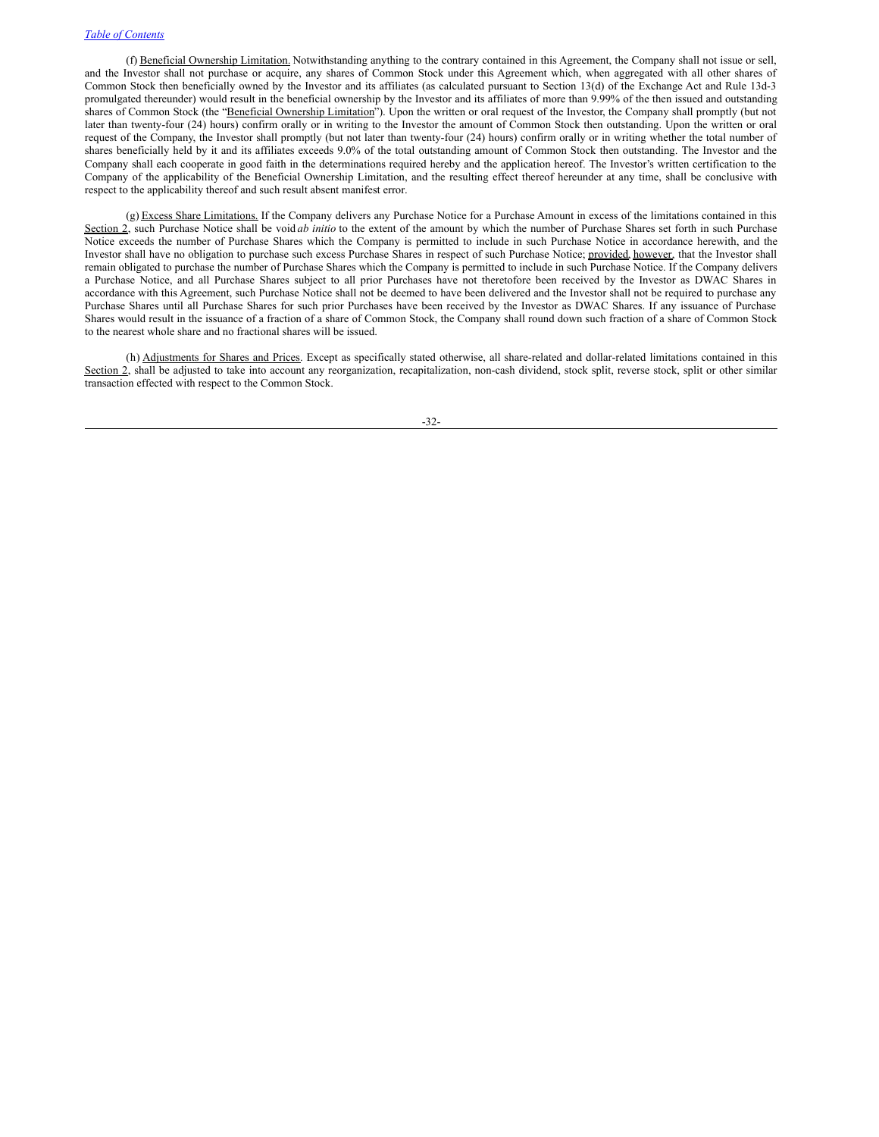(f) Beneficial Ownership Limitation. Notwithstanding anything to the contrary contained in this Agreement, the Company shall not issue or sell, and the Investor shall not purchase or acquire, any shares of Common Stock under this Agreement which, when aggregated with all other shares of Common Stock then beneficially owned by the Investor and its affiliates (as calculated pursuant to Section 13(d) of the Exchange Act and Rule 13d-3 promulgated thereunder) would result in the beneficial ownership by the Investor and its affiliates of more than 9.99% of the then issued and outstanding shares of Common Stock (the "Beneficial Ownership Limitation"). Upon the written or oral request of the Investor, the Company shall promptly (but not later than twenty-four (24) hours) confirm orally or in writing to the Investor the amount of Common Stock then outstanding. Upon the written or oral request of the Company, the Investor shall promptly (but not later than twenty-four (24) hours) confirm orally or in writing whether the total number of shares beneficially held by it and its affiliates exceeds 9.0% of the total outstanding amount of Common Stock then outstanding. The Investor and the Company shall each cooperate in good faith in the determinations required hereby and the application hereof. The Investor's written certification to the Company of the applicability of the Beneficial Ownership Limitation, and the resulting effect thereof hereunder at any time, shall be conclusive with respect to the applicability thereof and such result absent manifest error.

(g) Excess Share Limitations. If the Company delivers any Purchase Notice for a Purchase Amount in excess of the limitations contained in this Section 2, such Purchase Notice shall be void ab initio to the extent of the amount by which the number of Purchase Shares set forth in such Purchase Notice exceeds the number of Purchase Shares which the Company is permitted to include in such Purchase Notice in accordance herewith, and the Investor shall have no obligation to purchase such excess Purchase Shares in respect of such Purchase Notice; provided, however, that the Investor shall remain obligated to purchase the number of Purchase Shares which the Company is permitted to include in such Purchase Notice. If the Company delivers a Purchase Notice, and all Purchase Shares subject to all prior Purchases have not theretofore been received by the Investor as DWAC Shares in accordance with this Agreement, such Purchase Notice shall not be deemed to have been delivered and the Investor shall not be required to purchase any Purchase Shares until all Purchase Shares for such prior Purchases have been received by the Investor as DWAC Shares. If any issuance of Purchase Shares would result in the issuance of a fraction of a share of Common Stock, the Company shall round down such fraction of a share of Common Stock to the nearest whole share and no fractional shares will be issued.

(h) Adjustments for Shares and Prices. Except as specifically stated otherwise, all share-related and dollar-related limitations contained in this Section 2, shall be adjusted to take into account any reorganization, recapitalization, non-cash dividend, stock split, reverse stock, split or other similar transaction effected with respect to the Common Stock.

-32-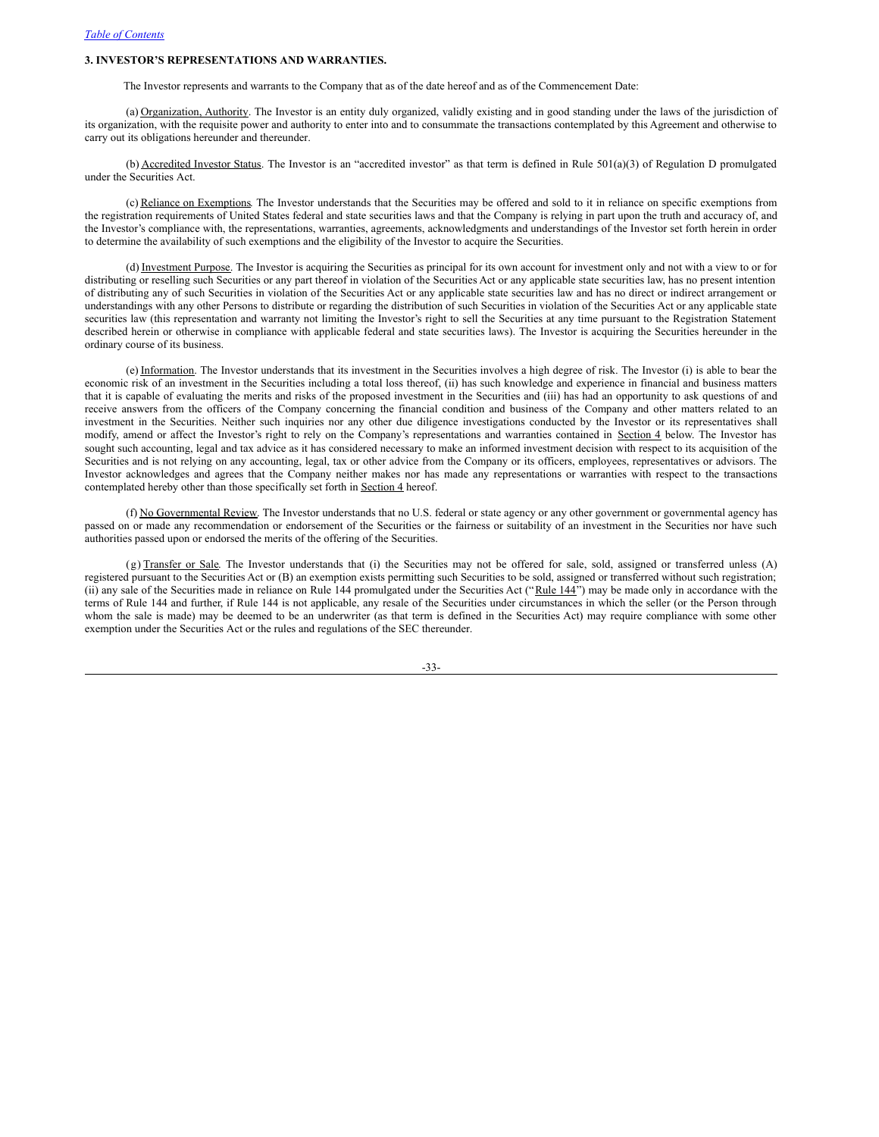# **3. INVESTOR'S REPRESENTATIONS AND WARRANTIES.**

The Investor represents and warrants to the Company that as of the date hereof and as of the Commencement Date:

(a) Organization, Authority. The Investor is an entity duly organized, validly existing and in good standing under the laws of the jurisdiction of its organization, with the requisite power and authority to enter into and to consummate the transactions contemplated by this Agreement and otherwise to carry out its obligations hereunder and thereunder.

(b) Accredited Investor Status. The Investor is an "accredited investor" as that term is defined in Rule 501(a)(3) of Regulation D promulgated under the Securities Act.

(c) Reliance on Exemptions. The Investor understands that the Securities may be offered and sold to it in reliance on specific exemptions from the registration requirements of United States federal and state securities laws and that the Company is relying in part upon the truth and accuracy of, and the Investor's compliance with, the representations, warranties, agreements, acknowledgments and understandings of the Investor set forth herein in order to determine the availability of such exemptions and the eligibility of the Investor to acquire the Securities.

(d) Investment Purpose. The Investor is acquiring the Securities as principal for its own account for investment only and not with a view to or for distributing or reselling such Securities or any part thereof in violation of the Securities Act or any applicable state securities law, has no present intention of distributing any of such Securities in violation of the Securities Act or any applicable state securities law and has no direct or indirect arrangement or understandings with any other Persons to distribute or regarding the distribution of such Securities in violation of the Securities Act or any applicable state securities law (this representation and warranty not limiting the Investor's right to sell the Securities at any time pursuant to the Registration Statement described herein or otherwise in compliance with applicable federal and state securities laws). The Investor is acquiring the Securities hereunder in the ordinary course of its business.

(e) Information. The Investor understands that its investment in the Securities involves a high degree of risk. The Investor (i) is able to bear the economic risk of an investment in the Securities including a total loss thereof, (ii) has such knowledge and experience in financial and business matters that it is capable of evaluating the merits and risks of the proposed investment in the Securities and (iii) has had an opportunity to ask questions of and receive answers from the officers of the Company concerning the financial condition and business of the Company and other matters related to an investment in the Securities. Neither such inquiries nor any other due diligence investigations conducted by the Investor or its representatives shall modify, amend or affect the Investor's right to rely on the Company's representations and warranties contained in Section 4 below. The Investor has sought such accounting, legal and tax advice as it has considered necessary to make an informed investment decision with respect to its acquisition of the Securities and is not relying on any accounting, legal, tax or other advice from the Company or its officers, employees, representatives or advisors. The Investor acknowledges and agrees that the Company neither makes nor has made any representations or warranties with respect to the transactions contemplated hereby other than those specifically set forth in **Section 4** hereof.

(f) No Governmental Review. The Investor understands that no U.S. federal or state agency or any other government or governmental agency has passed on or made any recommendation or endorsement of the Securities or the fairness or suitability of an investment in the Securities nor have such authorities passed upon or endorsed the merits of the offering of the Securities.

(g) Transfer or Sale. The Investor understands that (i) the Securities may not be offered for sale, sold, assigned or transferred unless (A) registered pursuant to the Securities Act or (B) an exemption exists permitting such Securities to be sold, assigned or transferred without such registration; (ii) any sale of the Securities made in reliance on Rule 144 promulgated under the Securities Act ("Rule 144") may be made only in accordance with the terms of Rule 144 and further, if Rule 144 is not applicable, any resale of the Securities under circumstances in which the seller (or the Person through whom the sale is made) may be deemed to be an underwriter (as that term is defined in the Securities Act) may require compliance with some other exemption under the Securities Act or the rules and regulations of the SEC thereunder.

-33-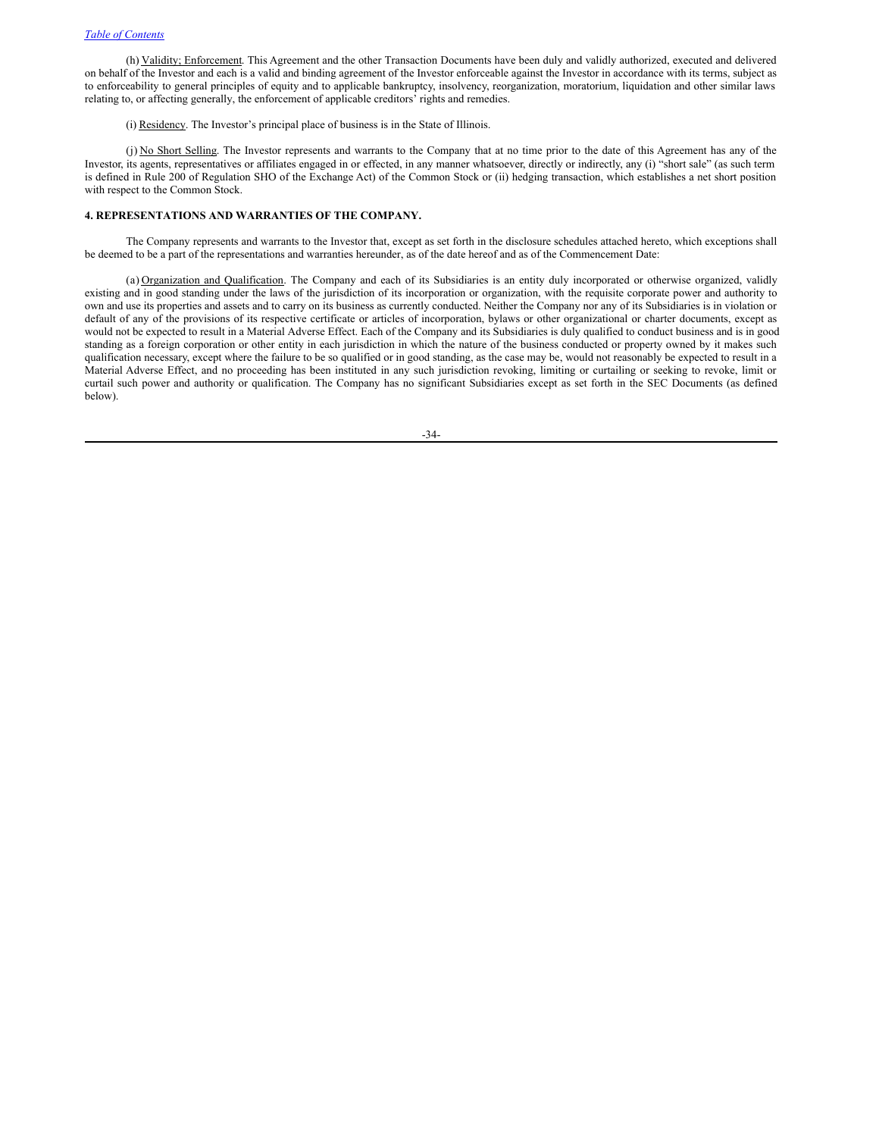(h) Validity; Enforcement. This Agreement and the other Transaction Documents have been duly and validly authorized, executed and delivered on behalf of the Investor and each is a valid and binding agreement of the Investor enforceable against the Investor in accordance with its terms, subject as to enforceability to general principles of equity and to applicable bankruptcy, insolvency, reorganization, moratorium, liquidation and other similar laws relating to, or affecting generally, the enforcement of applicable creditors' rights and remedies.

(i) Residency. The Investor's principal place of business is in the State of Illinois.

(j) No Short Selling. The Investor represents and warrants to the Company that at no time prior to the date of this Agreement has any of the Investor, its agents, representatives or affiliates engaged in or effected, in any manner whatsoever, directly or indirectly, any (i) "short sale" (as such term is defined in Rule 200 of Regulation SHO of the Exchange Act) of the Common Stock or (ii) hedging transaction, which establishes a net short position with respect to the Common Stock.

# **4. REPRESENTATIONS AND WARRANTIES OF THE COMPANY.**

The Company represents and warrants to the Investor that, except as set forth in the disclosure schedules attached hereto, which exceptions shall be deemed to be a part of the representations and warranties hereunder, as of the date hereof and as of the Commencement Date:

(a) Organization and Qualification. The Company and each of its Subsidiaries is an entity duly incorporated or otherwise organized, validly existing and in good standing under the laws of the jurisdiction of its incorporation or organization, with the requisite corporate power and authority to own and use its properties and assets and to carry on its business as currently conducted. Neither the Company nor any of its Subsidiaries is in violation or default of any of the provisions of its respective certificate or articles of incorporation, bylaws or other organizational or charter documents, except as would not be expected to result in a Material Adverse Effect. Each of the Company and its Subsidiaries is duly qualified to conduct business and is in good standing as a foreign corporation or other entity in each jurisdiction in which the nature of the business conducted or property owned by it makes such qualification necessary, except where the failure to be so qualified or in good standing, as the case may be, would not reasonably be expected to result in a Material Adverse Effect, and no proceeding has been instituted in any such jurisdiction revoking, limiting or curtailing or seeking to revoke, limit or curtail such power and authority or qualification. The Company has no significant Subsidiaries except as set forth in the SEC Documents (as defined below).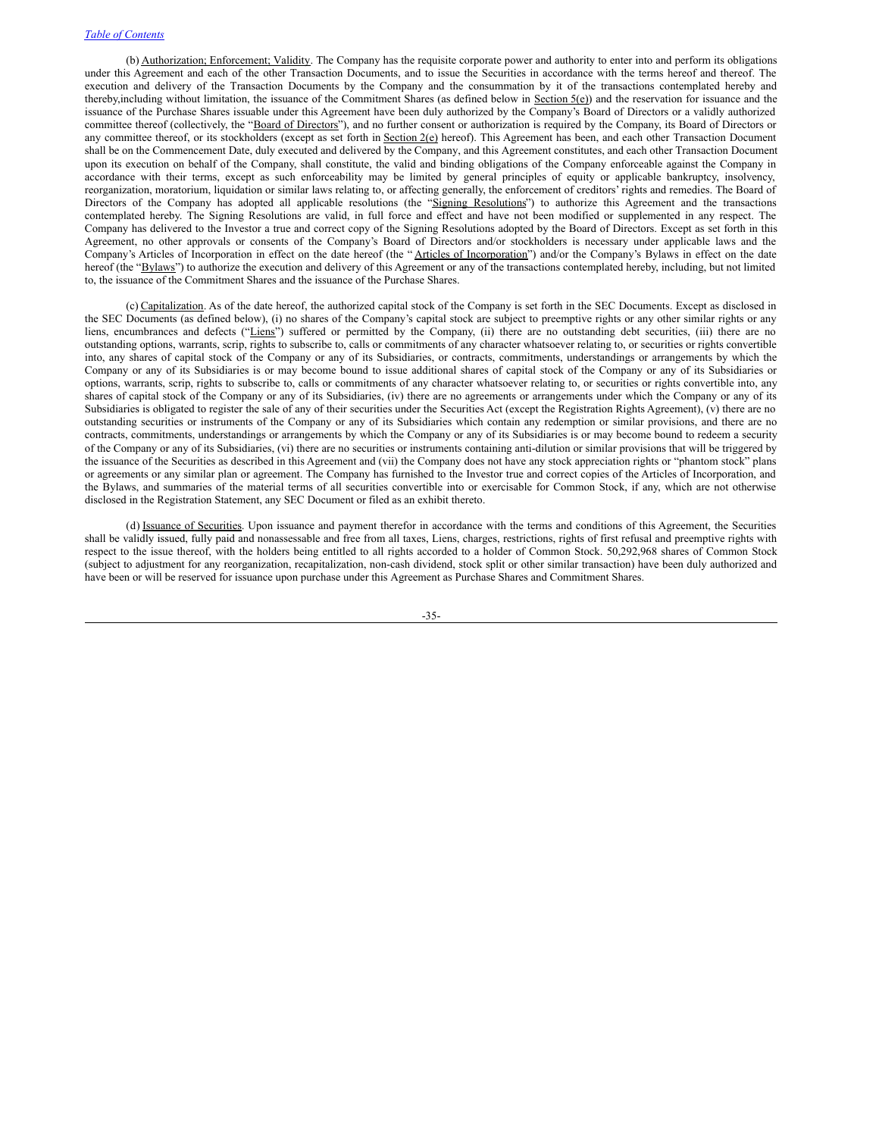(b) Authorization; Enforcement; Validity. The Company has the requisite corporate power and authority to enter into and perform its obligations under this Agreement and each of the other Transaction Documents, and to issue the Securities in accordance with the terms hereof and thereof. The execution and delivery of the Transaction Documents by the Company and the consummation by it of the transactions contemplated hereby and thereby, including without limitation, the issuance of the Commitment Shares (as defined below in Section  $5(e)$ ) and the reservation for issuance and the issuance of the Purchase Shares issuable under this Agreement have been duly authorized by the Company's Board of Directors or a validly authorized committee thereof (collectively, the "Board of Directors"), and no further consent or authorization is required by the Company, its Board of Directors or any committee thereof, or its stockholders (except as set forth in Section 2(e) hereof). This Agreement has been, and each other Transaction Document shall be on the Commencement Date, duly executed and delivered by the Company, and this Agreement constitutes, and each other Transaction Document upon its execution on behalf of the Company, shall constitute, the valid and binding obligations of the Company enforceable against the Company in accordance with their terms, except as such enforceability may be limited by general principles of equity or applicable bankruptcy, insolvency, reorganization, moratorium, liquidation or similar laws relating to, or affecting generally, the enforcement of creditors' rights and remedies. The Board of Directors of the Company has adopted all applicable resolutions (the "Signing Resolutions") to authorize this Agreement and the transactions contemplated hereby. The Signing Resolutions are valid, in full force and effect and have not been modified or supplemented in any respect. The Company has delivered to the Investor a true and correct copy of the Signing Resolutions adopted by the Board of Directors. Except as set forth in this Agreement, no other approvals or consents of the Company's Board of Directors and/or stockholders is necessary under applicable laws and the Company's Articles of Incorporation in effect on the date hereof (the "Articles of Incorporation") and/or the Company's Bylaws in effect on the date hereof (the "Bylaws") to authorize the execution and delivery of this Agreement or any of the transactions contemplated hereby, including, but not limited to, the issuance of the Commitment Shares and the issuance of the Purchase Shares.

(c) Capitalization. As of the date hereof, the authorized capital stock of the Company is set forth in the SEC Documents. Except as disclosed in the SEC Documents (as defined below), (i) no shares of the Company's capital stock are subject to preemptive rights or any other similar rights or any liens, encumbrances and defects ("Liens") suffered or permitted by the Company, (ii) there are no outstanding debt securities, (iii) there are no outstanding options, warrants, scrip, rights to subscribe to, calls or commitments of any character whatsoever relating to, or securities or rights convertible into, any shares of capital stock of the Company or any of its Subsidiaries, or contracts, commitments, understandings or arrangements by which the Company or any of its Subsidiaries is or may become bound to issue additional shares of capital stock of the Company or any of its Subsidiaries or options, warrants, scrip, rights to subscribe to, calls or commitments of any character whatsoever relating to, or securities or rights convertible into, any shares of capital stock of the Company or any of its Subsidiaries, (iv) there are no agreements or arrangements under which the Company or any of its Subsidiaries is obligated to register the sale of any of their securities under the Securities Act (except the Registration Rights Agreement), (v) there are no outstanding securities or instruments of the Company or any of its Subsidiaries which contain any redemption or similar provisions, and there are no contracts, commitments, understandings or arrangements by which the Company or any of its Subsidiaries is or may become bound to redeem a security of the Company or any of its Subsidiaries, (vi) there are no securities or instruments containing anti-dilution or similar provisions that will be triggered by the issuance of the Securities as described in this Agreement and (vii) the Company does not have any stock appreciation rights or "phantom stock" plans or agreements or any similar plan or agreement. The Company has furnished to the Investor true and correct copies of the Articles of Incorporation, and the Bylaws, and summaries of the material terms of all securities convertible into or exercisable for Common Stock, if any, which are not otherwise disclosed in the Registration Statement, any SEC Document or filed as an exhibit thereto.

(d) Issuance of Securities. Upon issuance and payment therefor in accordance with the terms and conditions of this Agreement, the Securities shall be validly issued, fully paid and nonassessable and free from all taxes, Liens, charges, restrictions, rights of first refusal and preemptive rights with respect to the issue thereof, with the holders being entitled to all rights accorded to a holder of Common Stock. 50,292,968 shares of Common Stock (subject to adjustment for any reorganization, recapitalization, non-cash dividend, stock split or other similar transaction) have been duly authorized and have been or will be reserved for issuance upon purchase under this Agreement as Purchase Shares and Commitment Shares.

-35-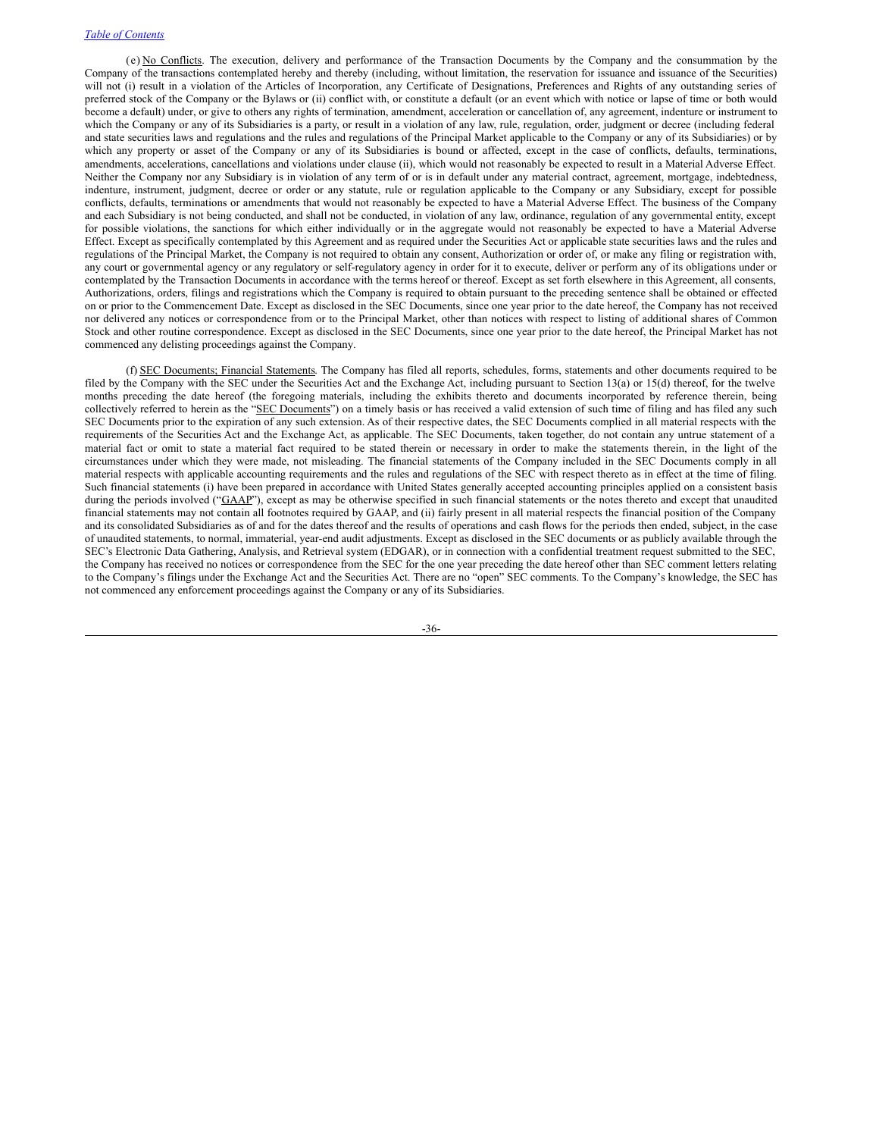(e) No Conflicts. The execution, delivery and performance of the Transaction Documents by the Company and the consummation by the Company of the transactions contemplated hereby and thereby (including, without limitation, the reservation for issuance and issuance of the Securities) will not (i) result in a violation of the Articles of Incorporation, any Certificate of Designations, Preferences and Rights of any outstanding series of preferred stock of the Company or the Bylaws or (ii) conflict with, or constitute a default (or an event which with notice or lapse of time or both would become a default) under, or give to others any rights of termination, amendment, acceleration or cancellation of, any agreement, indenture or instrument to which the Company or any of its Subsidiaries is a party, or result in a violation of any law, rule, regulation, order, judgment or decree (including federal and state securities laws and regulations and the rules and regulations of the Principal Market applicable to the Company or any of its Subsidiaries) or by which any property or asset of the Company or any of its Subsidiaries is bound or affected, except in the case of conflicts, defaults, terminations, amendments, accelerations, cancellations and violations under clause (ii), which would not reasonably be expected to result in a Material Adverse Effect. Neither the Company nor any Subsidiary is in violation of any term of or is in default under any material contract, agreement, mortgage, indebtedness, indenture, instrument, judgment, decree or order or any statute, rule or regulation applicable to the Company or any Subsidiary, except for possible conflicts, defaults, terminations or amendments that would not reasonably be expected to have a Material Adverse Effect. The business of the Company and each Subsidiary is not being conducted, and shall not be conducted, in violation of any law, ordinance, regulation of any governmental entity, except for possible violations, the sanctions for which either individually or in the aggregate would not reasonably be expected to have a Material Adverse Effect. Except as specifically contemplated by this Agreement and as required under the Securities Act or applicable state securities laws and the rules and regulations of the Principal Market, the Company is not required to obtain any consent, Authorization or order of, or make any filing or registration with, any court or governmental agency or any regulatory or self-regulatory agency in order for it to execute, deliver or perform any of its obligations under or contemplated by the Transaction Documents in accordance with the terms hereof or thereof. Except as set forth elsewhere in this Agreement, all consents, Authorizations, orders, filings and registrations which the Company is required to obtain pursuant to the preceding sentence shall be obtained or effected on or prior to the Commencement Date. Except as disclosed in the SEC Documents, since one year prior to the date hereof, the Company has not received nor delivered any notices or correspondence from or to the Principal Market, other than notices with respect to listing of additional shares of Common Stock and other routine correspondence. Except as disclosed in the SEC Documents, since one year prior to the date hereof, the Principal Market has not commenced any delisting proceedings against the Company.

(f) SEC Documents; Financial Statements. The Company has filed all reports, schedules, forms, statements and other documents required to be filed by the Company with the SEC under the Securities Act and the Exchange Act, including pursuant to Section 13(a) or 15(d) thereof, for the twelve months preceding the date hereof (the foregoing materials, including the exhibits thereto and documents incorporated by reference therein, being collectively referred to herein as the "SEC Documents") on a timely basis or has received a valid extension of such time of filing and has filed any such SEC Documents prior to the expiration of any such extension. As of their respective dates, the SEC Documents complied in all material respects with the requirements of the Securities Act and the Exchange Act, as applicable. The SEC Documents, taken together, do not contain any untrue statement of a material fact or omit to state a material fact required to be stated therein or necessary in order to make the statements therein, in the light of the circumstances under which they were made, not misleading. The financial statements of the Company included in the SEC Documents comply in all material respects with applicable accounting requirements and the rules and regulations of the SEC with respect thereto as in effect at the time of filing. Such financial statements (i) have been prepared in accordance with United States generally accepted accounting principles applied on a consistent basis during the periods involved ("GAAP"), except as may be otherwise specified in such financial statements or the notes thereto and except that unaudited financial statements may not contain all footnotes required by GAAP, and (ii) fairly present in all material respects the financial position of the Company and its consolidated Subsidiaries as of and for the dates thereof and the results of operations and cash flows for the periods then ended, subject, in the case of unaudited statements, to normal, immaterial, year-end audit adjustments. Except as disclosed in the SEC documents or as publicly available through the SEC's Electronic Data Gathering, Analysis, and Retrieval system (EDGAR), or in connection with a confidential treatment request submitted to the SEC, the Company has received no notices or correspondence from the SEC for the one year preceding the date hereof other than SEC comment letters relating to the Company's filings under the Exchange Act and the Securities Act. There are no "open" SEC comments. To the Company's knowledge, the SEC has not commenced any enforcement proceedings against the Company or any of its Subsidiaries.

-36-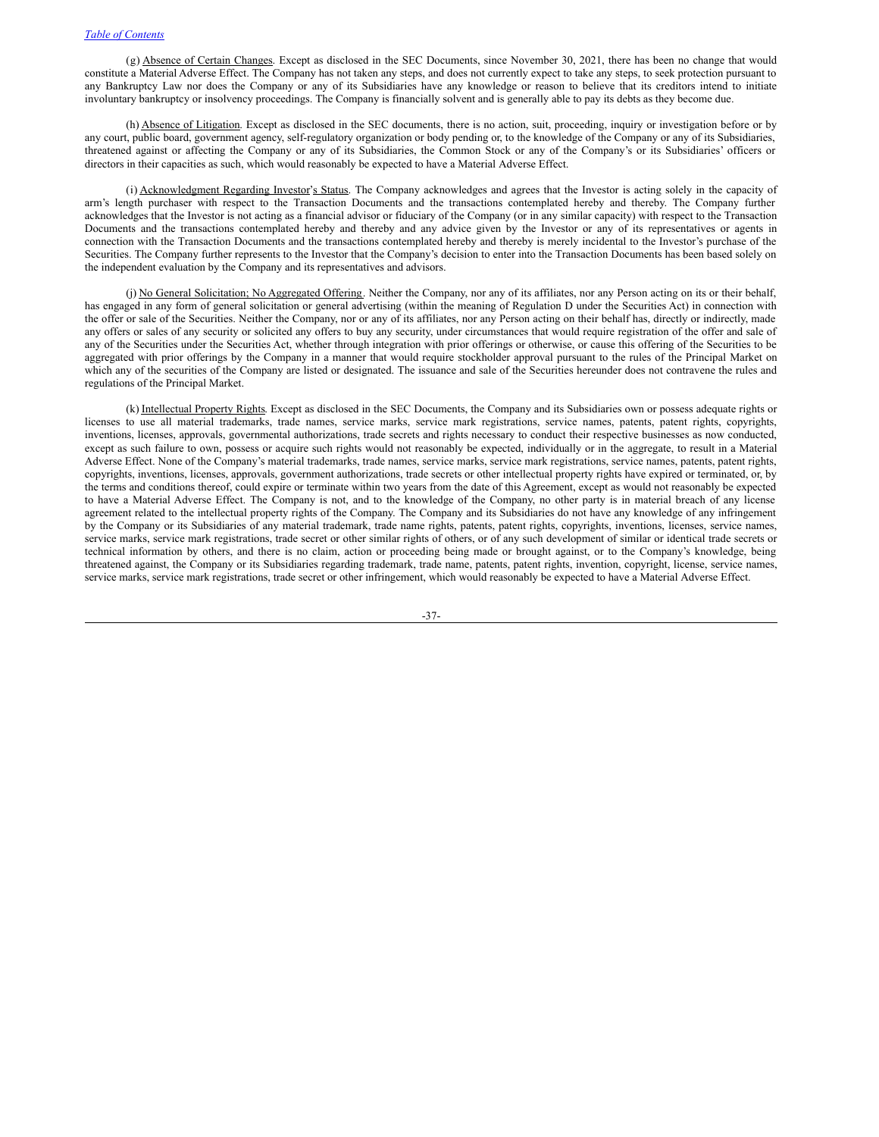(g) Absence of Certain Changes. Except as disclosed in the SEC Documents, since November 30, 2021, there has been no change that would constitute a Material Adverse Effect. The Company has not taken any steps, and does not currently expect to take any steps, to seek protection pursuant to any Bankruptcy Law nor does the Company or any of its Subsidiaries have any knowledge or reason to believe that its creditors intend to initiate involuntary bankruptcy or insolvency proceedings. The Company is financially solvent and is generally able to pay its debts as they become due.

(h) Absence of Litigation. Except as disclosed in the SEC documents, there is no action, suit, proceeding, inquiry or investigation before or by any court, public board, government agency, self-regulatory organization or body pending or, to the knowledge of the Company or any of its Subsidiaries, threatened against or affecting the Company or any of its Subsidiaries, the Common Stock or any of the Company's or its Subsidiaries' officers or directors in their capacities as such, which would reasonably be expected to have a Material Adverse Effect.

(i) Acknowledgment Regarding Investor's Status. The Company acknowledges and agrees that the Investor is acting solely in the capacity of arm's length purchaser with respect to the Transaction Documents and the transactions contemplated hereby and thereby. The Company further acknowledges that the Investor is not acting as a financial advisor or fiduciary of the Company (or in any similar capacity) with respect to the Transaction Documents and the transactions contemplated hereby and thereby and any advice given by the Investor or any of its representatives or agents in connection with the Transaction Documents and the transactions contemplated hereby and thereby is merely incidental to the Investor's purchase of the Securities. The Company further represents to the Investor that the Company's decision to enter into the Transaction Documents has been based solely on the independent evaluation by the Company and its representatives and advisors.

(j) No General Solicitation; No Aggregated Offering. Neither the Company, nor any of its affiliates, nor any Person acting on its or their behalf, has engaged in any form of general solicitation or general advertising (within the meaning of Regulation D under the Securities Act) in connection with the offer or sale of the Securities. Neither the Company, nor or any of its affiliates, nor any Person acting on their behalf has, directly or indirectly, made any offers or sales of any security or solicited any offers to buy any security, under circumstances that would require registration of the offer and sale of any of the Securities under the Securities Act, whether through integration with prior offerings or otherwise, or cause this offering of the Securities to be aggregated with prior offerings by the Company in a manner that would require stockholder approval pursuant to the rules of the Principal Market on which any of the securities of the Company are listed or designated. The issuance and sale of the Securities hereunder does not contravene the rules and regulations of the Principal Market.

(k) Intellectual Property Rights. Except as disclosed in the SEC Documents, the Company and its Subsidiaries own or possess adequate rights or licenses to use all material trademarks, trade names, service marks, service mark registrations, service names, patents, patent rights, copyrights, inventions, licenses, approvals, governmental authorizations, trade secrets and rights necessary to conduct their respective businesses as now conducted, except as such failure to own, possess or acquire such rights would not reasonably be expected, individually or in the aggregate, to result in a Material Adverse Effect. None of the Company's material trademarks, trade names, service marks, service mark registrations, service names, patents, patent rights, copyrights, inventions, licenses, approvals, government authorizations, trade secrets or other intellectual property rights have expired or terminated, or, by the terms and conditions thereof, could expire or terminate within two years from the date of this Agreement, except as would not reasonably be expected to have a Material Adverse Effect. The Company is not, and to the knowledge of the Company, no other party is in material breach of any license agreement related to the intellectual property rights of the Company. The Company and its Subsidiaries do not have any knowledge of any infringement by the Company or its Subsidiaries of any material trademark, trade name rights, patents, patent rights, copyrights, inventions, licenses, service names, service marks, service mark registrations, trade secret or other similar rights of others, or of any such development of similar or identical trade secrets or technical information by others, and there is no claim, action or proceeding being made or brought against, or to the Company's knowledge, being threatened against, the Company or its Subsidiaries regarding trademark, trade name, patents, patent rights, invention, copyright, license, service names, service marks, service mark registrations, trade secret or other infringement, which would reasonably be expected to have a Material Adverse Effect.

-37-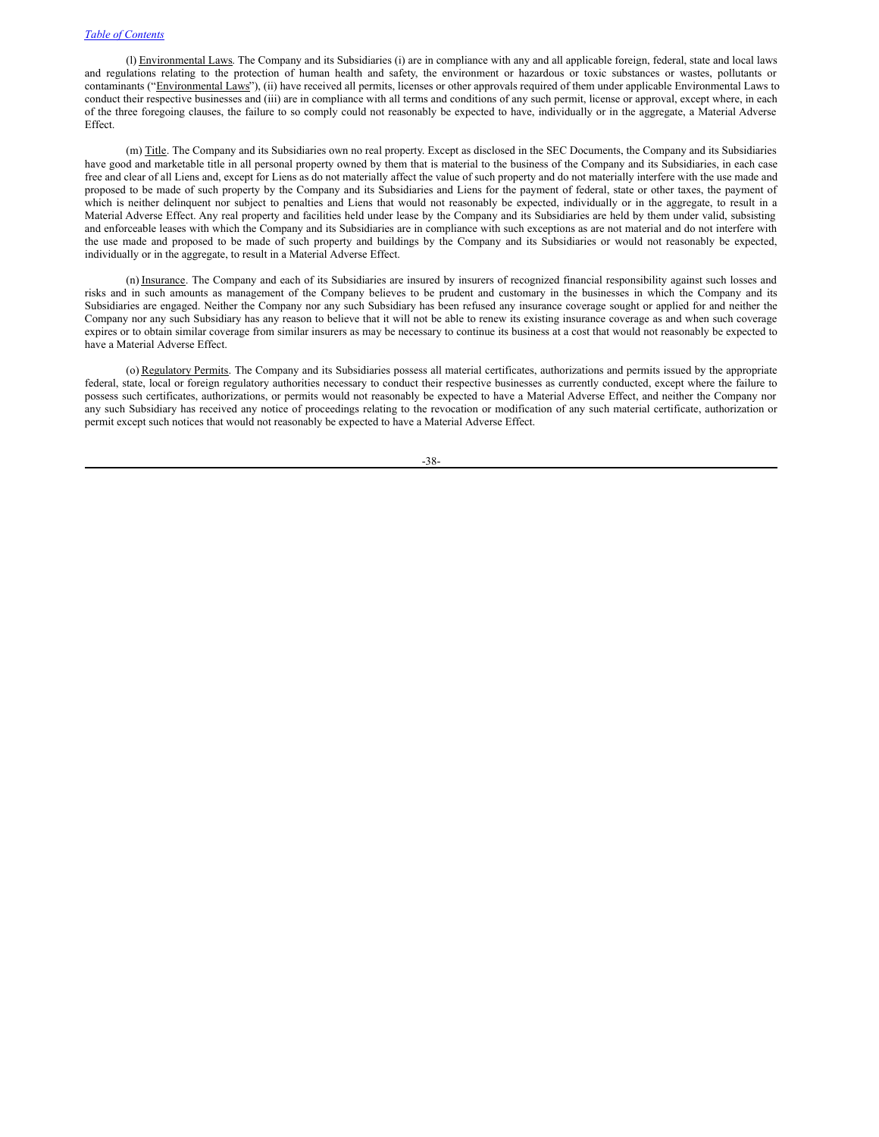(l) Environmental Laws. The Company and its Subsidiaries (i) are in compliance with any and all applicable foreign, federal, state and local laws and regulations relating to the protection of human health and safety, the environment or hazardous or toxic substances or wastes, pollutants or contaminants ("Environmental Laws"), (ii) have received all permits, licenses or other approvals required of them under applicable Environmental Laws to conduct their respective businesses and (iii) are in compliance with all terms and conditions of any such permit, license or approval, except where, in each of the three foregoing clauses, the failure to so comply could not reasonably be expected to have, individually or in the aggregate, a Material Adverse Effect.

(m) Title. The Company and its Subsidiaries own no real property. Except as disclosed in the SEC Documents, the Company and its Subsidiaries have good and marketable title in all personal property owned by them that is material to the business of the Company and its Subsidiaries, in each case free and clear of all Liens and, except for Liens as do not materially affect the value of such property and do not materially interfere with the use made and proposed to be made of such property by the Company and its Subsidiaries and Liens for the payment of federal, state or other taxes, the payment of which is neither delinquent nor subject to penalties and Liens that would not reasonably be expected, individually or in the aggregate, to result in a Material Adverse Effect. Any real property and facilities held under lease by the Company and its Subsidiaries are held by them under valid, subsisting and enforceable leases with which the Company and its Subsidiaries are in compliance with such exceptions as are not material and do not interfere with the use made and proposed to be made of such property and buildings by the Company and its Subsidiaries or would not reasonably be expected, individually or in the aggregate, to result in a Material Adverse Effect.

(n) Insurance. The Company and each of its Subsidiaries are insured by insurers of recognized financial responsibility against such losses and risks and in such amounts as management of the Company believes to be prudent and customary in the businesses in which the Company and its Subsidiaries are engaged. Neither the Company nor any such Subsidiary has been refused any insurance coverage sought or applied for and neither the Company nor any such Subsidiary has any reason to believe that it will not be able to renew its existing insurance coverage as and when such coverage expires or to obtain similar coverage from similar insurers as may be necessary to continue its business at a cost that would not reasonably be expected to have a Material Adverse Effect.

(o) Regulatory Permits. The Company and its Subsidiaries possess all material certificates, authorizations and permits issued by the appropriate federal, state, local or foreign regulatory authorities necessary to conduct their respective businesses as currently conducted, except where the failure to possess such certificates, authorizations, or permits would not reasonably be expected to have a Material Adverse Effect, and neither the Company nor any such Subsidiary has received any notice of proceedings relating to the revocation or modification of any such material certificate, authorization or permit except such notices that would not reasonably be expected to have a Material Adverse Effect.

-38-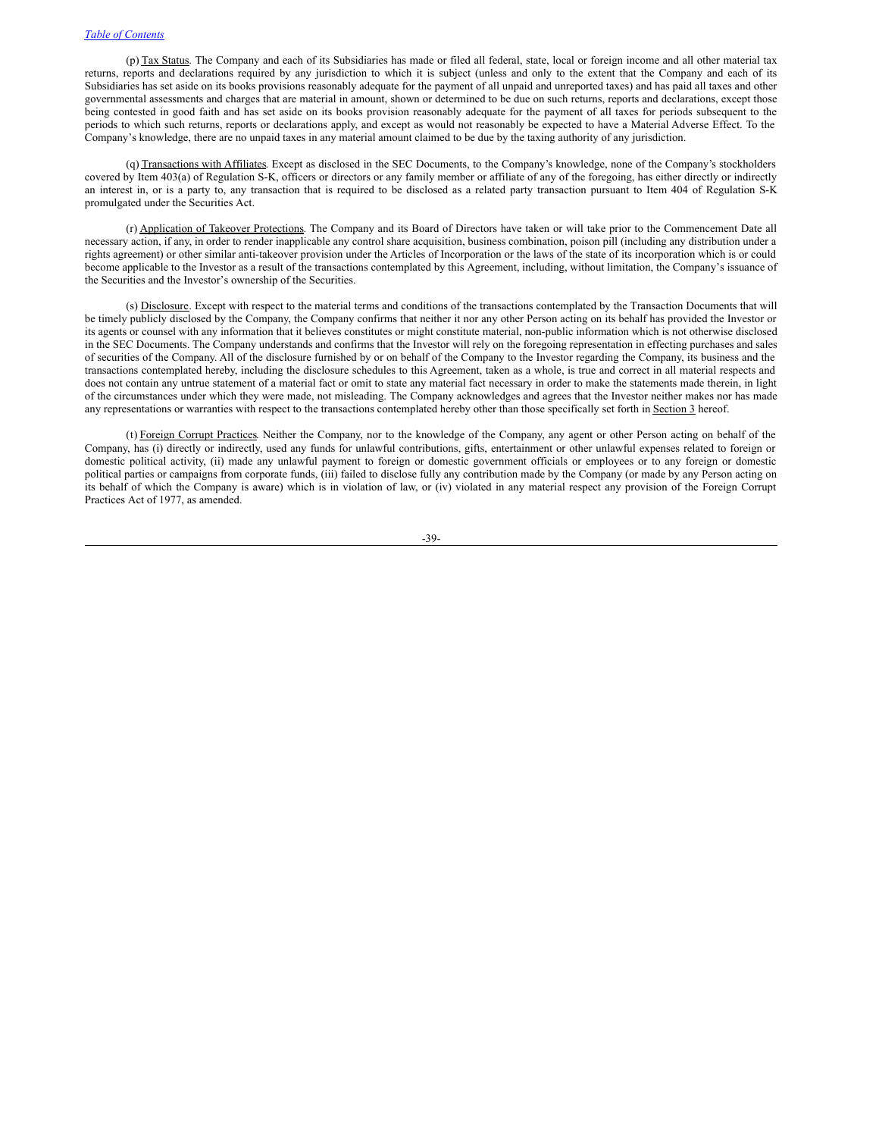(p) Tax Status. The Company and each of its Subsidiaries has made or filed all federal, state, local or foreign income and all other material tax returns, reports and declarations required by any jurisdiction to which it is subject (unless and only to the extent that the Company and each of its Subsidiaries has set aside on its books provisions reasonably adequate for the payment of all unpaid and unreported taxes) and has paid all taxes and other governmental assessments and charges that are material in amount, shown or determined to be due on such returns, reports and declarations, except those being contested in good faith and has set aside on its books provision reasonably adequate for the payment of all taxes for periods subsequent to the periods to which such returns, reports or declarations apply, and except as would not reasonably be expected to have a Material Adverse Effect. To the Company's knowledge, there are no unpaid taxes in any material amount claimed to be due by the taxing authority of any jurisdiction.

(q) Transactions with Affiliates. Except as disclosed in the SEC Documents, to the Company's knowledge, none of the Company's stockholders covered by Item 403(a) of Regulation S-K, officers or directors or any family member or affiliate of any of the foregoing, has either directly or indirectly an interest in, or is a party to, any transaction that is required to be disclosed as a related party transaction pursuant to Item 404 of Regulation S-K promulgated under the Securities Act.

(r) Application of Takeover Protections. The Company and its Board of Directors have taken or will take prior to the Commencement Date all necessary action, if any, in order to render inapplicable any control share acquisition, business combination, poison pill (including any distribution under a rights agreement) or other similar anti-takeover provision under the Articles of Incorporation or the laws of the state of its incorporation which is or could become applicable to the Investor as a result of the transactions contemplated by this Agreement, including, without limitation, the Company's issuance of the Securities and the Investor's ownership of the Securities.

(s) Disclosure. Except with respect to the material terms and conditions of the transactions contemplated by the Transaction Documents that will be timely publicly disclosed by the Company, the Company confirms that neither it nor any other Person acting on its behalf has provided the Investor or its agents or counsel with any information that it believes constitutes or might constitute material, non-public information which is not otherwise disclosed in the SEC Documents. The Company understands and confirms that the Investor will rely on the foregoing representation in effecting purchases and sales of securities of the Company. All of the disclosure furnished by or on behalf of the Company to the Investor regarding the Company, its business and the transactions contemplated hereby, including the disclosure schedules to this Agreement, taken as a whole, is true and correct in all material respects and does not contain any untrue statement of a material fact or omit to state any material fact necessary in order to make the statements made therein, in light of the circumstances under which they were made, not misleading. The Company acknowledges and agrees that the Investor neither makes nor has made any representations or warranties with respect to the transactions contemplated hereby other than those specifically set forth in Section 3 hereof.

(t) Foreign Corrupt Practices. Neither the Company, nor to the knowledge of the Company, any agent or other Person acting on behalf of the Company, has (i) directly or indirectly, used any funds for unlawful contributions, gifts, entertainment or other unlawful expenses related to foreign or domestic political activity, (ii) made any unlawful payment to foreign or domestic government officials or employees or to any foreign or domestic political parties or campaigns from corporate funds, (iii) failed to disclose fully any contribution made by the Company (or made by any Person acting on its behalf of which the Company is aware) which is in violation of law, or (iv) violated in any material respect any provision of the Foreign Corrupt Practices Act of 1977, as amended.

-39-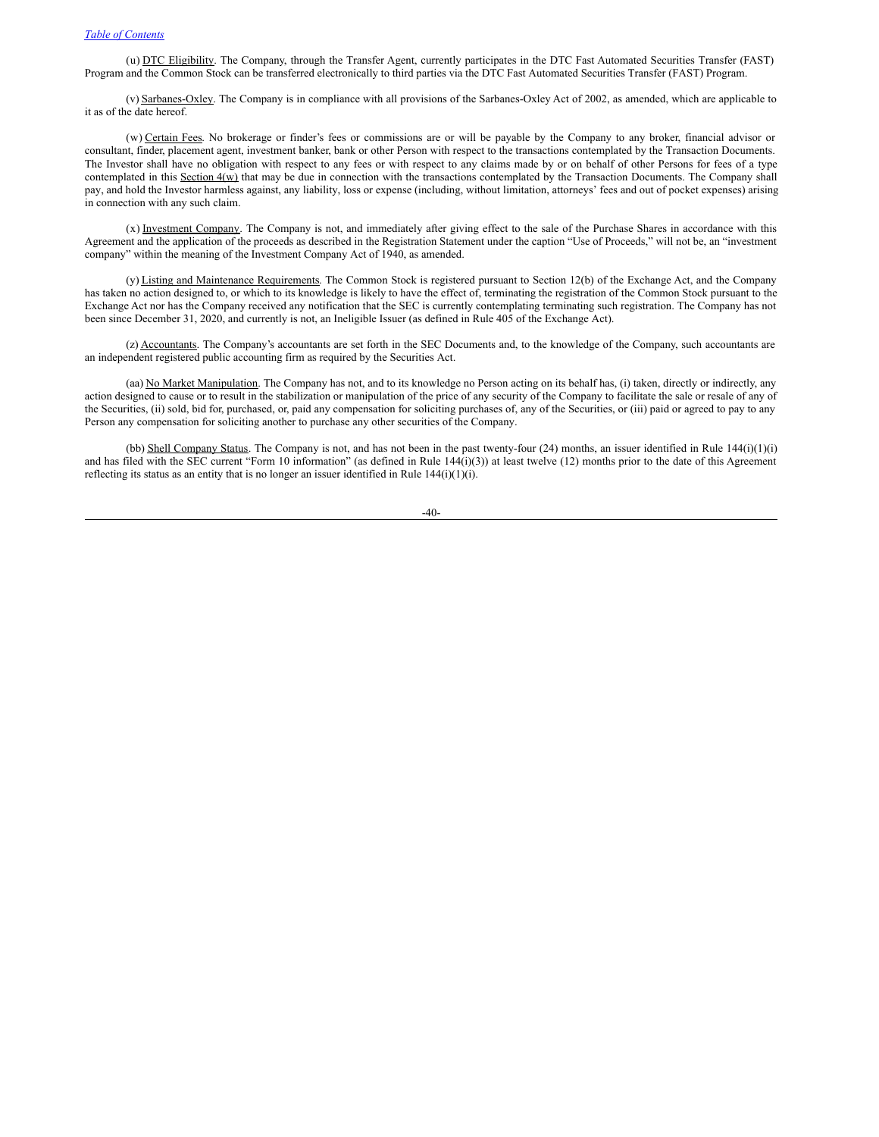(u) DTC Eligibility. The Company, through the Transfer Agent, currently participates in the DTC Fast Automated Securities Transfer (FAST) Program and the Common Stock can be transferred electronically to third parties via the DTC Fast Automated Securities Transfer (FAST) Program.

(v) Sarbanes-Oxley. The Company is in compliance with all provisions of the Sarbanes-Oxley Act of 2002, as amended, which are applicable to it as of the date hereof.

(w) Certain Fees. No brokerage or finder's fees or commissions are or will be payable by the Company to any broker, financial advisor or consultant, finder, placement agent, investment banker, bank or other Person with respect to the transactions contemplated by the Transaction Documents. The Investor shall have no obligation with respect to any fees or with respect to any claims made by or on behalf of other Persons for fees of a type contemplated in this Section  $4(w)$  that may be due in connection with the transactions contemplated by the Transaction Documents. The Company shall pay, and hold the Investor harmless against, any liability, loss or expense (including, without limitation, attorneys' fees and out of pocket expenses) arising in connection with any such claim.

(x) Investment Company. The Company is not, and immediately after giving effect to the sale of the Purchase Shares in accordance with this Agreement and the application of the proceeds as described in the Registration Statement under the caption "Use of Proceeds," will not be, an "investment company" within the meaning of the Investment Company Act of 1940, as amended.

(y) Listing and Maintenance Requirements. The Common Stock is registered pursuant to Section 12(b) of the Exchange Act, and the Company has taken no action designed to, or which to its knowledge is likely to have the effect of, terminating the registration of the Common Stock pursuant to the Exchange Act nor has the Company received any notification that the SEC is currently contemplating terminating such registration. The Company has not been since December 31, 2020, and currently is not, an Ineligible Issuer (as defined in Rule 405 of the Exchange Act).

(z) Accountants. The Company's accountants are set forth in the SEC Documents and, to the knowledge of the Company, such accountants are an independent registered public accounting firm as required by the Securities Act.

(aa) No Market Manipulation. The Company has not, and to its knowledge no Person acting on its behalf has, (i) taken, directly or indirectly, any action designed to cause or to result in the stabilization or manipulation of the price of any security of the Company to facilitate the sale or resale of any of the Securities, (ii) sold, bid for, purchased, or, paid any compensation for soliciting purchases of, any of the Securities, or (iii) paid or agreed to pay to any Person any compensation for soliciting another to purchase any other securities of the Company.

(bb) Shell Company Status. The Company is not, and has not been in the past twenty-four (24) months, an issuer identified in Rule 144(i)(1)(i) and has filed with the SEC current "Form 10 information" (as defined in Rule 144(i)(3)) at least twelve (12) months prior to the date of this Agreement reflecting its status as an entity that is no longer an issuer identified in Rule 144(i)(1)(i).

-40-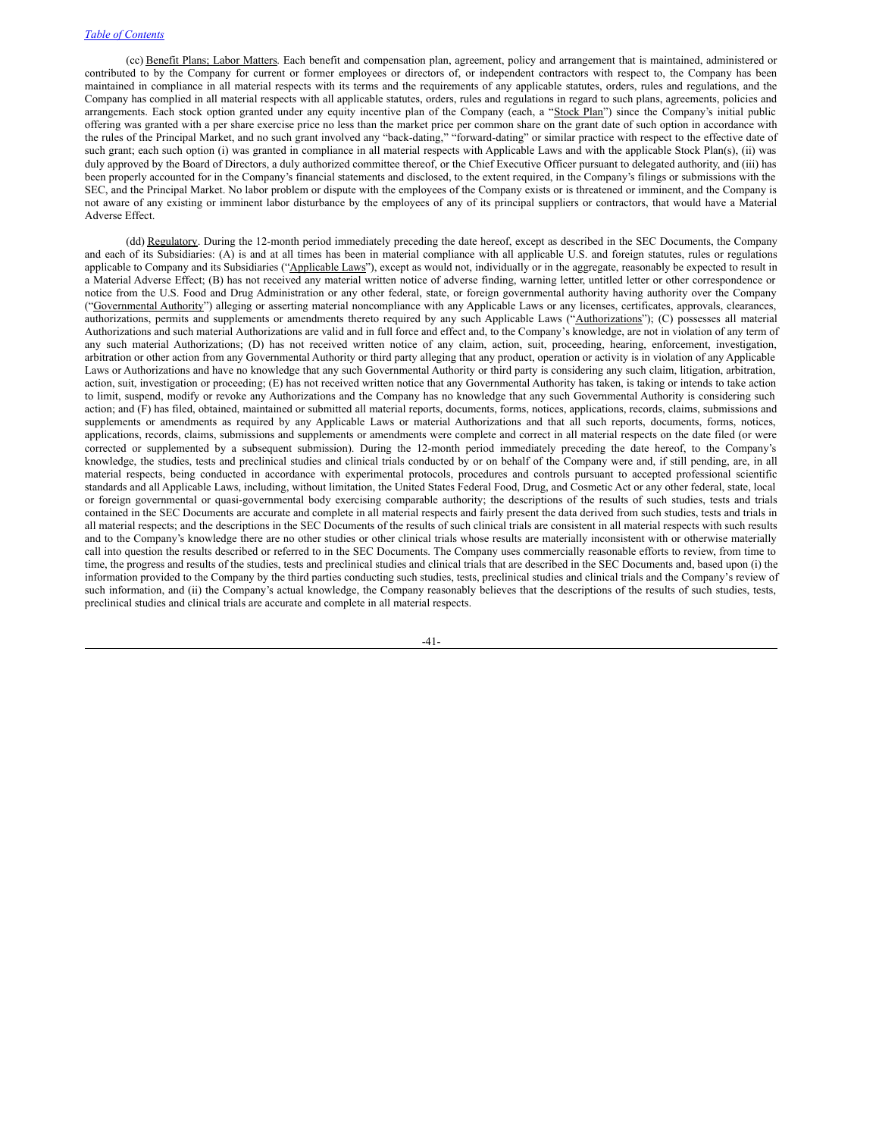(cc) Benefit Plans; Labor Matters. Each benefit and compensation plan, agreement, policy and arrangement that is maintained, administered or contributed to by the Company for current or former employees or directors of, or independent contractors with respect to, the Company has been maintained in compliance in all material respects with its terms and the requirements of any applicable statutes, orders, rules and regulations, and the Company has complied in all material respects with all applicable statutes, orders, rules and regulations in regard to such plans, agreements, policies and arrangements. Each stock option granted under any equity incentive plan of the Company (each, a "Stock Plan") since the Company's initial public offering was granted with a per share exercise price no less than the market price per common share on the grant date of such option in accordance with the rules of the Principal Market, and no such grant involved any "back-dating," "forward-dating" or similar practice with respect to the effective date of such grant; each such option (i) was granted in compliance in all material respects with Applicable Laws and with the applicable Stock Plan(s), (ii) was duly approved by the Board of Directors, a duly authorized committee thereof, or the Chief Executive Officer pursuant to delegated authority, and (iii) has been properly accounted for in the Company's financial statements and disclosed, to the extent required, in the Company's filings or submissions with the SEC, and the Principal Market. No labor problem or dispute with the employees of the Company exists or is threatened or imminent, and the Company is not aware of any existing or imminent labor disturbance by the employees of any of its principal suppliers or contractors, that would have a Material Adverse Effect.

(dd) Regulatory. During the 12-month period immediately preceding the date hereof, except as described in the SEC Documents, the Company and each of its Subsidiaries: (A) is and at all times has been in material compliance with all applicable U.S. and foreign statutes, rules or regulations applicable to Company and its Subsidiaries ("Applicable Laws"), except as would not, individually or in the aggregate, reasonably be expected to result in a Material Adverse Effect; (B) has not received any material written notice of adverse finding, warning letter, untitled letter or other correspondence or notice from the U.S. Food and Drug Administration or any other federal, state, or foreign governmental authority having authority over the Company ("Governmental Authority") alleging or asserting material noncompliance with any Applicable Laws or any licenses, certificates, approvals, clearances, authorizations, permits and supplements or amendments thereto required by any such Applicable Laws ("Authorizations"); (C) possesses all material Authorizations and such material Authorizations are valid and in full force and effect and, to the Company's knowledge, are not in violation of any term of any such material Authorizations; (D) has not received written notice of any claim, action, suit, proceeding, hearing, enforcement, investigation, arbitration or other action from any Governmental Authority or third party alleging that any product, operation or activity is in violation of any Applicable Laws or Authorizations and have no knowledge that any such Governmental Authority or third party is considering any such claim, litigation, arbitration, action, suit, investigation or proceeding; (E) has not received written notice that any Governmental Authority has taken, is taking or intends to take action to limit, suspend, modify or revoke any Authorizations and the Company has no knowledge that any such Governmental Authority is considering such action; and (F) has filed, obtained, maintained or submitted all material reports, documents, forms, notices, applications, records, claims, submissions and supplements or amendments as required by any Applicable Laws or material Authorizations and that all such reports, documents, forms, notices, applications, records, claims, submissions and supplements or amendments were complete and correct in all material respects on the date filed (or were corrected or supplemented by a subsequent submission). During the 12-month period immediately preceding the date hereof, to the Company's knowledge, the studies, tests and preclinical studies and clinical trials conducted by or on behalf of the Company were and, if still pending, are, in all material respects, being conducted in accordance with experimental protocols, procedures and controls pursuant to accepted professional scientific standards and all Applicable Laws, including, without limitation, the United States Federal Food, Drug, and Cosmetic Act or any other federal, state, local or foreign governmental or quasi-governmental body exercising comparable authority; the descriptions of the results of such studies, tests and trials contained in the SEC Documents are accurate and complete in all material respects and fairly present the data derived from such studies, tests and trials in all material respects; and the descriptions in the SEC Documents of the results of such clinical trials are consistent in all material respects with such results and to the Company's knowledge there are no other studies or other clinical trials whose results are materially inconsistent with or otherwise materially call into question the results described or referred to in the SEC Documents. The Company uses commercially reasonable efforts to review, from time to time, the progress and results of the studies, tests and preclinical studies and clinical trials that are described in the SEC Documents and, based upon (i) the information provided to the Company by the third parties conducting such studies, tests, preclinical studies and clinical trials and the Company's review of such information, and (ii) the Company's actual knowledge, the Company reasonably believes that the descriptions of the results of such studies, tests, preclinical studies and clinical trials are accurate and complete in all material respects.

-41-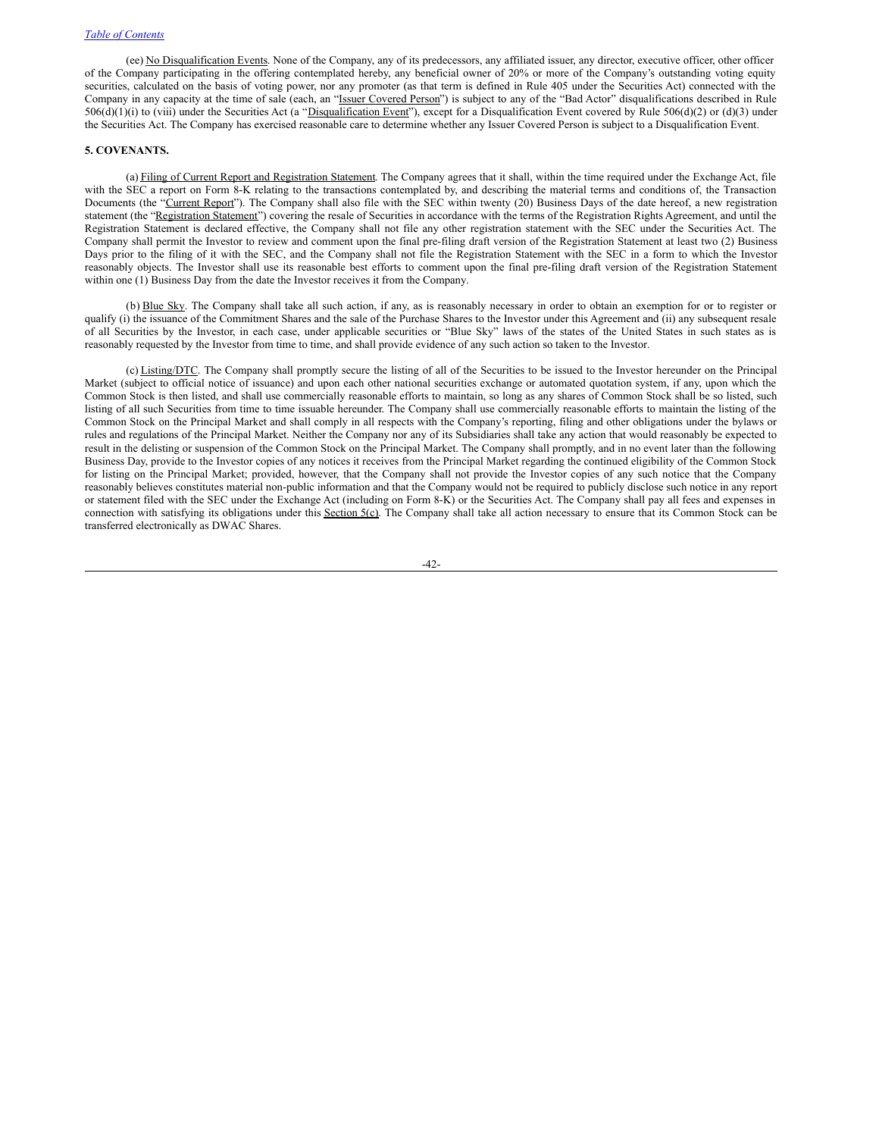(ee) No Disqualification Events. None of the Company, any of its predecessors, any affiliated issuer, any director, executive officer, other officer of the Company participating in the offering contemplated hereby, any beneficial owner of 20% or more of the Company's outstanding voting equity securities, calculated on the basis of voting power, nor any promoter (as that term is defined in Rule 405 under the Securities Act) connected with the Company in any capacity at the time of sale (each, an "Issuer Covered Person") is subject to any of the "Bad Actor" disqualifications described in Rule  $506(d)(1)(i)$  to (viii) under the Securities Act (a "Disqualification Event"), except for a Disqualification Event covered by Rule  $506(d)(2)$  or (d)(3) under the Securities Act. The Company has exercised reasonable care to determine whether any Issuer Covered Person is subject to a Disqualification Event.

# **5. COVENANTS.**

(a) Filing of Current Report and Registration Statement. The Company agrees that it shall, within the time required under the Exchange Act, file with the SEC a report on Form 8-K relating to the transactions contemplated by, and describing the material terms and conditions of, the Transaction Documents (the "Current Report"). The Company shall also file with the SEC within twenty (20) Business Days of the date hereof, a new registration statement (the "Registration Statement") covering the resale of Securities in accordance with the terms of the Registration Rights Agreement, and until the Registration Statement is declared effective, the Company shall not file any other registration statement with the SEC under the Securities Act. The Company shall permit the Investor to review and comment upon the final pre-filing draft version of the Registration Statement at least two (2) Business Days prior to the filing of it with the SEC, and the Company shall not file the Registration Statement with the SEC in a form to which the Investor reasonably objects. The Investor shall use its reasonable best efforts to comment upon the final pre-filing draft version of the Registration Statement within one (1) Business Day from the date the Investor receives it from the Company.

(b) Blue Sky. The Company shall take all such action, if any, as is reasonably necessary in order to obtain an exemption for or to register or qualify (i) the issuance of the Commitment Shares and the sale of the Purchase Shares to the Investor under this Agreement and (ii) any subsequent resale of all Securities by the Investor, in each case, under applicable securities or "Blue Sky" laws of the states of the United States in such states as is reasonably requested by the Investor from time to time, and shall provide evidence of any such action so taken to the Investor.

(c) Listing/DTC. The Company shall promptly secure the listing of all of the Securities to be issued to the Investor hereunder on the Principal Market (subject to official notice of issuance) and upon each other national securities exchange or automated quotation system, if any, upon which the Common Stock is then listed, and shall use commercially reasonable efforts to maintain, so long as any shares of Common Stock shall be so listed, such listing of all such Securities from time to time issuable hereunder. The Company shall use commercially reasonable efforts to maintain the listing of the Common Stock on the Principal Market and shall comply in all respects with the Company's reporting, filing and other obligations under the bylaws or rules and regulations of the Principal Market. Neither the Company nor any of its Subsidiaries shall take any action that would reasonably be expected to result in the delisting or suspension of the Common Stock on the Principal Market. The Company shall promptly, and in no event later than the following Business Day, provide to the Investor copies of any notices it receives from the Principal Market regarding the continued eligibility of the Common Stock for listing on the Principal Market; provided, however, that the Company shall not provide the Investor copies of any such notice that the Company reasonably believes constitutes material non-public information and that the Company would not be required to publicly disclose such notice in any report or statement filed with the SEC under the Exchange Act (including on Form 8-K) or the Securities Act. The Company shall pay all fees and expenses in connection with satisfying its obligations under this Section 5(c). The Company shall take all action necessary to ensure that its Common Stock can be transferred electronically as DWAC Shares.

-42-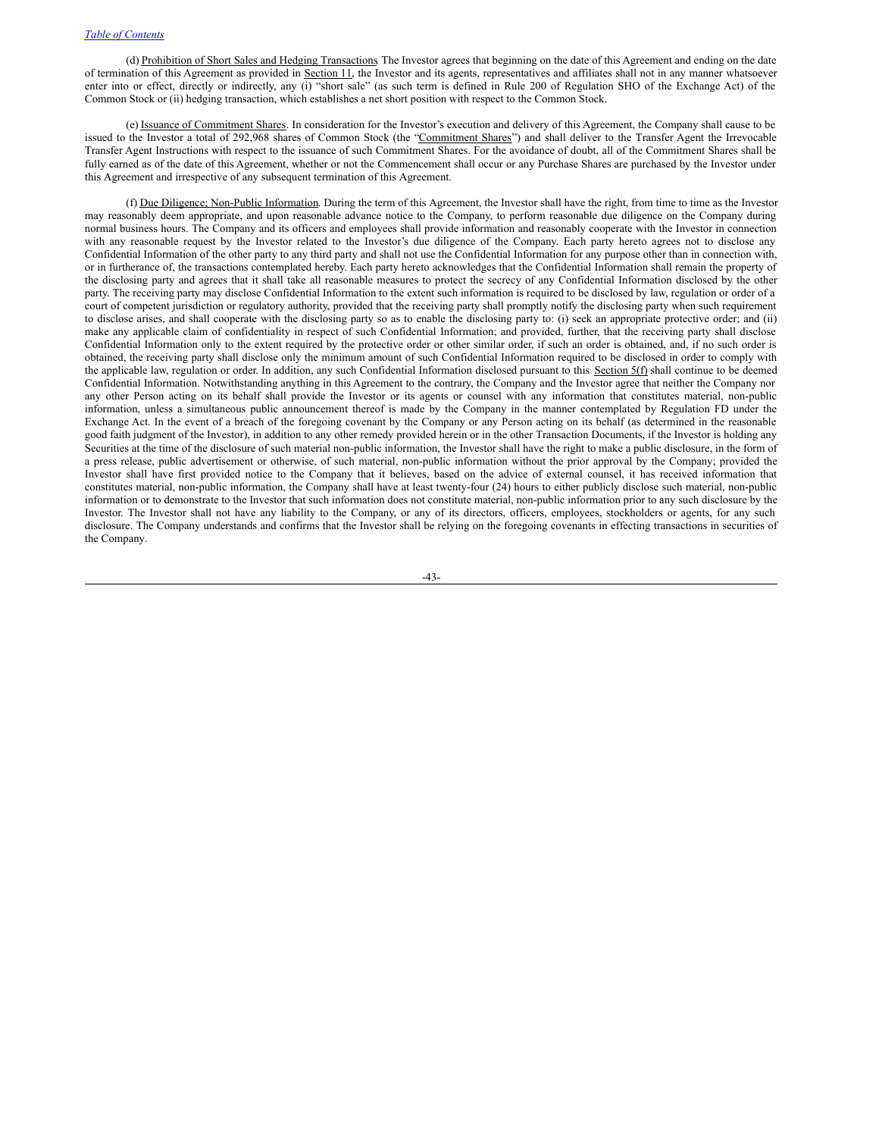(d) Prohibition of Short Sales and Hedging Transactions. The Investor agrees that beginning on the date of this Agreement and ending on the date of termination of this Agreement as provided in Section 11, the Investor and its agents, representatives and affiliates shall not in any manner whatsoever enter into or effect, directly or indirectly, any (i) "short sale" (as such term is defined in Rule 200 of Regulation SHO of the Exchange Act) of the Common Stock or (ii) hedging transaction, which establishes a net short position with respect to the Common Stock.

(e) Issuance of Commitment Shares. In consideration for the Investor's execution and delivery of this Agreement, the Company shall cause to be issued to the Investor a total of 292,968 shares of Common Stock (the "Commitment Shares") and shall deliver to the Transfer Agent the Irrevocable Transfer Agent Instructions with respect to the issuance of such Commitment Shares. For the avoidance of doubt, all of the Commitment Shares shall be fully earned as of the date of this Agreement, whether or not the Commencement shall occur or any Purchase Shares are purchased by the Investor under this Agreement and irrespective of any subsequent termination of this Agreement.

(f) Due Diligence; Non-Public Information. During the term of this Agreement, the Investor shall have the right, from time to time as the Investor may reasonably deem appropriate, and upon reasonable advance notice to the Company, to perform reasonable due diligence on the Company during normal business hours. The Company and its officers and employees shall provide information and reasonably cooperate with the Investor in connection with any reasonable request by the Investor related to the Investor's due diligence of the Company. Each party hereto agrees not to disclose any Confidential Information of the other party to any third party and shall not use the Confidential Information for any purpose other than in connection with, or in furtherance of, the transactions contemplated hereby. Each party hereto acknowledges that the Confidential Information shall remain the property of the disclosing party and agrees that it shall take all reasonable measures to protect the secrecy of any Confidential Information disclosed by the other party. The receiving party may disclose Confidential Information to the extent such information is required to be disclosed by law, regulation or order of a court of competent jurisdiction or regulatory authority, provided that the receiving party shall promptly notify the disclosing party when such requirement to disclose arises, and shall cooperate with the disclosing party so as to enable the disclosing party to: (i) seek an appropriate protective order; and (ii) make any applicable claim of confidentiality in respect of such Confidential Information; and provided, further, that the receiving party shall disclose Confidential Information only to the extent required by the protective order or other similar order, if such an order is obtained, and, if no such order is obtained, the receiving party shall disclose only the minimum amount of such Confidential Information required to be disclosed in order to comply with the applicable law, regulation or order. In addition, any such Confidential Information disclosed pursuant to this **Section 5(f)** shall continue to be deemed Confidential Information. Notwithstanding anything in this Agreement to the contrary, the Company and the Investor agree that neither the Company nor any other Person acting on its behalf shall provide the Investor or its agents or counsel with any information that constitutes material, non-public information, unless a simultaneous public announcement thereof is made by the Company in the manner contemplated by Regulation FD under the Exchange Act. In the event of a breach of the foregoing covenant by the Company or any Person acting on its behalf (as determined in the reasonable good faith judgment of the Investor), in addition to any other remedy provided herein or in the other Transaction Documents, if the Investor is holding any Securities at the time of the disclosure of such material non-public information, the Investor shall have the right to make a public disclosure, in the form of a press release, public advertisement or otherwise, of such material, non-public information without the prior approval by the Company; provided the Investor shall have first provided notice to the Company that it believes, based on the advice of external counsel, it has received information that constitutes material, non-public information, the Company shall have at least twenty-four (24) hours to either publicly disclose such material, non-public information or to demonstrate to the Investor that such information does not constitute material, non-public information prior to any such disclosure by the Investor. The Investor shall not have any liability to the Company, or any of its directors, officers, employees, stockholders or agents, for any such disclosure. The Company understands and confirms that the Investor shall be relying on the foregoing covenants in effecting transactions in securities of the Company.

-43-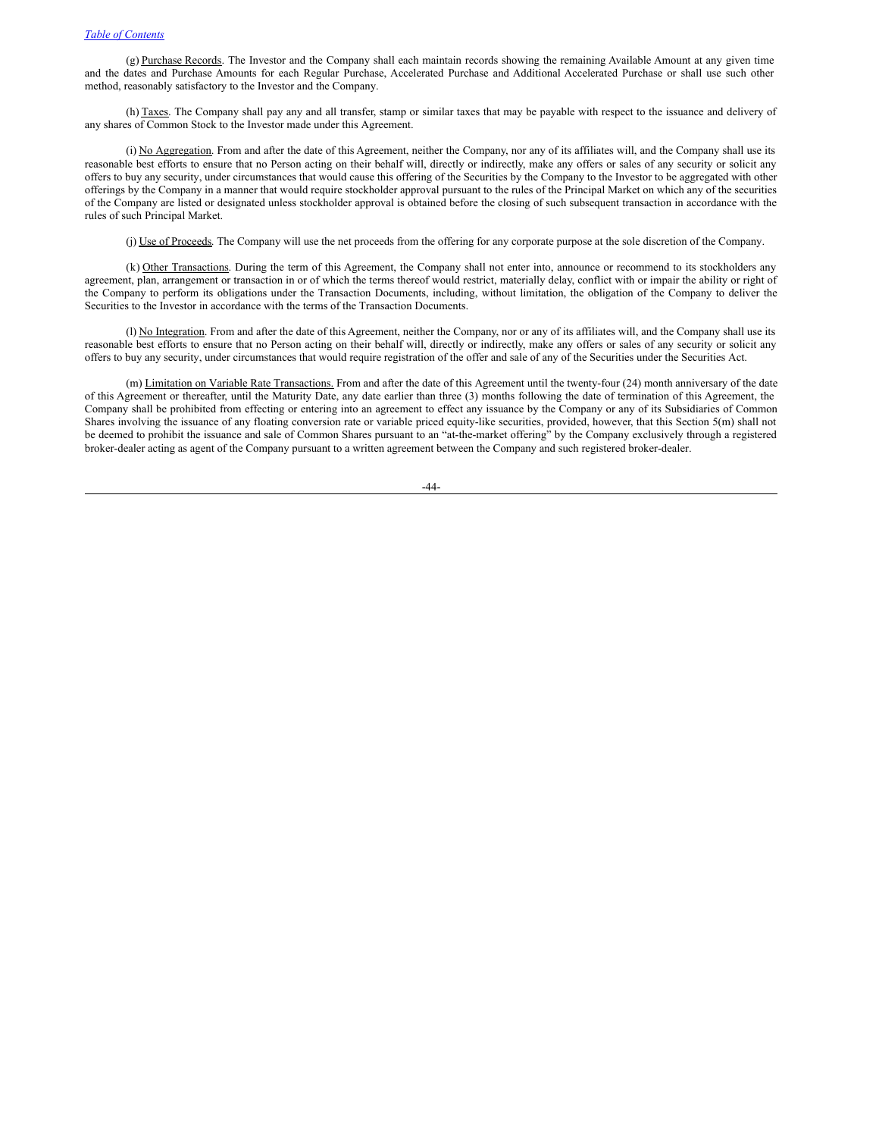$(g)$  Purchase Records. The Investor and the Company shall each maintain records showing the remaining Available Amount at any given time and the dates and Purchase Amounts for each Regular Purchase, Accelerated Purchase and Additional Accelerated Purchase or shall use such other method, reasonably satisfactory to the Investor and the Company.

(h) Taxes. The Company shall pay any and all transfer, stamp or similar taxes that may be payable with respect to the issuance and delivery of any shares of Common Stock to the Investor made under this Agreement.

(i) No Aggregation. From and after the date of this Agreement, neither the Company, nor any of its affiliates will, and the Company shall use its reasonable best efforts to ensure that no Person acting on their behalf will, directly or indirectly, make any offers or sales of any security or solicit any offers to buy any security, under circumstances that would cause this offering of the Securities by the Company to the Investor to be aggregated with other offerings by the Company in a manner that would require stockholder approval pursuant to the rules of the Principal Market on which any of the securities of the Company are listed or designated unless stockholder approval is obtained before the closing of such subsequent transaction in accordance with the rules of such Principal Market.

(j) Use of Proceeds. The Company will use the net proceeds from the offering for any corporate purpose at the sole discretion of the Company.

(k) Other Transactions. During the term of this Agreement, the Company shall not enter into, announce or recommend to its stockholders any agreement, plan, arrangement or transaction in or of which the terms thereof would restrict, materially delay, conflict with or impair the ability or right of the Company to perform its obligations under the Transaction Documents, including, without limitation, the obligation of the Company to deliver the Securities to the Investor in accordance with the terms of the Transaction Documents.

(l) No Integration. From and after the date of this Agreement, neither the Company, nor or any of its affiliates will, and the Company shall use its reasonable best efforts to ensure that no Person acting on their behalf will, directly or indirectly, make any offers or sales of any security or solicit any offers to buy any security, under circumstances that would require registration of the offer and sale of any of the Securities under the Securities Act.

(m) Limitation on Variable Rate Transactions. From and after the date of this Agreement until the twenty-four (24) month anniversary of the date of this Agreement or thereafter, until the Maturity Date, any date earlier than three (3) months following the date of termination of this Agreement, the Company shall be prohibited from effecting or entering into an agreement to effect any issuance by the Company or any of its Subsidiaries of Common Shares involving the issuance of any floating conversion rate or variable priced equity-like securities, provided, however, that this Section 5(m) shall not be deemed to prohibit the issuance and sale of Common Shares pursuant to an "at-the-market offering" by the Company exclusively through a registered broker-dealer acting as agent of the Company pursuant to a written agreement between the Company and such registered broker-dealer.

-44-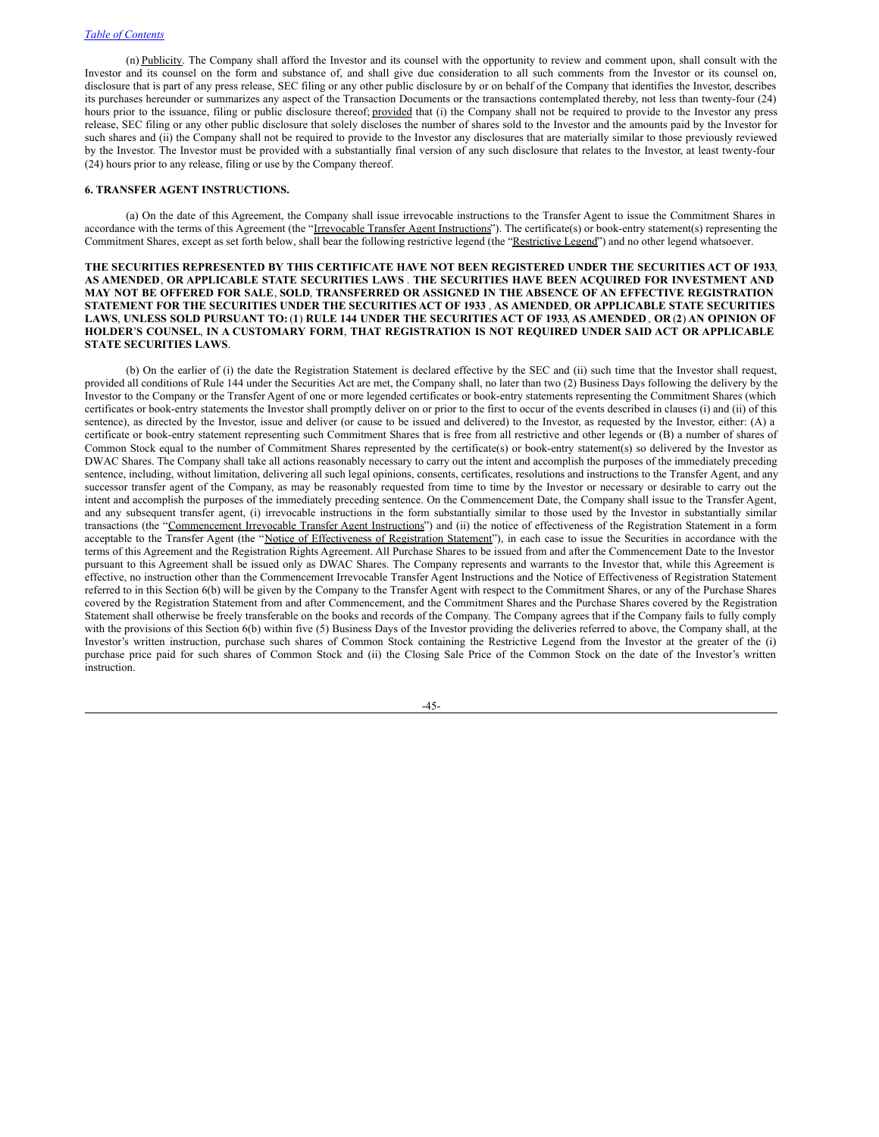(n) Publicity. The Company shall afford the Investor and its counsel with the opportunity to review and comment upon, shall consult with the Investor and its counsel on the form and substance of, and shall give due consideration to all such comments from the Investor or its counsel on, disclosure that is part of any press release, SEC filing or any other public disclosure by or on behalf of the Company that identifies the Investor, describes its purchases hereunder or summarizes any aspect of the Transaction Documents or the transactions contemplated thereby, not less than twenty-four (24) hours prior to the issuance, filing or public disclosure thereof; provided that (i) the Company shall not be required to provide to the Investor any press release, SEC filing or any other public disclosure that solely discloses the number of shares sold to the Investor and the amounts paid by the Investor for such shares and (ii) the Company shall not be required to provide to the Investor any disclosures that are materially similar to those previously reviewed by the Investor. The Investor must be provided with a substantially final version of any such disclosure that relates to the Investor, at least twenty-four (24) hours prior to any release, filing or use by the Company thereof.

# **6. TRANSFER AGENT INSTRUCTIONS.**

(a) On the date of this Agreement, the Company shall issue irrevocable instructions to the Transfer Agent to issue the Commitment Shares in accordance with the terms of this Agreement (the "Irrevocable Transfer Agent Instructions"). The certificate(s) or book-entry statement(s) representing the Commitment Shares, except as set forth below, shall bear the following restrictive legend (the "Restrictive Legend") and no other legend whatsoever.

**THE SECURITIES REPRESENTED BY THIS CERTIFICATE HAVE NOT BEEN REGISTERED UNDER THE SECURITIES ACT OF 1933**, **AS AMENDED**, **OR APPLICABLE STATE SECURITIES LAWS** . **THE SECURITIES HAVE BEEN ACQUIRED FOR INVESTMENT AND MAY NOT BE OFFERED FOR SALE**, **SOLD**, **TRANSFERRED OR ASSIGNED IN THE ABSENCE OF AN EFFECTIVE REGISTRATION STATEMENT FOR THE SECURITIES UNDER THE SECURITIES ACT OF 1933** , **AS AMENDED**, **OR APPLICABLE STATE SECURITIES** LAWS, UNLESS SOLD PURSUANT TO: (1) RULE 144 UNDER THE SECURITIES ACT OF 1933, AS AMENDED, OR (2) AN OPINION OF **HOLDER**'**S COUNSEL**, **IN A CUSTOMARY FORM**, **THAT REGISTRATION IS NOT REQUIRED UNDER SAID ACT OR APPLICABLE STATE SECURITIES LAWS**.

(b) On the earlier of (i) the date the Registration Statement is declared effective by the SEC and (ii) such time that the Investor shall request, provided all conditions of Rule 144 under the Securities Act are met, the Company shall, no later than two (2) Business Days following the delivery by the Investor to the Company or the Transfer Agent of one or more legended certificates or book-entry statements representing the Commitment Shares (which certificates or book-entry statements the Investor shall promptly deliver on or prior to the first to occur of the events described in clauses (i) and (ii) of this sentence), as directed by the Investor, issue and deliver (or cause to be issued and delivered) to the Investor, as requested by the Investor, either: (A) a certificate or book-entry statement representing such Commitment Shares that is free from all restrictive and other legends or (B) a number of shares of Common Stock equal to the number of Commitment Shares represented by the certificate(s) or book-entry statement(s) so delivered by the Investor as DWAC Shares. The Company shall take all actions reasonably necessary to carry out the intent and accomplish the purposes of the immediately preceding sentence, including, without limitation, delivering all such legal opinions, consents, certificates, resolutions and instructions to the Transfer Agent, and any successor transfer agent of the Company, as may be reasonably requested from time to time by the Investor or necessary or desirable to carry out the intent and accomplish the purposes of the immediately preceding sentence. On the Commencement Date, the Company shall issue to the Transfer Agent, and any subsequent transfer agent, (i) irrevocable instructions in the form substantially similar to those used by the Investor in substantially similar transactions (the "Commencement Irrevocable Transfer Agent Instructions") and (ii) the notice of effectiveness of the Registration Statement in a form acceptable to the Transfer Agent (the "Notice of Effectiveness of Registration Statement"), in each case to issue the Securities in accordance with the terms of this Agreement and the Registration Rights Agreement. All Purchase Shares to be issued from and after the Commencement Date to the Investor pursuant to this Agreement shall be issued only as DWAC Shares. The Company represents and warrants to the Investor that, while this Agreement is effective, no instruction other than the Commencement Irrevocable Transfer Agent Instructions and the Notice of Effectiveness of Registration Statement referred to in this Section 6(b) will be given by the Company to the Transfer Agent with respect to the Commitment Shares, or any of the Purchase Shares covered by the Registration Statement from and after Commencement, and the Commitment Shares and the Purchase Shares covered by the Registration Statement shall otherwise be freely transferable on the books and records of the Company. The Company agrees that if the Company fails to fully comply with the provisions of this Section 6(b) within five (5) Business Days of the Investor providing the deliveries referred to above, the Company shall, at the Investor's written instruction, purchase such shares of Common Stock containing the Restrictive Legend from the Investor at the greater of the (i) purchase price paid for such shares of Common Stock and (ii) the Closing Sale Price of the Common Stock on the date of the Investor's written instruction.

-45-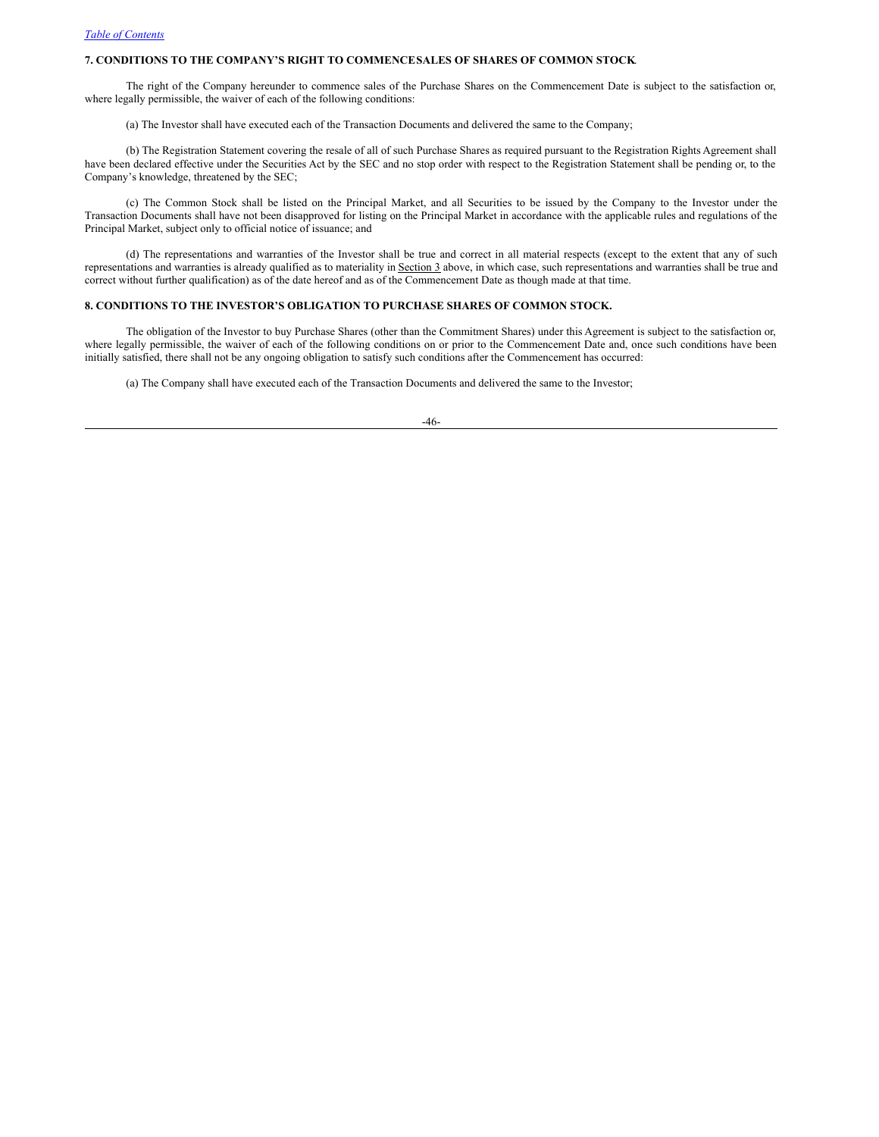# **7. CONDITIONS TO THE COMPANY'S RIGHT TO COMMENCESALES OF SHARES OF COMMON STOCK**.

The right of the Company hereunder to commence sales of the Purchase Shares on the Commencement Date is subject to the satisfaction or, where legally permissible, the waiver of each of the following conditions:

(a) The Investor shall have executed each of the Transaction Documents and delivered the same to the Company;

(b) The Registration Statement covering the resale of all of such Purchase Shares as required pursuant to the Registration Rights Agreement shall have been declared effective under the Securities Act by the SEC and no stop order with respect to the Registration Statement shall be pending or, to the Company's knowledge, threatened by the SEC;

(c) The Common Stock shall be listed on the Principal Market, and all Securities to be issued by the Company to the Investor under the Transaction Documents shall have not been disapproved for listing on the Principal Market in accordance with the applicable rules and regulations of the Principal Market, subject only to official notice of issuance; and

(d) The representations and warranties of the Investor shall be true and correct in all material respects (except to the extent that any of such representations and warranties is already qualified as to materiality in Section 3 above, in which case, such representations and warranties shall be true and correct without further qualification) as of the date hereof and as of the Commencement Date as though made at that time.

# **8. CONDITIONS TO THE INVESTOR'S OBLIGATION TO PURCHASE SHARES OF COMMON STOCK.**

The obligation of the Investor to buy Purchase Shares (other than the Commitment Shares) under this Agreement is subject to the satisfaction or, where legally permissible, the waiver of each of the following conditions on or prior to the Commencement Date and, once such conditions have been initially satisfied, there shall not be any ongoing obligation to satisfy such conditions after the Commencement has occurred:

(a) The Company shall have executed each of the Transaction Documents and delivered the same to the Investor;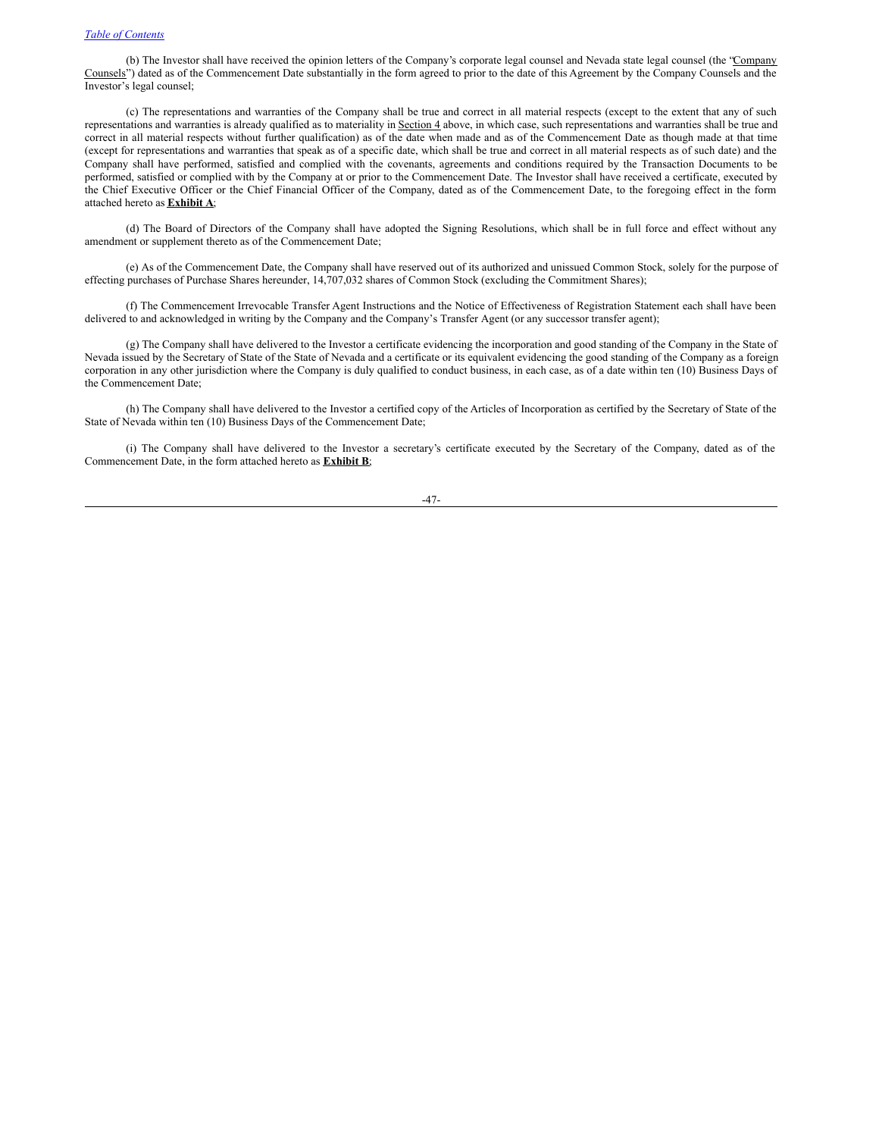(b) The Investor shall have received the opinion letters of the Company's corporate legal counsel and Nevada state legal counsel (the "Company Counsels") dated as of the Commencement Date substantially in the form agreed to prior to the date of this Agreement by the Company Counsels and the Investor's legal counsel;

(c) The representations and warranties of the Company shall be true and correct in all material respects (except to the extent that any of such representations and warranties is already qualified as to materiality in Section 4 above, in which case, such representations and warranties shall be true and correct in all material respects without further qualification) as of the date when made and as of the Commencement Date as though made at that time (except for representations and warranties that speak as of a specific date, which shall be true and correct in all material respects as of such date) and the Company shall have performed, satisfied and complied with the covenants, agreements and conditions required by the Transaction Documents to be performed, satisfied or complied with by the Company at or prior to the Commencement Date. The Investor shall have received a certificate, executed by the Chief Executive Officer or the Chief Financial Officer of the Company, dated as of the Commencement Date, to the foregoing effect in the form attached hereto as **Exhibit A**;

(d) The Board of Directors of the Company shall have adopted the Signing Resolutions, which shall be in full force and effect without any amendment or supplement thereto as of the Commencement Date;

(e) As of the Commencement Date, the Company shall have reserved out of its authorized and unissued Common Stock, solely for the purpose of effecting purchases of Purchase Shares hereunder, 14,707,032 shares of Common Stock (excluding the Commitment Shares);

(f) The Commencement Irrevocable Transfer Agent Instructions and the Notice of Effectiveness of Registration Statement each shall have been delivered to and acknowledged in writing by the Company and the Company's Transfer Agent (or any successor transfer agent);

(g) The Company shall have delivered to the Investor a certificate evidencing the incorporation and good standing of the Company in the State of Nevada issued by the Secretary of State of the State of Nevada and a certificate or its equivalent evidencing the good standing of the Company as a foreign corporation in any other jurisdiction where the Company is duly qualified to conduct business, in each case, as of a date within ten (10) Business Days of the Commencement Date;

(h) The Company shall have delivered to the Investor a certified copy of the Articles of Incorporation as certified by the Secretary of State of the State of Nevada within ten (10) Business Days of the Commencement Date;

(i) The Company shall have delivered to the Investor a secretary's certificate executed by the Secretary of the Company, dated as of the Commencement Date, in the form attached hereto as **Exhibit B**;

-47-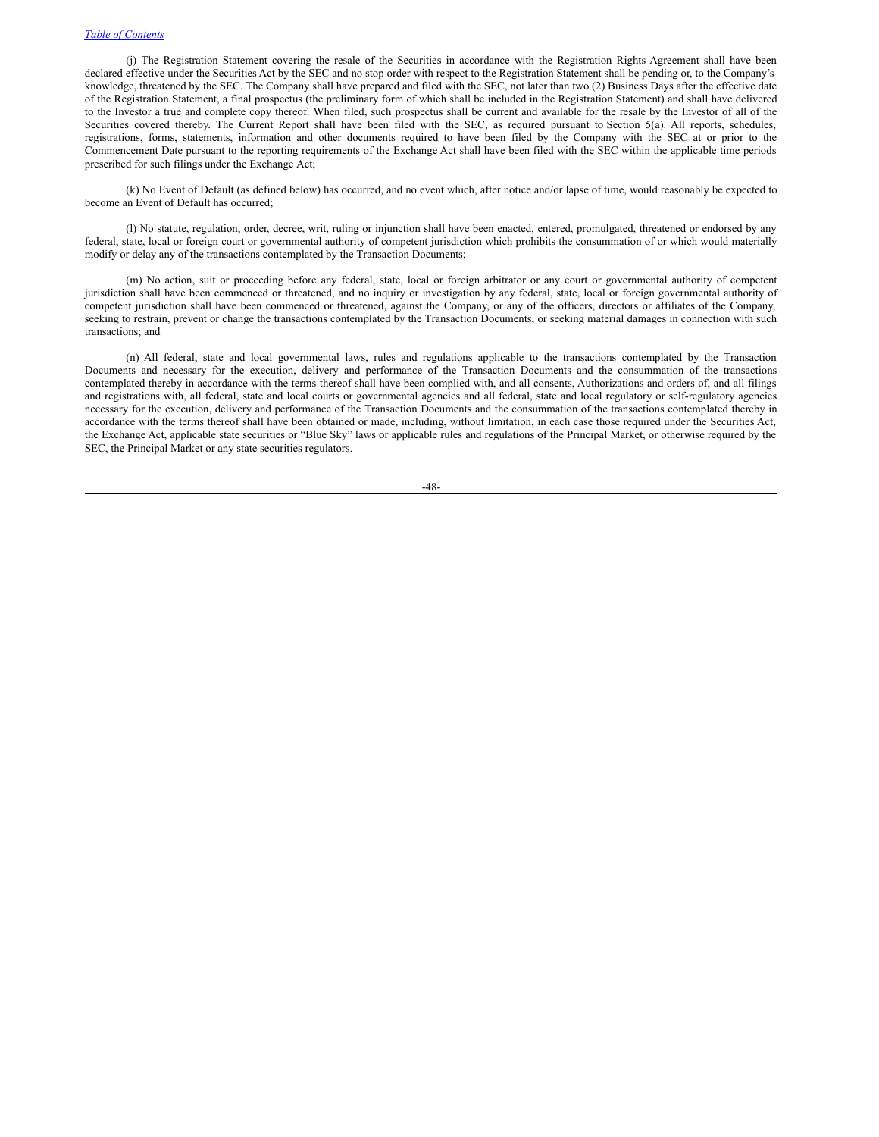(j) The Registration Statement covering the resale of the Securities in accordance with the Registration Rights Agreement shall have been declared effective under the Securities Act by the SEC and no stop order with respect to the Registration Statement shall be pending or, to the Company's knowledge, threatened by the SEC. The Company shall have prepared and filed with the SEC, not later than two (2) Business Days after the effective date of the Registration Statement, a final prospectus (the preliminary form of which shall be included in the Registration Statement) and shall have delivered to the Investor a true and complete copy thereof. When filed, such prospectus shall be current and available for the resale by the Investor of all of the Securities covered thereby. The Current Report shall have been filed with the SEC, as required pursuant to Section 5(a). All reports, schedules, registrations, forms, statements, information and other documents required to have been filed by the Company with the SEC at or prior to the Commencement Date pursuant to the reporting requirements of the Exchange Act shall have been filed with the SEC within the applicable time periods prescribed for such filings under the Exchange Act;

(k) No Event of Default (as defined below) has occurred, and no event which, after notice and/or lapse of time, would reasonably be expected to become an Event of Default has occurred;

(l) No statute, regulation, order, decree, writ, ruling or injunction shall have been enacted, entered, promulgated, threatened or endorsed by any federal, state, local or foreign court or governmental authority of competent jurisdiction which prohibits the consummation of or which would materially modify or delay any of the transactions contemplated by the Transaction Documents;

(m) No action, suit or proceeding before any federal, state, local or foreign arbitrator or any court or governmental authority of competent jurisdiction shall have been commenced or threatened, and no inquiry or investigation by any federal, state, local or foreign governmental authority of competent jurisdiction shall have been commenced or threatened, against the Company, or any of the officers, directors or affiliates of the Company, seeking to restrain, prevent or change the transactions contemplated by the Transaction Documents, or seeking material damages in connection with such transactions; and

(n) All federal, state and local governmental laws, rules and regulations applicable to the transactions contemplated by the Transaction Documents and necessary for the execution, delivery and performance of the Transaction Documents and the consummation of the transactions contemplated thereby in accordance with the terms thereof shall have been complied with, and all consents, Authorizations and orders of, and all filings and registrations with, all federal, state and local courts or governmental agencies and all federal, state and local regulatory or self-regulatory agencies necessary for the execution, delivery and performance of the Transaction Documents and the consummation of the transactions contemplated thereby in accordance with the terms thereof shall have been obtained or made, including, without limitation, in each case those required under the Securities Act, the Exchange Act, applicable state securities or "Blue Sky" laws or applicable rules and regulations of the Principal Market, or otherwise required by the SEC, the Principal Market or any state securities regulators.

-48-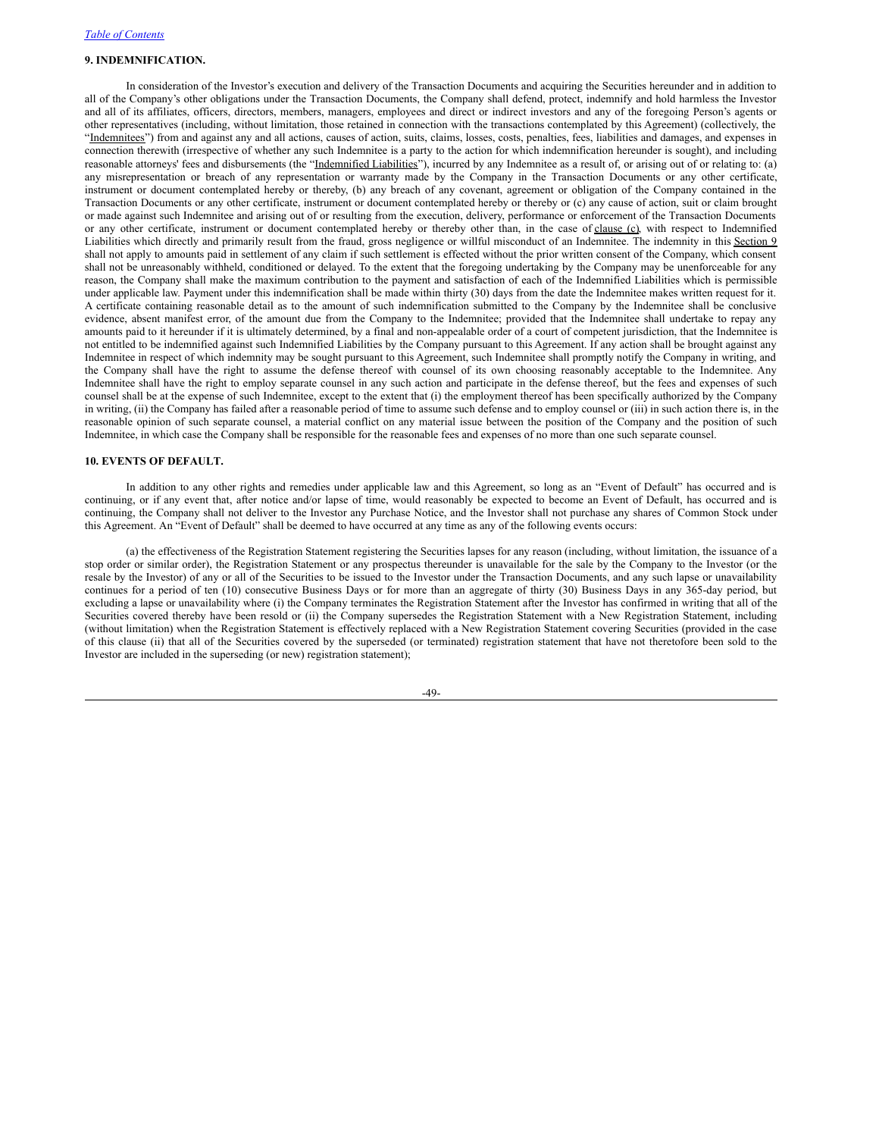# **9. INDEMNIFICATION.**

In consideration of the Investor's execution and delivery of the Transaction Documents and acquiring the Securities hereunder and in addition to all of the Company's other obligations under the Transaction Documents, the Company shall defend, protect, indemnify and hold harmless the Investor and all of its affiliates, officers, directors, members, managers, employees and direct or indirect investors and any of the foregoing Person's agents or other representatives (including, without limitation, those retained in connection with the transactions contemplated by this Agreement) (collectively, the "Indemnitees") from and against any and all actions, causes of action, suits, claims, losses, costs, penalties, fees, liabilities and damages, and expenses in connection therewith (irrespective of whether any such Indemnitee is a party to the action for which indemnification hereunder is sought), and including reasonable attorneys' fees and disbursements (the "Indemnified Liabilities"), incurred by any Indemnitee as a result of, or arising out of or relating to: (a) any misrepresentation or breach of any representation or warranty made by the Company in the Transaction Documents or any other certificate, instrument or document contemplated hereby or thereby, (b) any breach of any covenant, agreement or obligation of the Company contained in the Transaction Documents or any other certificate, instrument or document contemplated hereby or thereby or (c) any cause of action, suit or claim brought or made against such Indemnitee and arising out of or resulting from the execution, delivery, performance or enforcement of the Transaction Documents or any other certificate, instrument or document contemplated hereby or thereby other than, in the case of clause (c), with respect to Indemnified Liabilities which directly and primarily result from the fraud, gross negligence or willful misconduct of an Indemnitee. The indemnity in this Section 9 shall not apply to amounts paid in settlement of any claim if such settlement is effected without the prior written consent of the Company, which consent shall not be unreasonably withheld, conditioned or delayed. To the extent that the foregoing undertaking by the Company may be unenforceable for any reason, the Company shall make the maximum contribution to the payment and satisfaction of each of the Indemnified Liabilities which is permissible under applicable law. Payment under this indemnification shall be made within thirty (30) days from the date the Indemnitee makes written request for it. A certificate containing reasonable detail as to the amount of such indemnification submitted to the Company by the Indemnitee shall be conclusive evidence, absent manifest error, of the amount due from the Company to the Indemnitee; provided that the Indemnitee shall undertake to repay any amounts paid to it hereunder if it is ultimately determined, by a final and non-appealable order of a court of competent jurisdiction, that the Indemnitee is not entitled to be indemnified against such Indemnified Liabilities by the Company pursuant to this Agreement. If any action shall be brought against any Indemnitee in respect of which indemnity may be sought pursuant to this Agreement, such Indemnitee shall promptly notify the Company in writing, and the Company shall have the right to assume the defense thereof with counsel of its own choosing reasonably acceptable to the Indemnitee. Any Indemnitee shall have the right to employ separate counsel in any such action and participate in the defense thereof, but the fees and expenses of such counsel shall be at the expense of such Indemnitee, except to the extent that (i) the employment thereof has been specifically authorized by the Company in writing, (ii) the Company has failed after a reasonable period of time to assume such defense and to employ counsel or (iii) in such action there is, in the reasonable opinion of such separate counsel, a material conflict on any material issue between the position of the Company and the position of such Indemnitee, in which case the Company shall be responsible for the reasonable fees and expenses of no more than one such separate counsel.

#### **10. EVENTS OF DEFAULT.**

In addition to any other rights and remedies under applicable law and this Agreement, so long as an "Event of Default" has occurred and is continuing, or if any event that, after notice and/or lapse of time, would reasonably be expected to become an Event of Default, has occurred and is continuing, the Company shall not deliver to the Investor any Purchase Notice, and the Investor shall not purchase any shares of Common Stock under this Agreement. An "Event of Default" shall be deemed to have occurred at any time as any of the following events occurs:

(a) the effectiveness of the Registration Statement registering the Securities lapses for any reason (including, without limitation, the issuance of a stop order or similar order), the Registration Statement or any prospectus thereunder is unavailable for the sale by the Company to the Investor (or the resale by the Investor) of any or all of the Securities to be issued to the Investor under the Transaction Documents, and any such lapse or unavailability continues for a period of ten (10) consecutive Business Days or for more than an aggregate of thirty (30) Business Days in any 365-day period, but excluding a lapse or unavailability where (i) the Company terminates the Registration Statement after the Investor has confirmed in writing that all of the Securities covered thereby have been resold or (ii) the Company supersedes the Registration Statement with a New Registration Statement, including (without limitation) when the Registration Statement is effectively replaced with a New Registration Statement covering Securities (provided in the case of this clause (ii) that all of the Securities covered by the superseded (or terminated) registration statement that have not theretofore been sold to the Investor are included in the superseding (or new) registration statement);

-49-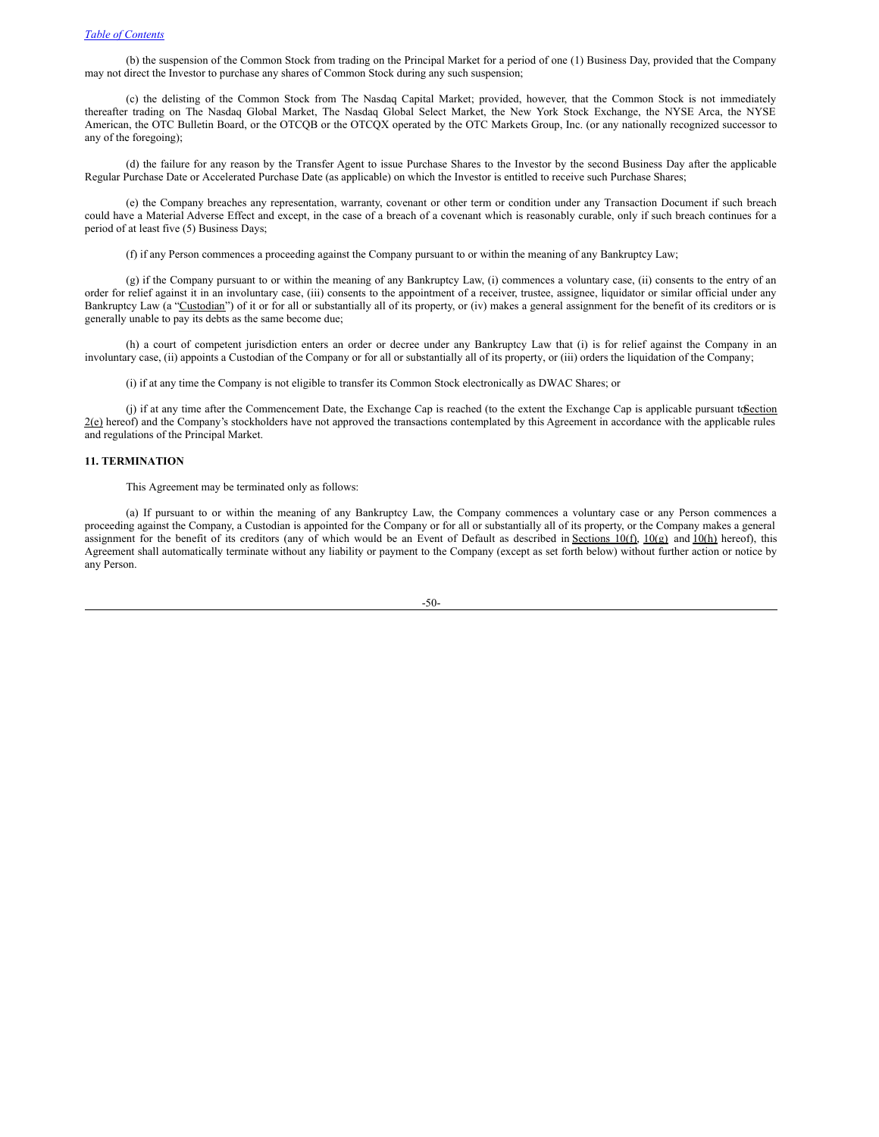(b) the suspension of the Common Stock from trading on the Principal Market for a period of one (1) Business Day, provided that the Company may not direct the Investor to purchase any shares of Common Stock during any such suspension;

(c) the delisting of the Common Stock from The Nasdaq Capital Market; provided, however, that the Common Stock is not immediately thereafter trading on The Nasdaq Global Market, The Nasdaq Global Select Market, the New York Stock Exchange, the NYSE Arca, the NYSE American, the OTC Bulletin Board, or the OTCQB or the OTCQX operated by the OTC Markets Group, Inc. (or any nationally recognized successor to any of the foregoing);

(d) the failure for any reason by the Transfer Agent to issue Purchase Shares to the Investor by the second Business Day after the applicable Regular Purchase Date or Accelerated Purchase Date (as applicable) on which the Investor is entitled to receive such Purchase Shares;

(e) the Company breaches any representation, warranty, covenant or other term or condition under any Transaction Document if such breach could have a Material Adverse Effect and except, in the case of a breach of a covenant which is reasonably curable, only if such breach continues for a period of at least five (5) Business Days;

(f) if any Person commences a proceeding against the Company pursuant to or within the meaning of any Bankruptcy Law;

(g) if the Company pursuant to or within the meaning of any Bankruptcy Law, (i) commences a voluntary case, (ii) consents to the entry of an order for relief against it in an involuntary case, (iii) consents to the appointment of a receiver, trustee, assignee, liquidator or similar official under any Bankruptcy Law (a "Custodian") of it or for all or substantially all of its property, or (iv) makes a general assignment for the benefit of its creditors or is generally unable to pay its debts as the same become due;

(h) a court of competent jurisdiction enters an order or decree under any Bankruptcy Law that (i) is for relief against the Company in an involuntary case, (ii) appoints a Custodian of the Company or for all or substantially all of its property, or (iii) orders the liquidation of the Company;

(i) if at any time the Company is not eligible to transfer its Common Stock electronically as DWAC Shares; or

(j) if at any time after the Commencement Date, the Exchange Cap is reached (to the extent the Exchange Cap is applicable pursuant to Section  $2(e)$  hereof) and the Company's stockholders have not approved the transactions contemplated by this Agreement in accordance with the applicable rules and regulations of the Principal Market.

# **11. TERMINATION**

This Agreement may be terminated only as follows:

(a) If pursuant to or within the meaning of any Bankruptcy Law, the Company commences a voluntary case or any Person commences a proceeding against the Company, a Custodian is appointed for the Company or for all or substantially all of its property, or the Company makes a general assignment for the benefit of its creditors (any of which would be an Event of Default as described in Sections  $10(f)$ ,  $10(g)$  and  $10(h)$  hereof), this Agreement shall automatically terminate without any liability or payment to the Company (except as set forth below) without further action or notice by any Person.

-50-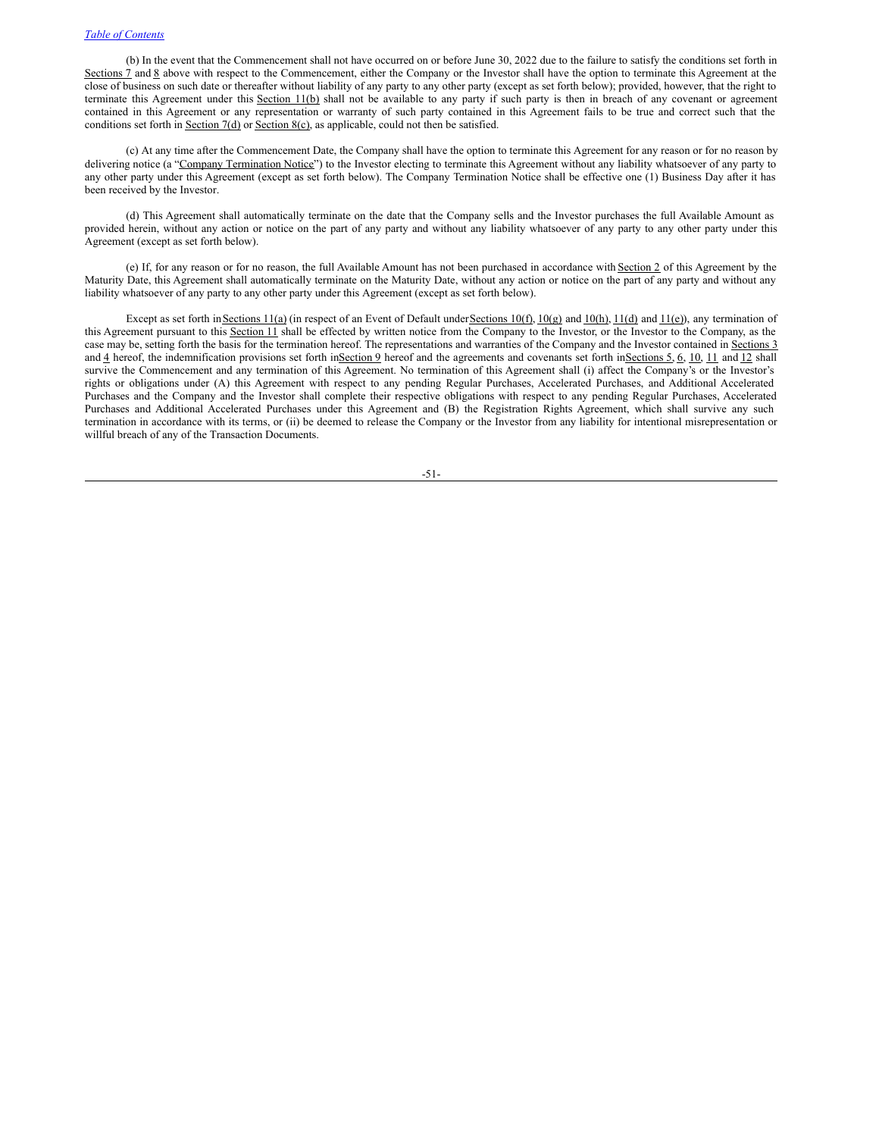(b) In the event that the Commencement shall not have occurred on or before June 30, 2022 due to the failure to satisfy the conditions set forth in Sections 7 and 8 above with respect to the Commencement, either the Company or the Investor shall have the option to terminate this Agreement at the close of business on such date or thereafter without liability of any party to any other party (except as set forth below); provided, however, that the right to terminate this Agreement under this Section 11(b) shall not be available to any party if such party is then in breach of any covenant or agreement contained in this Agreement or any representation or warranty of such party contained in this Agreement fails to be true and correct such that the conditions set forth in Section 7(d) or Section 8(c), as applicable, could not then be satisfied.

(c) At any time after the Commencement Date, the Company shall have the option to terminate this Agreement for any reason or for no reason by delivering notice (a "Company Termination Notice") to the Investor electing to terminate this Agreement without any liability whatsoever of any party to any other party under this Agreement (except as set forth below). The Company Termination Notice shall be effective one (1) Business Day after it has been received by the Investor.

(d) This Agreement shall automatically terminate on the date that the Company sells and the Investor purchases the full Available Amount as provided herein, without any action or notice on the part of any party and without any liability whatsoever of any party to any other party under this Agreement (except as set forth below).

(e) If, for any reason or for no reason, the full Available Amount has not been purchased in accordance with Section 2 of this Agreement by the Maturity Date, this Agreement shall automatically terminate on the Maturity Date, without any action or notice on the part of any party and without any liability whatsoever of any party to any other party under this Agreement (except as set forth below).

Except as set forth in Sections 11(a) (in respect of an Event of Default under Sections 10(f), 10(g) and 10(h), 11(d) and 11(e)), any termination of this Agreement pursuant to this Section 11 shall be effected by written notice from the Company to the Investor, or the Investor to the Company, as the case may be, setting forth the basis for the termination hereof. The representations and warranties of the Company and the Investor contained in Sections 3 and  $\underline{4}$  hereof, the indemnification provisions set forth in $\underline{Section 9}$  hereof and the agreements and covenants set forth in $\underline{Section 5}$ ,  $\underline{6}$ ,  $\underline{10}$ ,  $\underline{11}$  and  $\underline{12}$  shall survive the Commencement and any termination of this Agreement. No termination of this Agreement shall (i) affect the Company's or the Investor's rights or obligations under (A) this Agreement with respect to any pending Regular Purchases, Accelerated Purchases, and Additional Accelerated Purchases and the Company and the Investor shall complete their respective obligations with respect to any pending Regular Purchases, Accelerated Purchases and Additional Accelerated Purchases under this Agreement and (B) the Registration Rights Agreement, which shall survive any such termination in accordance with its terms, or (ii) be deemed to release the Company or the Investor from any liability for intentional misrepresentation or willful breach of any of the Transaction Documents.

-51-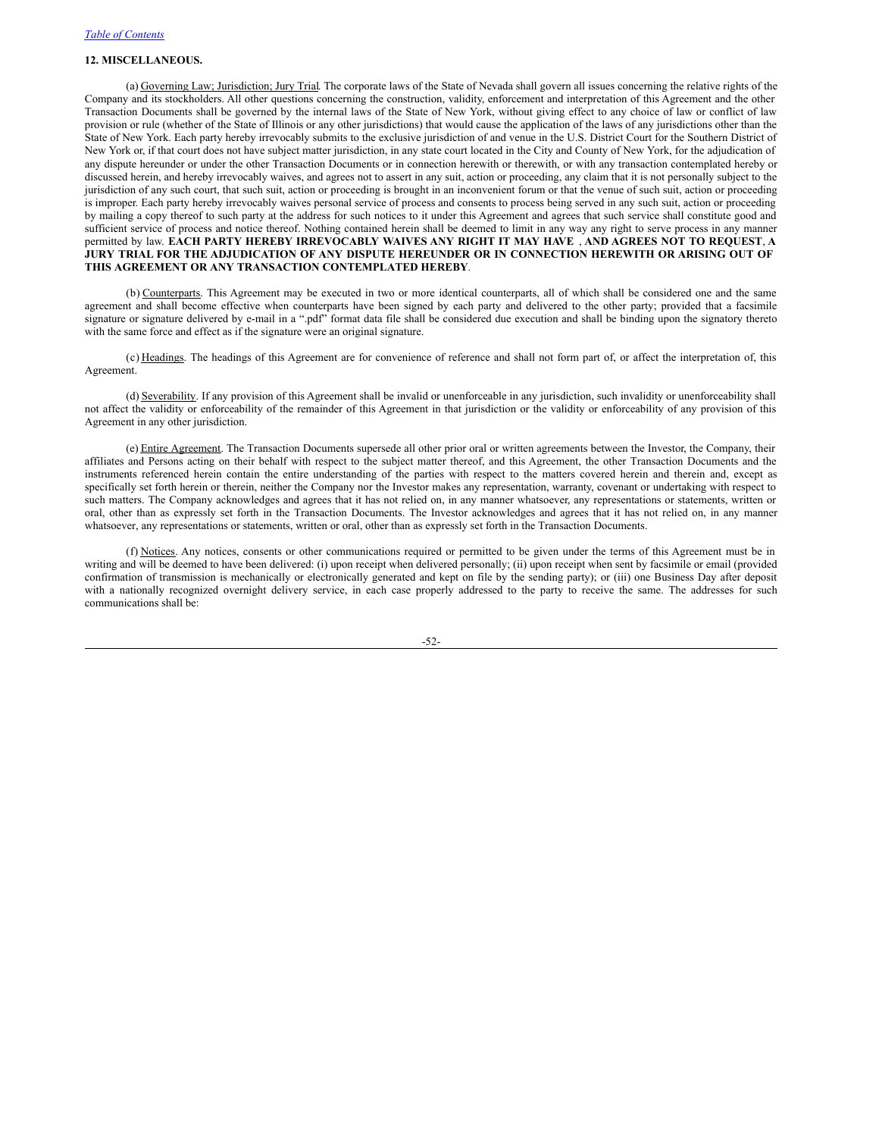# **12. MISCELLANEOUS.**

(a) Governing Law; Jurisdiction; Jury Trial. The corporate laws of the State of Nevada shall govern all issues concerning the relative rights of the Company and its stockholders. All other questions concerning the construction, validity, enforcement and interpretation of this Agreement and the other Transaction Documents shall be governed by the internal laws of the State of New York, without giving effect to any choice of law or conflict of law provision or rule (whether of the State of Illinois or any other jurisdictions) that would cause the application of the laws of any jurisdictions other than the State of New York. Each party hereby irrevocably submits to the exclusive jurisdiction of and venue in the U.S. District Court for the Southern District of New York or, if that court does not have subject matter jurisdiction, in any state court located in the City and County of New York, for the adjudication of any dispute hereunder or under the other Transaction Documents or in connection herewith or therewith, or with any transaction contemplated hereby or discussed herein, and hereby irrevocably waives, and agrees not to assert in any suit, action or proceeding, any claim that it is not personally subject to the jurisdiction of any such court, that such suit, action or proceeding is brought in an inconvenient forum or that the venue of such suit, action or proceeding is improper. Each party hereby irrevocably waives personal service of process and consents to process being served in any such suit, action or proceeding by mailing a copy thereof to such party at the address for such notices to it under this Agreement and agrees that such service shall constitute good and sufficient service of process and notice thereof. Nothing contained herein shall be deemed to limit in any way any right to serve process in any manner permitted by law. **EACH PARTY HEREBY IRREVOCABLY WAIVES ANY RIGHT IT MAY HAVE** , **AND AGREES NOT TO REQUEST**, **A JURY TRIAL FOR THE ADJUDICATION OF ANY DISPUTE HEREUNDER OR IN CONNECTION HEREWITH OR ARISING OUT OF THIS AGREEMENT OR ANY TRANSACTION CONTEMPLATED HEREBY**.

(b) Counterparts. This Agreement may be executed in two or more identical counterparts, all of which shall be considered one and the same agreement and shall become effective when counterparts have been signed by each party and delivered to the other party; provided that a facsimile signature or signature delivered by e-mail in a ".pdf" format data file shall be considered due execution and shall be binding upon the signatory thereto with the same force and effect as if the signature were an original signature.

(c) Headings. The headings of this Agreement are for convenience of reference and shall not form part of, or affect the interpretation of, this Agreement.

(d) Severability. If any provision of this Agreement shall be invalid or unenforceable in any jurisdiction, such invalidity or unenforceability shall not affect the validity or enforceability of the remainder of this Agreement in that jurisdiction or the validity or enforceability of any provision of this Agreement in any other jurisdiction.

(e) Entire Agreement. The Transaction Documents supersede all other prior oral or written agreements between the Investor, the Company, their affiliates and Persons acting on their behalf with respect to the subject matter thereof, and this Agreement, the other Transaction Documents and the instruments referenced herein contain the entire understanding of the parties with respect to the matters covered herein and therein and, except as specifically set forth herein or therein, neither the Company nor the Investor makes any representation, warranty, covenant or undertaking with respect to such matters. The Company acknowledges and agrees that it has not relied on, in any manner whatsoever, any representations or statements, written or oral, other than as expressly set forth in the Transaction Documents. The Investor acknowledges and agrees that it has not relied on, in any manner whatsoever, any representations or statements, written or oral, other than as expressly set forth in the Transaction Documents.

(f) Notices. Any notices, consents or other communications required or permitted to be given under the terms of this Agreement must be in writing and will be deemed to have been delivered: (i) upon receipt when delivered personally; (ii) upon receipt when sent by facsimile or email (provided confirmation of transmission is mechanically or electronically generated and kept on file by the sending party); or (iii) one Business Day after deposit with a nationally recognized overnight delivery service, in each case properly addressed to the party to receive the same. The addresses for such communications shall be:

-52-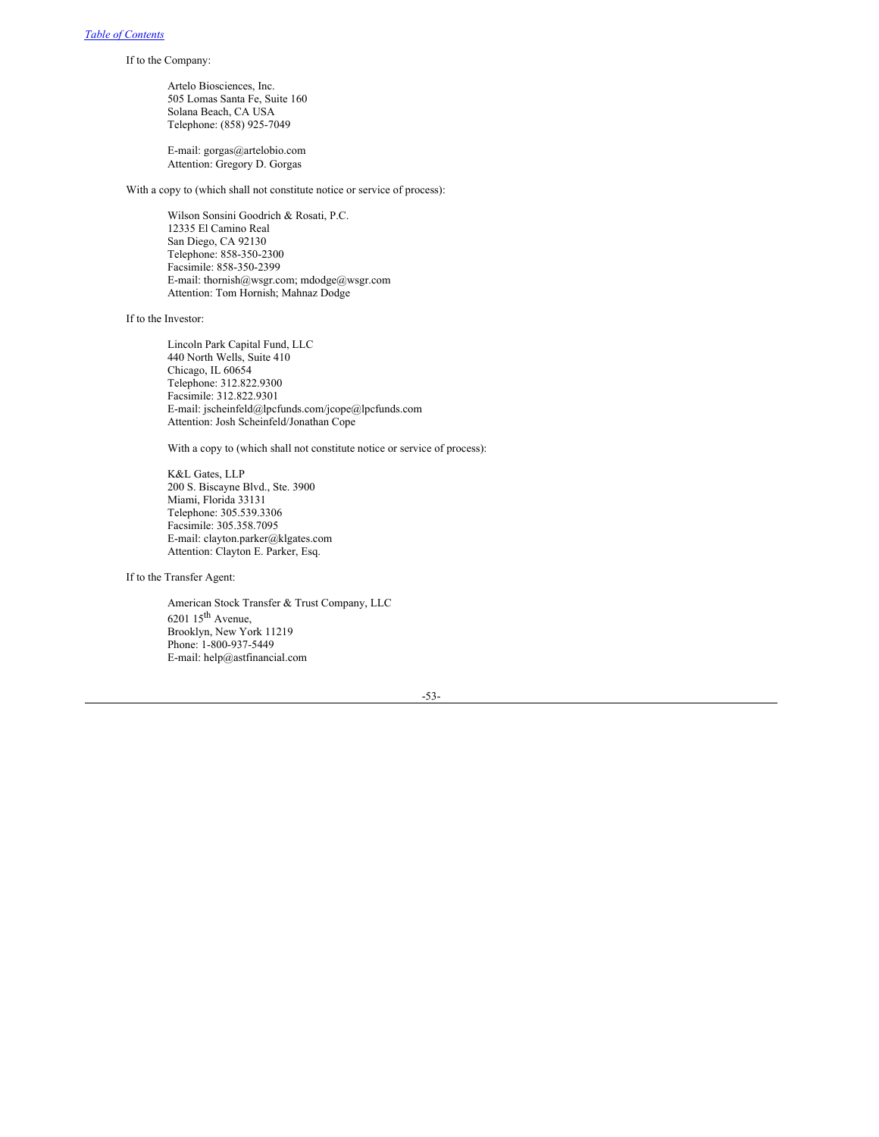If to the Company:

Artelo Biosciences, Inc. 505 Lomas Santa Fe, Suite 160 Solana Beach, CA USA Telephone: (858) 925-7049

E-mail: gorgas@artelobio.com Attention: Gregory D. Gorgas

With a copy to (which shall not constitute notice or service of process):

Wilson Sonsini Goodrich & Rosati, P.C. 12335 El Camino Real San Diego, CA 92130 Telephone: 858-350-2300 Facsimile: 858-350-2399 E-mail: thornish@wsgr.com; mdodge@wsgr.com Attention: Tom Hornish; Mahnaz Dodge

If to the Investor:

Lincoln Park Capital Fund, LLC 440 North Wells, Suite 410 Chicago, IL 60654 Telephone: 312.822.9300 Facsimile: 312.822.9301 E-mail: jscheinfeld@lpcfunds.com/jcope@lpcfunds.com Attention: Josh Scheinfeld/Jonathan Cope

With a copy to (which shall not constitute notice or service of process):

K&L Gates, LLP 200 S. Biscayne Blvd., Ste. 3900 Miami, Florida 33131 Telephone: 305.539.3306 Facsimile: 305.358.7095 E-mail: clayton.parker@klgates.com Attention: Clayton E. Parker, Esq.

If to the Transfer Agent:

American Stock Transfer & Trust Company, LLC  $6201$   $15^{\text{th}}$  Avenue, Brooklyn, New York 11219 Phone: 1-800-937-5449 E-mail: help@astfinancial.com

-53-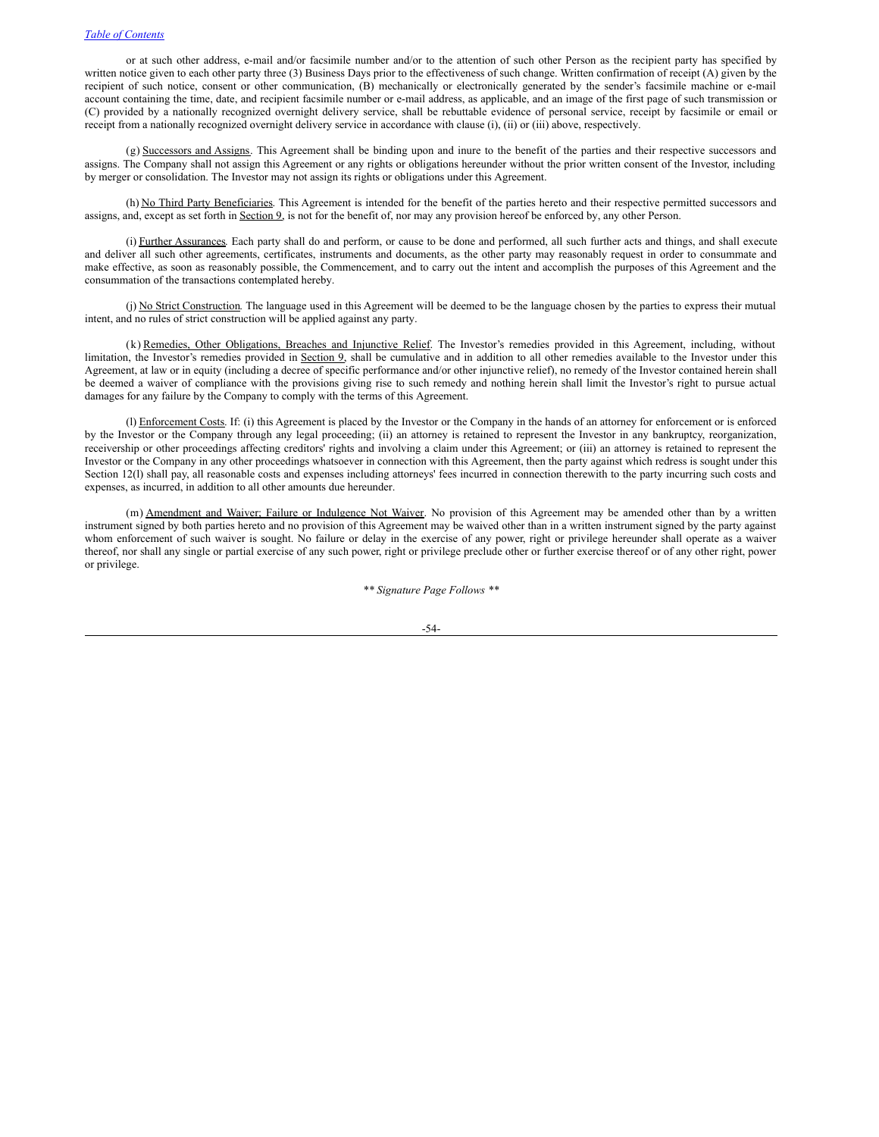or at such other address, e-mail and/or facsimile number and/or to the attention of such other Person as the recipient party has specified by written notice given to each other party three (3) Business Days prior to the effectiveness of such change. Written confirmation of receipt (A) given by the recipient of such notice, consent or other communication, (B) mechanically or electronically generated by the sender's facsimile machine or e-mail account containing the time, date, and recipient facsimile number or e-mail address, as applicable, and an image of the first page of such transmission or (C) provided by a nationally recognized overnight delivery service, shall be rebuttable evidence of personal service, receipt by facsimile or email or receipt from a nationally recognized overnight delivery service in accordance with clause (i), (ii) or (iii) above, respectively.

(g) Successors and Assigns. This Agreement shall be binding upon and inure to the benefit of the parties and their respective successors and assigns. The Company shall not assign this Agreement or any rights or obligations hereunder without the prior written consent of the Investor, including by merger or consolidation. The Investor may not assign its rights or obligations under this Agreement.

(h) No Third Party Beneficiaries. This Agreement is intended for the benefit of the parties hereto and their respective permitted successors and assigns, and, except as set forth in Section 9, is not for the benefit of, nor may any provision hereof be enforced by, any other Person.

(i) Further Assurances. Each party shall do and perform, or cause to be done and performed, all such further acts and things, and shall execute and deliver all such other agreements, certificates, instruments and documents, as the other party may reasonably request in order to consummate and make effective, as soon as reasonably possible, the Commencement, and to carry out the intent and accomplish the purposes of this Agreement and the consummation of the transactions contemplated hereby.

(j) No Strict Construction. The language used in this Agreement will be deemed to be the language chosen by the parties to express their mutual intent, and no rules of strict construction will be applied against any party.

(k) Remedies, Other Obligations, Breaches and Injunctive Relief. The Investor's remedies provided in this Agreement, including, without limitation, the Investor's remedies provided in Section 9, shall be cumulative and in addition to all other remedies available to the Investor under this Agreement, at law or in equity (including a decree of specific performance and/or other injunctive relief), no remedy of the Investor contained herein shall be deemed a waiver of compliance with the provisions giving rise to such remedy and nothing herein shall limit the Investor's right to pursue actual damages for any failure by the Company to comply with the terms of this Agreement.

(l) Enforcement Costs. If: (i) this Agreement is placed by the Investor or the Company in the hands of an attorney for enforcement or is enforced by the Investor or the Company through any legal proceeding; (ii) an attorney is retained to represent the Investor in any bankruptcy, reorganization, receivership or other proceedings affecting creditors' rights and involving a claim under this Agreement; or (iii) an attorney is retained to represent the Investor or the Company in any other proceedings whatsoever in connection with this Agreement, then the party against which redress is sought under this Section 12(l) shall pay, all reasonable costs and expenses including attorneys' fees incurred in connection therewith to the party incurring such costs and expenses, as incurred, in addition to all other amounts due hereunder.

(m) Amendment and Waiver; Failure or Indulgence Not Waiver. No provision of this Agreement may be amended other than by a written instrument signed by both parties hereto and no provision of this Agreement may be waived other than in a written instrument signed by the party against whom enforcement of such waiver is sought. No failure or delay in the exercise of any power, right or privilege hereunder shall operate as a waiver thereof, nor shall any single or partial exercise of any such power, right or privilege preclude other or further exercise thereof or of any other right, power or privilege.

*\*\* Signature Page Follows \*\**

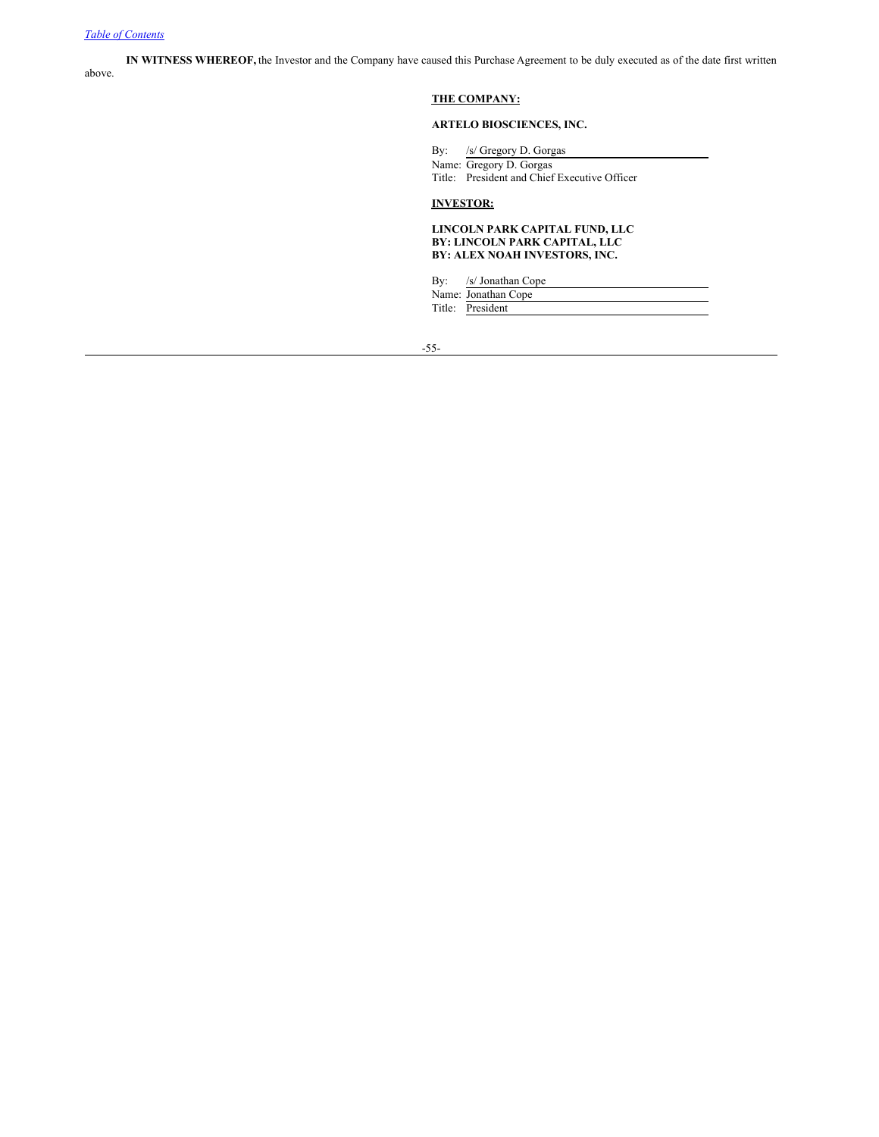**IN WITNESS WHEREOF,** the Investor and the Company have caused this Purchase Agreement to be duly executed as of the date first written above.

# **THE COMPANY:**

# **ARTELO BIOSCIENCES, INC.**

By: /s/ Gregory D. Gorgas

Name: Gregory D. Gorgas Title: President and Chief Executive Officer

# **INVESTOR:**

#### **LINCOLN PARK CAPITAL FUND, LLC BY: LINCOLN PARK CAPITAL, LLC BY: ALEX NOAH INVESTORS, INC.**

| $\mathbf{B} \mathbf{v}$ : | /s/ Jonathan Cope   |
|---------------------------|---------------------|
|                           | Name: Jonathan Cope |
|                           | Title: President    |

-55-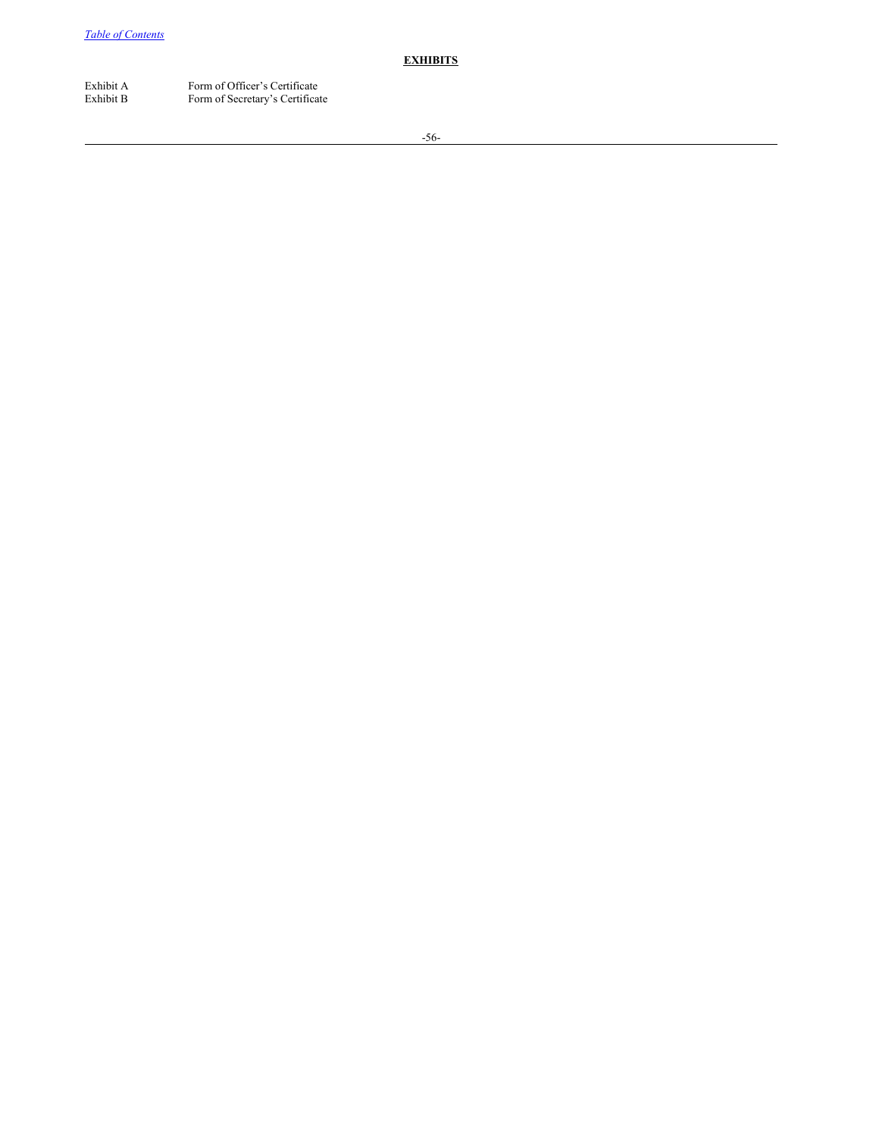**EXHIBITS**

Exhibit A Form of Officer's Certificate<br>Exhibit B Form of Secretary's Certifica Form of Secretary's Certificate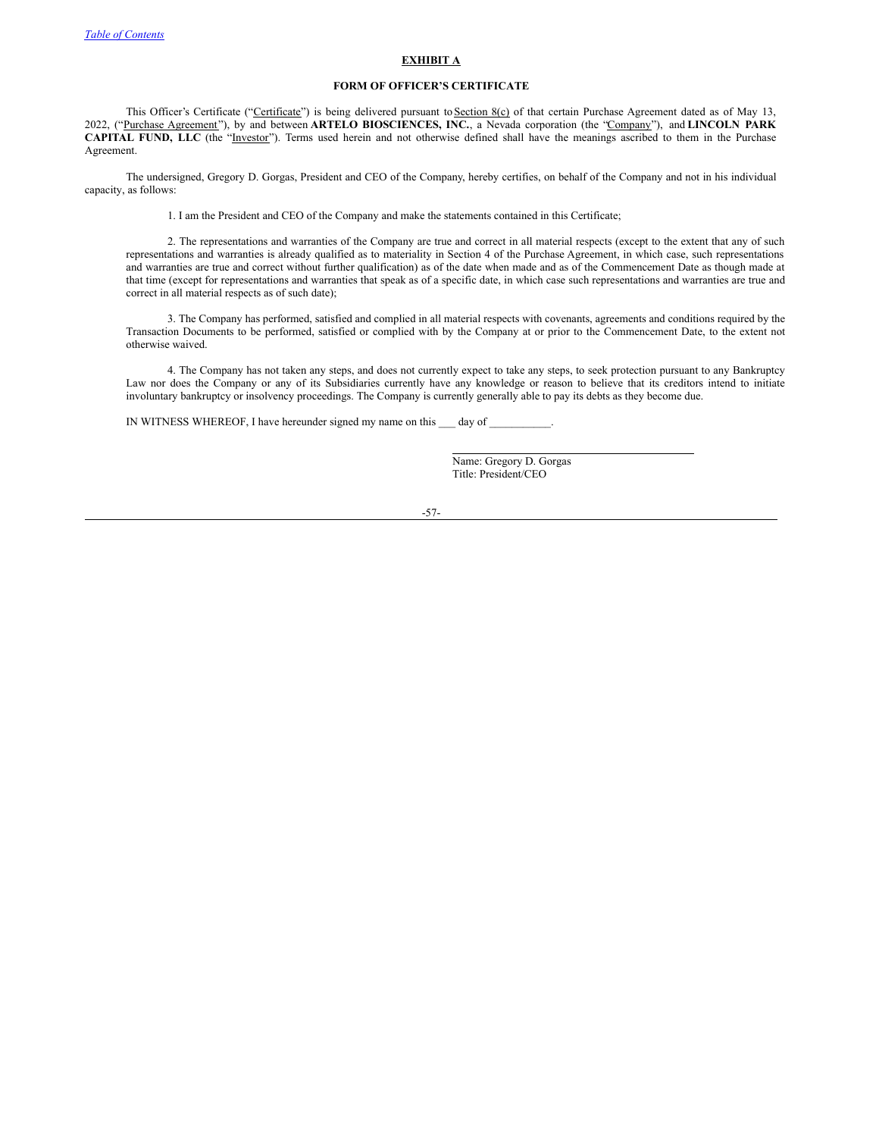# **EXHIBIT A**

# **FORM OF OFFICER'S CERTIFICATE**

This Officer's Certificate ("Certificate") is being delivered pursuant to Section 8(c) of that certain Purchase Agreement dated as of May 13, 2022, ("Purchase Agreement"), by and between **ARTELO BIOSCIENCES, INC.**, a Nevada corporation (the "Company"), and **LINCOLN PARK CAPITAL FUND, LLC** (the "Investor"). Terms used herein and not otherwise defined shall have the meanings ascribed to them in the Purchase Agreement.

The undersigned, Gregory D. Gorgas, President and CEO of the Company, hereby certifies, on behalf of the Company and not in his individual capacity, as follows:

1. I am the President and CEO of the Company and make the statements contained in this Certificate;

2. The representations and warranties of the Company are true and correct in all material respects (except to the extent that any of such representations and warranties is already qualified as to materiality in Section 4 of the Purchase Agreement, in which case, such representations and warranties are true and correct without further qualification) as of the date when made and as of the Commencement Date as though made at that time (except for representations and warranties that speak as of a specific date, in which case such representations and warranties are true and correct in all material respects as of such date);

3. The Company has performed, satisfied and complied in all material respects with covenants, agreements and conditions required by the Transaction Documents to be performed, satisfied or complied with by the Company at or prior to the Commencement Date, to the extent not otherwise waived.

4. The Company has not taken any steps, and does not currently expect to take any steps, to seek protection pursuant to any Bankruptcy Law nor does the Company or any of its Subsidiaries currently have any knowledge or reason to believe that its creditors intend to initiate involuntary bankruptcy or insolvency proceedings. The Company is currently generally able to pay its debts as they become due.

IN WITNESS WHEREOF, I have hereunder signed my name on this  $\rule{1em}{0.15mm}$  day of  $\rule{1.15mm}{0.15mm}$ 

Name: Gregory D. Gorgas Title: President/CEO

-57-